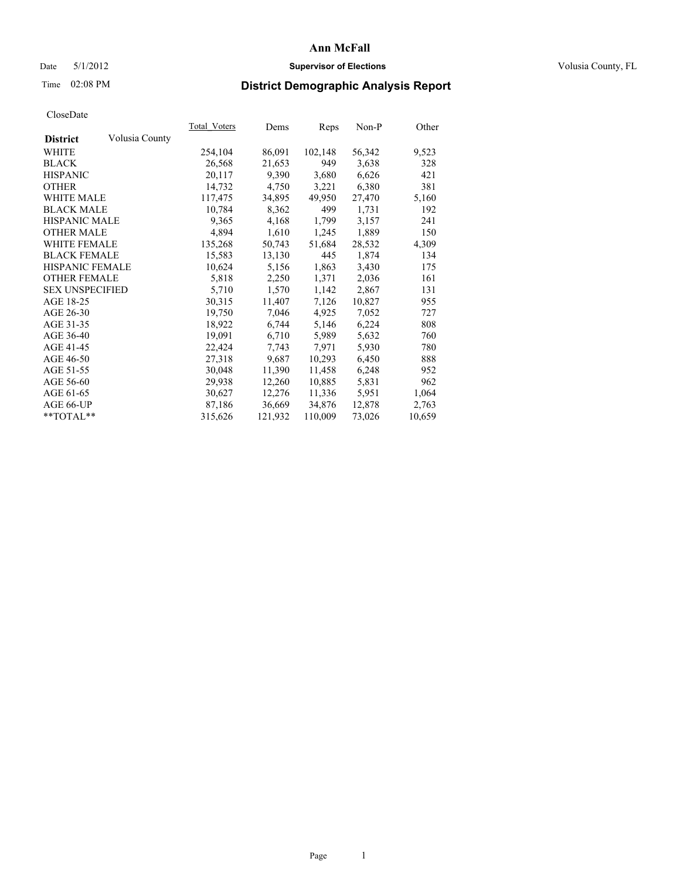## Date 5/1/2012 **Supervisor of Elections Supervisor of Elections** Volusia County, FL

## Time 02:08 PM **District Demographic Analysis Report**

|                        |                | Total Voters | Dems    | <b>Reps</b> | Non-P  | Other  |
|------------------------|----------------|--------------|---------|-------------|--------|--------|
| <b>District</b>        | Volusia County |              |         |             |        |        |
| WHITE                  |                | 254,104      | 86,091  | 102,148     | 56,342 | 9,523  |
| <b>BLACK</b>           |                | 26,568       | 21,653  | 949         | 3,638  | 328    |
| <b>HISPANIC</b>        |                | 20,117       | 9,390   | 3,680       | 6,626  | 421    |
| <b>OTHER</b>           |                | 14,732       | 4,750   | 3,221       | 6,380  | 381    |
| <b>WHITE MALE</b>      |                | 117,475      | 34,895  | 49,950      | 27,470 | 5,160  |
| <b>BLACK MALE</b>      |                | 10,784       | 8,362   | 499         | 1,731  | 192    |
| <b>HISPANIC MALE</b>   |                | 9,365        | 4,168   | 1,799       | 3,157  | 241    |
| <b>OTHER MALE</b>      |                | 4,894        | 1,610   | 1,245       | 1,889  | 150    |
| <b>WHITE FEMALE</b>    |                | 135,268      | 50,743  | 51,684      | 28,532 | 4,309  |
| <b>BLACK FEMALE</b>    |                | 15,583       | 13,130  | 445         | 1,874  | 134    |
| <b>HISPANIC FEMALE</b> |                | 10,624       | 5,156   | 1,863       | 3,430  | 175    |
| <b>OTHER FEMALE</b>    |                | 5,818        | 2,250   | 1,371       | 2,036  | 161    |
| <b>SEX UNSPECIFIED</b> |                | 5,710        | 1,570   | 1,142       | 2,867  | 131    |
| AGE 18-25              |                | 30,315       | 11,407  | 7,126       | 10,827 | 955    |
| AGE 26-30              |                | 19,750       | 7,046   | 4,925       | 7,052  | 727    |
| AGE 31-35              |                | 18,922       | 6,744   | 5,146       | 6,224  | 808    |
| AGE 36-40              |                | 19,091       | 6,710   | 5,989       | 5,632  | 760    |
| AGE 41-45              |                | 22,424       | 7,743   | 7,971       | 5,930  | 780    |
| AGE 46-50              |                | 27,318       | 9,687   | 10,293      | 6,450  | 888    |
| AGE 51-55              |                | 30,048       | 11,390  | 11,458      | 6,248  | 952    |
| AGE 56-60              |                | 29,938       | 12,260  | 10,885      | 5,831  | 962    |
| AGE 61-65              |                | 30,627       | 12,276  | 11,336      | 5,951  | 1,064  |
| AGE 66-UP              |                | 87,186       | 36,669  | 34,876      | 12,878 | 2,763  |
| $*$ TOTAL $*$          |                | 315,626      | 121,932 | 110,009     | 73,026 | 10,659 |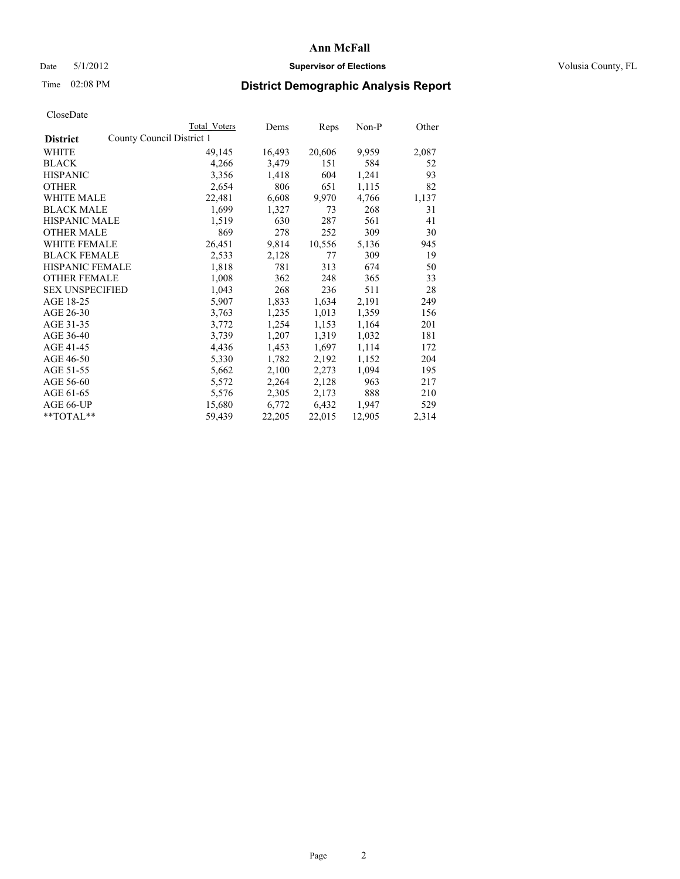## Date 5/1/2012 **Supervisor of Elections Supervisor of Elections** Volusia County, FL

## Time 02:08 PM **District Demographic Analysis Report**

|                                              | <b>Total Voters</b> | Dems   | Reps   | Non-P  | Other |
|----------------------------------------------|---------------------|--------|--------|--------|-------|
| County Council District 1<br><b>District</b> |                     |        |        |        |       |
| <b>WHITE</b>                                 | 49,145              | 16,493 | 20,606 | 9,959  | 2,087 |
| <b>BLACK</b>                                 | 4,266               | 3,479  | 151    | 584    | 52    |
| <b>HISPANIC</b>                              | 3,356               | 1,418  | 604    | 1,241  | 93    |
| <b>OTHER</b>                                 | 2,654               | 806    | 651    | 1,115  | 82    |
| <b>WHITE MALE</b>                            | 22,481              | 6,608  | 9,970  | 4,766  | 1,137 |
| <b>BLACK MALE</b>                            | 1,699               | 1,327  | 73     | 268    | 31    |
| <b>HISPANIC MALE</b>                         | 1,519               | 630    | 287    | 561    | 41    |
| <b>OTHER MALE</b>                            | 869                 | 278    | 252    | 309    | 30    |
| WHITE FEMALE                                 | 26,451              | 9,814  | 10,556 | 5,136  | 945   |
| <b>BLACK FEMALE</b>                          | 2,533               | 2,128  | 77     | 309    | 19    |
| HISPANIC FEMALE                              | 1,818               | 781    | 313    | 674    | 50    |
| <b>OTHER FEMALE</b>                          | 1,008               | 362    | 248    | 365    | 33    |
| <b>SEX UNSPECIFIED</b>                       | 1,043               | 268    | 236    | 511    | 28    |
| AGE 18-25                                    | 5,907               | 1,833  | 1,634  | 2,191  | 249   |
| AGE 26-30                                    | 3,763               | 1,235  | 1,013  | 1,359  | 156   |
| AGE 31-35                                    | 3,772               | 1,254  | 1,153  | 1,164  | 201   |
| AGE 36-40                                    | 3,739               | 1,207  | 1,319  | 1,032  | 181   |
| AGE 41-45                                    | 4,436               | 1,453  | 1,697  | 1,114  | 172   |
| AGE 46-50                                    | 5,330               | 1,782  | 2,192  | 1,152  | 204   |
| AGE 51-55                                    | 5,662               | 2,100  | 2,273  | 1,094  | 195   |
| AGE 56-60                                    | 5,572               | 2,264  | 2,128  | 963    | 217   |
| AGE 61-65                                    | 5,576               | 2,305  | 2,173  | 888    | 210   |
| AGE 66-UP                                    | 15,680              | 6,772  | 6,432  | 1,947  | 529   |
| $*$ TOTAL $*$                                | 59,439              | 22,205 | 22,015 | 12,905 | 2,314 |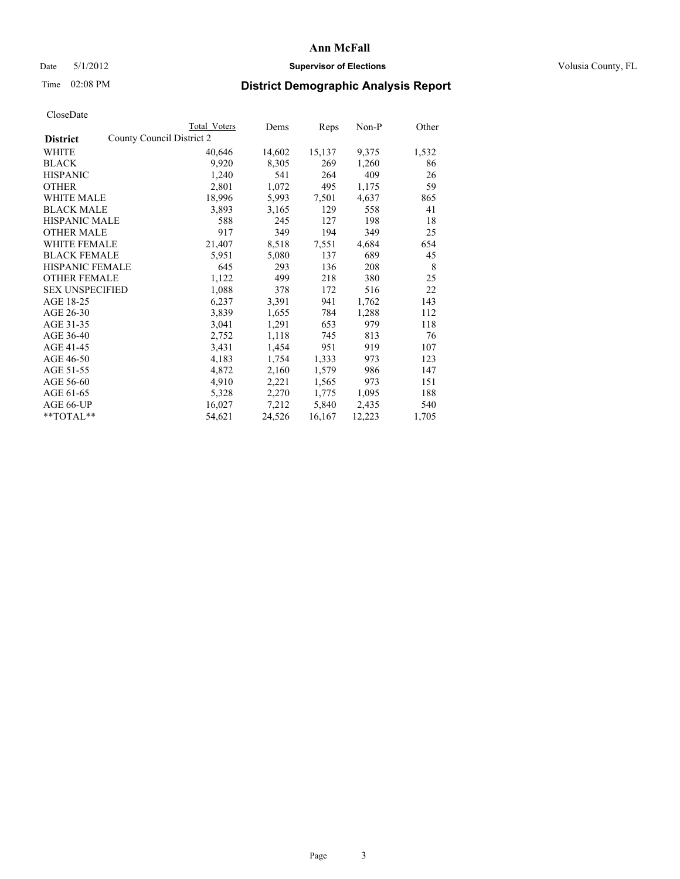## Date 5/1/2012 **Supervisor of Elections Supervisor of Elections** Volusia County, FL

# Time 02:08 PM **District Demographic Analysis Report**

|                        |                           | Total Voters | Dems   | Reps   | $Non-P$ | Other |
|------------------------|---------------------------|--------------|--------|--------|---------|-------|
| <b>District</b>        | County Council District 2 |              |        |        |         |       |
| <b>WHITE</b>           |                           | 40,646       | 14,602 | 15,137 | 9,375   | 1,532 |
| <b>BLACK</b>           |                           | 9,920        | 8,305  | 269    | 1,260   | 86    |
| <b>HISPANIC</b>        |                           | 1,240        | 541    | 264    | 409     | 26    |
| <b>OTHER</b>           |                           | 2,801        | 1,072  | 495    | 1,175   | 59    |
| <b>WHITE MALE</b>      |                           | 18,996       | 5,993  | 7,501  | 4,637   | 865   |
| <b>BLACK MALE</b>      |                           | 3,893        | 3,165  | 129    | 558     | 41    |
| <b>HISPANIC MALE</b>   |                           | 588          | 245    | 127    | 198     | 18    |
| <b>OTHER MALE</b>      |                           | 917          | 349    | 194    | 349     | 25    |
| <b>WHITE FEMALE</b>    |                           | 21,407       | 8,518  | 7,551  | 4,684   | 654   |
| <b>BLACK FEMALE</b>    |                           | 5,951        | 5,080  | 137    | 689     | 45    |
| HISPANIC FEMALE        |                           | 645          | 293    | 136    | 208     | 8     |
| <b>OTHER FEMALE</b>    |                           | 1,122        | 499    | 218    | 380     | 25    |
| <b>SEX UNSPECIFIED</b> |                           | 1,088        | 378    | 172    | 516     | 22    |
| AGE 18-25              |                           | 6,237        | 3,391  | 941    | 1,762   | 143   |
| AGE 26-30              |                           | 3,839        | 1,655  | 784    | 1,288   | 112   |
| AGE 31-35              |                           | 3,041        | 1,291  | 653    | 979     | 118   |
| AGE 36-40              |                           | 2,752        | 1,118  | 745    | 813     | 76    |
| AGE 41-45              |                           | 3,431        | 1,454  | 951    | 919     | 107   |
| AGE 46-50              |                           | 4,183        | 1,754  | 1,333  | 973     | 123   |
| AGE 51-55              |                           | 4,872        | 2,160  | 1,579  | 986     | 147   |
| AGE 56-60              |                           | 4,910        | 2,221  | 1,565  | 973     | 151   |
| AGE 61-65              |                           | 5,328        | 2,270  | 1,775  | 1,095   | 188   |
| AGE 66-UP              |                           | 16,027       | 7,212  | 5,840  | 2,435   | 540   |
| $*$ $TOTAL**$          |                           | 54,621       | 24,526 | 16,167 | 12,223  | 1,705 |
|                        |                           |              |        |        |         |       |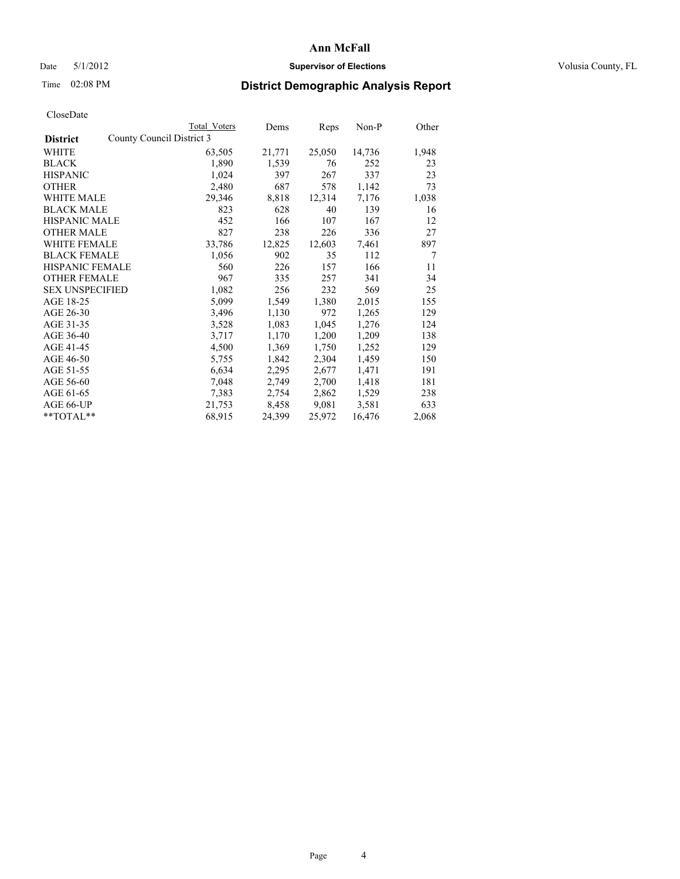## Date 5/1/2012 **Supervisor of Elections Supervisor of Elections** Volusia County, FL

## Time 02:08 PM **District Demographic Analysis Report**

|                        |                           | Total Voters | Dems   | Reps   | Non-P  | Other          |
|------------------------|---------------------------|--------------|--------|--------|--------|----------------|
| <b>District</b>        | County Council District 3 |              |        |        |        |                |
| <b>WHITE</b>           |                           | 63,505       | 21,771 | 25,050 | 14,736 | 1,948          |
| <b>BLACK</b>           |                           | 1,890        | 1,539  | 76     | 252    | 23             |
| <b>HISPANIC</b>        |                           | 1,024        | 397    | 267    | 337    | 23             |
| <b>OTHER</b>           |                           | 2,480        | 687    | 578    | 1,142  | 73             |
| <b>WHITE MALE</b>      |                           | 29,346       | 8,818  | 12,314 | 7,176  | 1,038          |
| <b>BLACK MALE</b>      |                           | 823          | 628    | 40     | 139    | 16             |
| <b>HISPANIC MALE</b>   |                           | 452          | 166    | 107    | 167    | 12             |
| <b>OTHER MALE</b>      |                           | 827          | 238    | 226    | 336    | 27             |
| <b>WHITE FEMALE</b>    |                           | 33,786       | 12,825 | 12,603 | 7,461  | 897            |
| <b>BLACK FEMALE</b>    |                           | 1,056        | 902    | 35     | 112    | $\overline{7}$ |
| <b>HISPANIC FEMALE</b> |                           | 560          | 226    | 157    | 166    | 11             |
| <b>OTHER FEMALE</b>    |                           | 967          | 335    | 257    | 341    | 34             |
| <b>SEX UNSPECIFIED</b> |                           | 1,082        | 256    | 232    | 569    | 25             |
| AGE 18-25              |                           | 5,099        | 1,549  | 1,380  | 2,015  | 155            |
| AGE 26-30              |                           | 3,496        | 1,130  | 972    | 1,265  | 129            |
| AGE 31-35              |                           | 3,528        | 1,083  | 1,045  | 1,276  | 124            |
| AGE 36-40              |                           | 3,717        | 1,170  | 1,200  | 1,209  | 138            |
| AGE 41-45              |                           | 4,500        | 1,369  | 1,750  | 1,252  | 129            |
| AGE 46-50              |                           | 5,755        | 1,842  | 2,304  | 1,459  | 150            |
| AGE 51-55              |                           | 6,634        | 2,295  | 2,677  | 1,471  | 191            |
| AGE 56-60              |                           | 7,048        | 2,749  | 2,700  | 1,418  | 181            |
| AGE 61-65              |                           | 7,383        | 2,754  | 2,862  | 1,529  | 238            |
| AGE 66-UP              |                           | 21,753       | 8,458  | 9,081  | 3,581  | 633            |
| $*$ $TOTAL**$          |                           | 68,915       | 24,399 | 25,972 | 16,476 | 2,068          |
|                        |                           |              |        |        |        |                |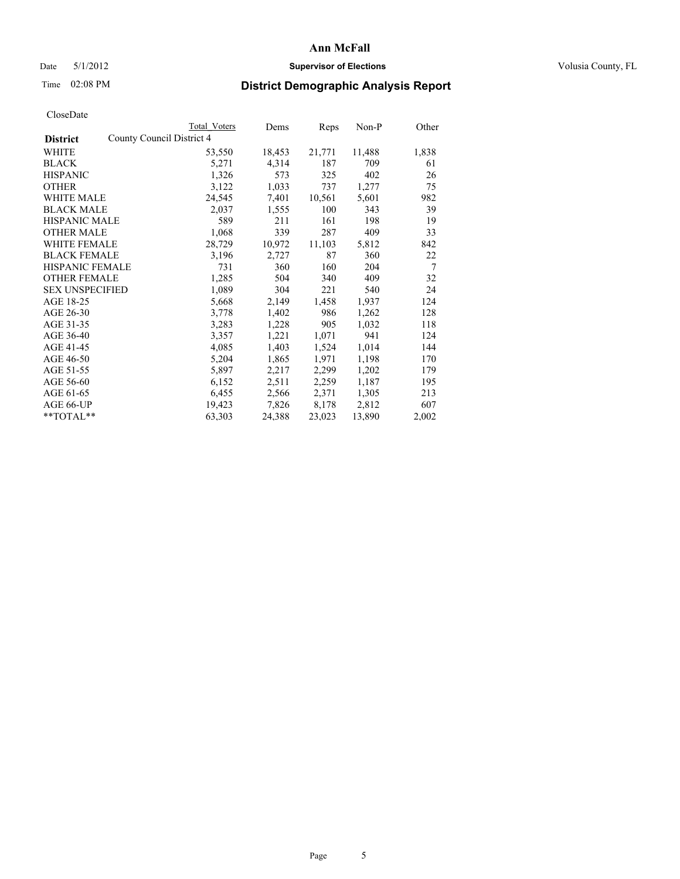## Date 5/1/2012 **Supervisor of Elections Supervisor of Elections** Volusia County, FL

## Time 02:08 PM **District Demographic Analysis Report**

|                                              | Total Voters | Dems   | <b>Reps</b> | Non-P  | Other |
|----------------------------------------------|--------------|--------|-------------|--------|-------|
| County Council District 4<br><b>District</b> |              |        |             |        |       |
| WHITE                                        | 53,550       | 18,453 | 21,771      | 11,488 | 1,838 |
| <b>BLACK</b>                                 | 5,271        | 4,314  | 187         | 709    | 61    |
| <b>HISPANIC</b>                              | 1,326        | 573    | 325         | 402    | 26    |
| <b>OTHER</b>                                 | 3,122        | 1,033  | 737         | 1,277  | 75    |
| <b>WHITE MALE</b>                            | 24,545       | 7,401  | 10,561      | 5,601  | 982   |
| <b>BLACK MALE</b>                            | 2,037        | 1,555  | 100         | 343    | 39    |
| <b>HISPANIC MALE</b>                         | 589          | 211    | 161         | 198    | 19    |
| <b>OTHER MALE</b>                            | 1,068        | 339    | 287         | 409    | 33    |
| <b>WHITE FEMALE</b>                          | 28,729       | 10,972 | 11,103      | 5,812  | 842   |
| <b>BLACK FEMALE</b>                          | 3,196        | 2,727  | 87          | 360    | 22    |
| <b>HISPANIC FEMALE</b>                       | 731          | 360    | 160         | 204    | 7     |
| <b>OTHER FEMALE</b>                          | 1,285        | 504    | 340         | 409    | 32    |
| <b>SEX UNSPECIFIED</b>                       | 1,089        | 304    | 221         | 540    | 24    |
| AGE 18-25                                    | 5,668        | 2,149  | 1,458       | 1,937  | 124   |
| AGE 26-30                                    | 3,778        | 1,402  | 986         | 1,262  | 128   |
| AGE 31-35                                    | 3,283        | 1,228  | 905         | 1,032  | 118   |
| AGE 36-40                                    | 3,357        | 1,221  | 1,071       | 941    | 124   |
| AGE 41-45                                    | 4,085        | 1,403  | 1,524       | 1,014  | 144   |
| AGE 46-50                                    | 5,204        | 1,865  | 1,971       | 1,198  | 170   |
| AGE 51-55                                    | 5,897        | 2,217  | 2,299       | 1,202  | 179   |
| AGE 56-60                                    | 6,152        | 2,511  | 2,259       | 1,187  | 195   |
| AGE 61-65                                    | 6,455        | 2,566  | 2,371       | 1,305  | 213   |
| AGE 66-UP                                    | 19,423       | 7,826  | 8,178       | 2,812  | 607   |
| $*$ $TOTAL**$                                | 63,303       | 24,388 | 23,023      | 13,890 | 2,002 |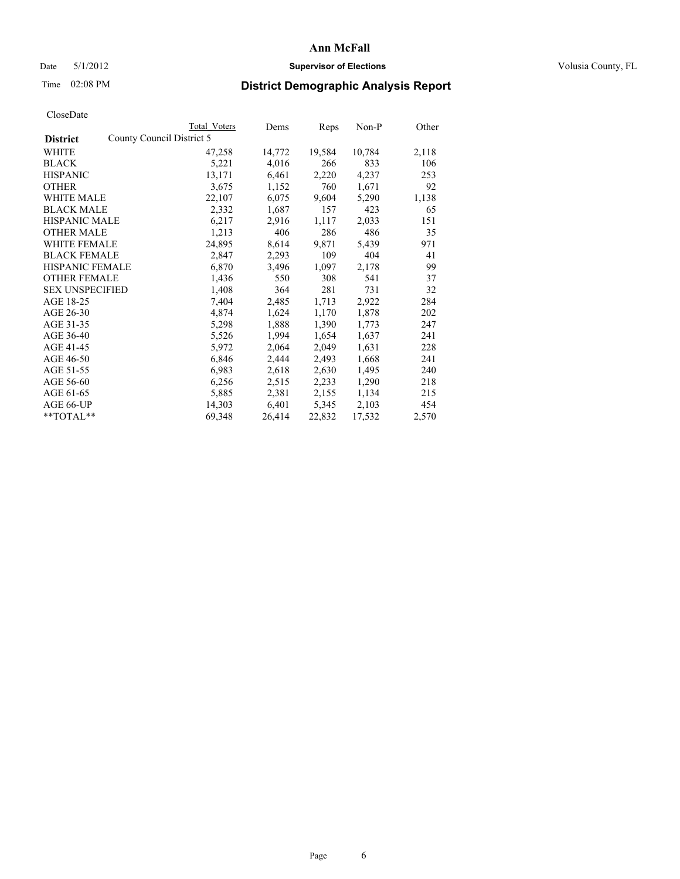## Date 5/1/2012 **Supervisor of Elections Supervisor of Elections** Volusia County, FL

# Time 02:08 PM **District Demographic Analysis Report**

|                        |                           | <b>Total Voters</b> | Dems   | Reps   | Non-P  | Other |
|------------------------|---------------------------|---------------------|--------|--------|--------|-------|
| <b>District</b>        | County Council District 5 |                     |        |        |        |       |
| <b>WHITE</b>           |                           | 47,258              | 14,772 | 19,584 | 10,784 | 2,118 |
| <b>BLACK</b>           |                           | 5,221               | 4,016  | 266    | 833    | 106   |
| <b>HISPANIC</b>        |                           | 13,171              | 6,461  | 2,220  | 4,237  | 253   |
| <b>OTHER</b>           |                           | 3,675               | 1,152  | 760    | 1,671  | 92    |
| WHITE MALE             |                           | 22,107              | 6,075  | 9,604  | 5,290  | 1,138 |
| <b>BLACK MALE</b>      |                           | 2,332               | 1,687  | 157    | 423    | 65    |
| <b>HISPANIC MALE</b>   |                           | 6,217               | 2,916  | 1,117  | 2,033  | 151   |
| <b>OTHER MALE</b>      |                           | 1,213               | 406    | 286    | 486    | 35    |
| <b>WHITE FEMALE</b>    |                           | 24,895              | 8,614  | 9,871  | 5,439  | 971   |
| <b>BLACK FEMALE</b>    |                           | 2,847               | 2,293  | 109    | 404    | 41    |
| <b>HISPANIC FEMALE</b> |                           | 6,870               | 3,496  | 1,097  | 2,178  | 99    |
| <b>OTHER FEMALE</b>    |                           | 1,436               | 550    | 308    | 541    | 37    |
| <b>SEX UNSPECIFIED</b> |                           | 1,408               | 364    | 281    | 731    | 32    |
| AGE 18-25              |                           | 7,404               | 2,485  | 1,713  | 2,922  | 284   |
| AGE 26-30              |                           | 4,874               | 1,624  | 1,170  | 1,878  | 202   |
| AGE 31-35              |                           | 5,298               | 1,888  | 1,390  | 1,773  | 247   |
| AGE 36-40              |                           | 5,526               | 1,994  | 1,654  | 1,637  | 241   |
| AGE 41-45              |                           | 5,972               | 2,064  | 2,049  | 1,631  | 228   |
| AGE 46-50              |                           | 6,846               | 2,444  | 2,493  | 1,668  | 241   |
| AGE 51-55              |                           | 6,983               | 2,618  | 2,630  | 1,495  | 240   |
| AGE 56-60              |                           | 6,256               | 2,515  | 2,233  | 1,290  | 218   |
| AGE 61-65              |                           | 5,885               | 2,381  | 2,155  | 1,134  | 215   |
| AGE 66-UP              |                           | 14,303              | 6,401  | 5,345  | 2,103  | 454   |
| $*$ $TOTAL**$          |                           | 69,348              | 26,414 | 22,832 | 17,532 | 2,570 |
|                        |                           |                     |        |        |        |       |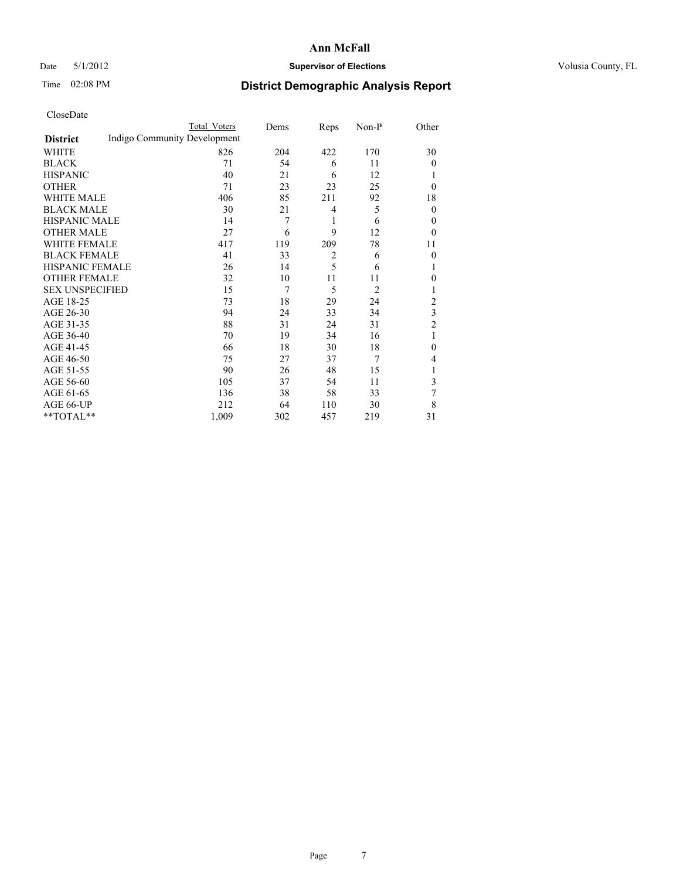## Date 5/1/2012 **Supervisor of Elections Supervisor of Elections** Volusia County, FL

# Time 02:08 PM **District Demographic Analysis Report**

|                        |                              | <b>Total Voters</b> | Dems | Reps           | Non-P          | Other          |
|------------------------|------------------------------|---------------------|------|----------------|----------------|----------------|
| <b>District</b>        | Indigo Community Development |                     |      |                |                |                |
| WHITE                  |                              | 826                 | 204  | 422            | 170            | 30             |
| <b>BLACK</b>           |                              | 71                  | 54   | 6              | 11             | $\theta$       |
| <b>HISPANIC</b>        |                              | 40                  | 21   | 6              | 12             |                |
| <b>OTHER</b>           |                              | 71                  | 23   | 23             | 25             | $\theta$       |
| WHITE MALE             |                              | 406                 | 85   | 211            | 92             | 18             |
| <b>BLACK MALE</b>      |                              | 30                  | 21   | 4              | 5              | $\mathbf{0}$   |
| <b>HISPANIC MALE</b>   |                              | 14                  | 7    | 1              | 6              | $\theta$       |
| <b>OTHER MALE</b>      |                              | 27                  | 6    | 9              | 12             | $\theta$       |
| <b>WHITE FEMALE</b>    |                              | 417                 | 119  | 209            | 78             | 11             |
| <b>BLACK FEMALE</b>    |                              | 41                  | 33   | $\overline{2}$ | 6              | $\mathbf{0}$   |
| HISPANIC FEMALE        |                              | 26                  | 14   | 5              | 6              | 1              |
| <b>OTHER FEMALE</b>    |                              | 32                  | 10   | 11             | 11             | $\mathbf{0}$   |
| <b>SEX UNSPECIFIED</b> |                              | 15                  | 7    | 5              | $\overline{2}$ | 1              |
| AGE 18-25              |                              | 73                  | 18   | 29             | 24             | $\overline{c}$ |
| AGE 26-30              |                              | 94                  | 24   | 33             | 34             | 3              |
| AGE 31-35              |                              | 88                  | 31   | 24             | 31             | $\overline{c}$ |
| AGE 36-40              |                              | 70                  | 19   | 34             | 16             | 1              |
| AGE 41-45              |                              | 66                  | 18   | 30             | 18             | $\theta$       |
| AGE 46-50              |                              | 75                  | 27   | 37             | 7              | 4              |
| AGE 51-55              |                              | 90                  | 26   | 48             | 15             | 1              |
| AGE 56-60              |                              | 105                 | 37   | 54             | 11             | 3              |
| AGE 61-65              |                              | 136                 | 38   | 58             | 33             | 7              |
| AGE 66-UP              |                              | 212                 | 64   | 110            | 30             | 8              |
| **TOTAL**              |                              | 1,009               | 302  | 457            | 219            | 31             |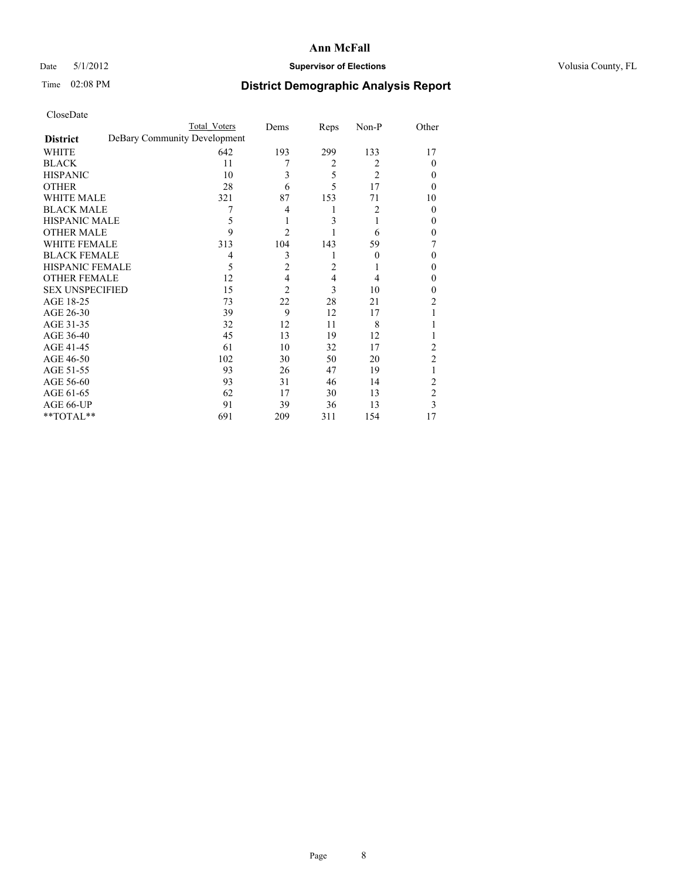## Date 5/1/2012 **Supervisor of Elections Supervisor of Elections** Volusia County, FL

# Time 02:08 PM **District Demographic Analysis Report**

|                        |                              | <b>Total Voters</b> | Dems           | Reps           | Non-P          | Other          |
|------------------------|------------------------------|---------------------|----------------|----------------|----------------|----------------|
| <b>District</b>        | DeBary Community Development |                     |                |                |                |                |
| WHITE                  |                              | 642                 | 193            | 299            | 133            | 17             |
| <b>BLACK</b>           |                              | 11                  | 7              | $\overline{2}$ | 2              | $\Omega$       |
| <b>HISPANIC</b>        |                              | 10                  | 3              | 5              | $\overline{2}$ | $\theta$       |
| <b>OTHER</b>           |                              | 28                  | 6              | 5              | 17             | $\Omega$       |
| WHITE MALE             |                              | 321                 | 87             | 153            | 71             | 10             |
| <b>BLACK MALE</b>      |                              | 7                   | 4              |                | $\overline{c}$ | $\theta$       |
| <b>HISPANIC MALE</b>   |                              | 5                   | 1              | 3              |                | $\theta$       |
| <b>OTHER MALE</b>      |                              | 9                   | $\overline{2}$ |                | 6              | $\overline{0}$ |
| WHITE FEMALE           |                              | 313                 | 104            | 143            | 59             | 7              |
| <b>BLACK FEMALE</b>    |                              | 4                   | 3              |                | $\theta$       | $\Omega$       |
| <b>HISPANIC FEMALE</b> |                              | 5                   | $\overline{2}$ | $\overline{c}$ |                | $\theta$       |
| <b>OTHER FEMALE</b>    |                              | 12                  | 4              | 4              | 4              | $\theta$       |
| <b>SEX UNSPECIFIED</b> |                              | 15                  | $\overline{2}$ | 3              | 10             | $\theta$       |
| AGE 18-25              |                              | 73                  | 22             | 28             | 21             | $\overline{2}$ |
| AGE 26-30              |                              | 39                  | 9              | 12             | 17             | 1              |
| AGE 31-35              |                              | 32                  | 12             | 11             | 8              |                |
| AGE 36-40              |                              | 45                  | 13             | 19             | 12             |                |
| AGE 41-45              |                              | 61                  | 10             | 32             | 17             | 2              |
| AGE 46-50              |                              | 102                 | 30             | 50             | 20             | 2              |
| AGE 51-55              |                              | 93                  | 26             | 47             | 19             | 1              |
| AGE 56-60              |                              | 93                  | 31             | 46             | 14             | 2              |
| AGE 61-65              |                              | 62                  | 17             | 30             | 13             | $\overline{c}$ |
| AGE 66-UP              |                              | 91                  | 39             | 36             | 13             | 3              |
| **TOTAL**              |                              | 691                 | 209            | 311            | 154            | 17             |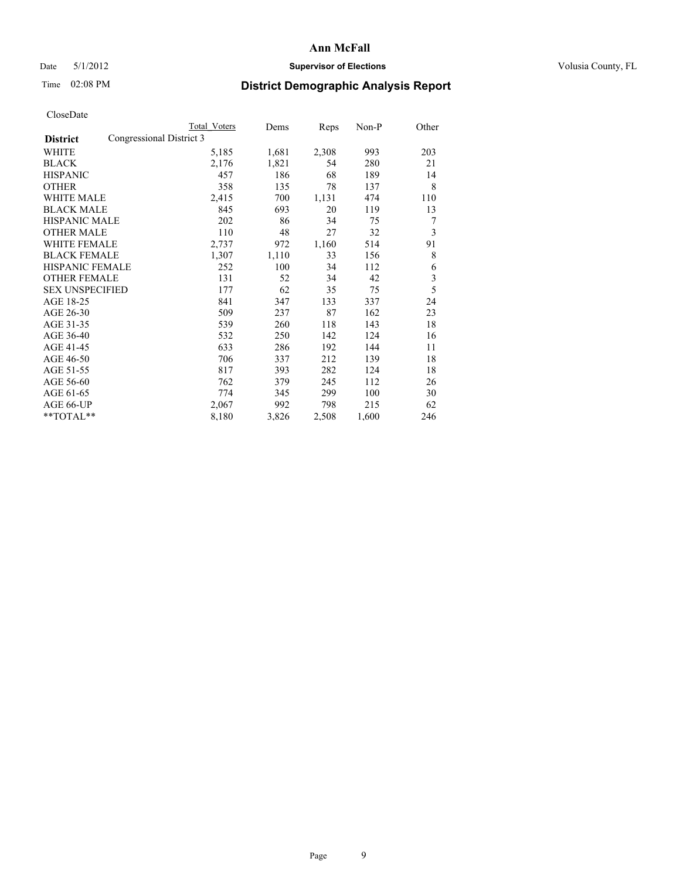## Date 5/1/2012 **Supervisor of Elections Supervisor of Elections** Volusia County, FL

# Time 02:08 PM **District Demographic Analysis Report**

|                        | <b>Total Voters</b>      | Dems  | Reps  | Non-P | Other |
|------------------------|--------------------------|-------|-------|-------|-------|
| <b>District</b>        | Congressional District 3 |       |       |       |       |
| WHITE                  | 5,185                    | 1,681 | 2,308 | 993   | 203   |
| <b>BLACK</b>           | 2,176                    | 1,821 | 54    | 280   | 21    |
| <b>HISPANIC</b>        | 457                      | 186   | 68    | 189   | 14    |
| <b>OTHER</b>           | 358                      | 135   | 78    | 137   | 8     |
| <b>WHITE MALE</b>      | 2,415                    | 700   | 1,131 | 474   | 110   |
| <b>BLACK MALE</b>      | 845                      | 693   | 20    | 119   | 13    |
| HISPANIC MALE          | 202                      | 86    | 34    | 75    | 7     |
| <b>OTHER MALE</b>      | 110                      | 48    | 27    | 32    | 3     |
| <b>WHITE FEMALE</b>    | 2,737                    | 972   | 1,160 | 514   | 91    |
| <b>BLACK FEMALE</b>    | 1,307                    | 1,110 | 33    | 156   | 8     |
| <b>HISPANIC FEMALE</b> | 252                      | 100   | 34    | 112   | 6     |
| <b>OTHER FEMALE</b>    | 131                      | 52    | 34    | 42    | 3     |
| <b>SEX UNSPECIFIED</b> | 177                      | 62    | 35    | 75    | 5     |
| AGE 18-25              | 841                      | 347   | 133   | 337   | 24    |
| AGE 26-30              | 509                      | 237   | 87    | 162   | 23    |
| AGE 31-35              | 539                      | 260   | 118   | 143   | 18    |
| AGE 36-40              | 532                      | 250   | 142   | 124   | 16    |
| AGE 41-45              | 633                      | 286   | 192   | 144   | 11    |
| AGE 46-50              | 706                      | 337   | 212   | 139   | 18    |
| AGE 51-55              | 817                      | 393   | 282   | 124   | 18    |
| AGE 56-60              | 762                      | 379   | 245   | 112   | 26    |
| AGE 61-65              | 774                      | 345   | 299   | 100   | 30    |
| AGE 66-UP              | 2,067                    | 992   | 798   | 215   | 62    |
| **TOTAL**              | 8,180                    | 3,826 | 2,508 | 1,600 | 246   |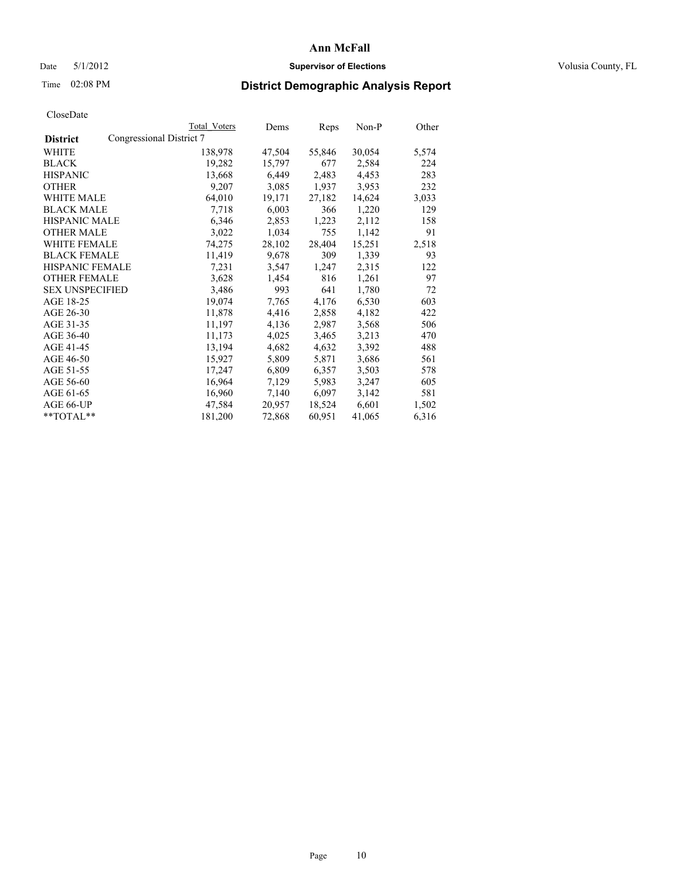## Date 5/1/2012 **Supervisor of Elections Supervisor of Elections** Volusia County, FL

## Time 02:08 PM **District Demographic Analysis Report**

|                                             | Total Voters | Dems   | <b>Reps</b> | Non-P  | Other |
|---------------------------------------------|--------------|--------|-------------|--------|-------|
| Congressional District 7<br><b>District</b> |              |        |             |        |       |
| WHITE                                       | 138,978      | 47,504 | 55,846      | 30,054 | 5,574 |
| <b>BLACK</b>                                | 19,282       | 15,797 | 677         | 2,584  | 224   |
| <b>HISPANIC</b>                             | 13,668       | 6,449  | 2,483       | 4,453  | 283   |
| <b>OTHER</b>                                | 9,207        | 3,085  | 1,937       | 3,953  | 232   |
| WHITE MALE                                  | 64,010       | 19,171 | 27,182      | 14,624 | 3,033 |
| <b>BLACK MALE</b>                           | 7,718        | 6,003  | 366         | 1,220  | 129   |
| <b>HISPANIC MALE</b>                        | 6,346        | 2,853  | 1,223       | 2,112  | 158   |
| <b>OTHER MALE</b>                           | 3,022        | 1,034  | 755         | 1,142  | 91    |
| <b>WHITE FEMALE</b>                         | 74,275       | 28,102 | 28,404      | 15,251 | 2,518 |
| <b>BLACK FEMALE</b>                         | 11,419       | 9,678  | 309         | 1,339  | 93    |
| HISPANIC FEMALE                             | 7,231        | 3,547  | 1,247       | 2,315  | 122   |
| <b>OTHER FEMALE</b>                         | 3,628        | 1,454  | 816         | 1,261  | 97    |
| <b>SEX UNSPECIFIED</b>                      | 3,486        | 993    | 641         | 1,780  | 72    |
| AGE 18-25                                   | 19,074       | 7,765  | 4,176       | 6,530  | 603   |
| AGE 26-30                                   | 11,878       | 4,416  | 2,858       | 4,182  | 422   |
| AGE 31-35                                   | 11,197       | 4,136  | 2,987       | 3,568  | 506   |
| AGE 36-40                                   | 11,173       | 4,025  | 3,465       | 3,213  | 470   |
| AGE 41-45                                   | 13,194       | 4,682  | 4,632       | 3,392  | 488   |
| AGE 46-50                                   | 15,927       | 5,809  | 5,871       | 3,686  | 561   |
| AGE 51-55                                   | 17,247       | 6,809  | 6,357       | 3,503  | 578   |
| AGE 56-60                                   | 16,964       | 7,129  | 5,983       | 3,247  | 605   |
| AGE 61-65                                   | 16,960       | 7,140  | 6,097       | 3,142  | 581   |
| AGE 66-UP                                   | 47,584       | 20,957 | 18,524      | 6,601  | 1,502 |
| $*$ $TOTAL**$                               | 181,200      | 72,868 | 60,951      | 41,065 | 6,316 |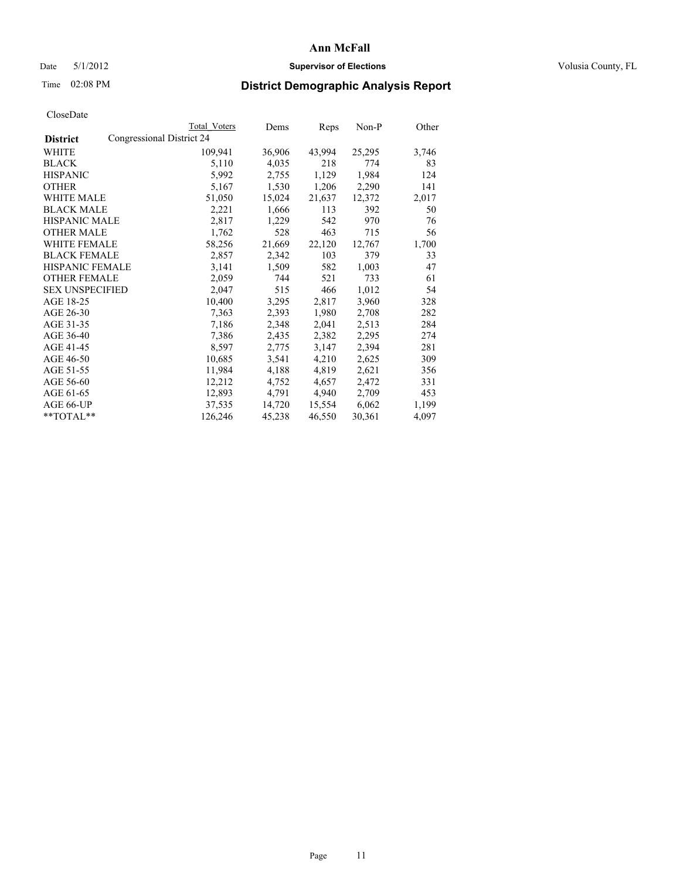## Date 5/1/2012 **Supervisor of Elections Supervisor of Elections** Volusia County, FL

## Time 02:08 PM **District Demographic Analysis Report**

|                        |                           | Total Voters | Dems   | <b>Reps</b> | Non-P  | Other |
|------------------------|---------------------------|--------------|--------|-------------|--------|-------|
| <b>District</b>        | Congressional District 24 |              |        |             |        |       |
| <b>WHITE</b>           |                           | 109,941      | 36,906 | 43,994      | 25,295 | 3,746 |
| <b>BLACK</b>           |                           | 5,110        | 4,035  | 218         | 774    | 83    |
| <b>HISPANIC</b>        |                           | 5,992        | 2,755  | 1,129       | 1,984  | 124   |
| <b>OTHER</b>           |                           | 5,167        | 1,530  | 1,206       | 2,290  | 141   |
| <b>WHITE MALE</b>      |                           | 51,050       | 15,024 | 21,637      | 12,372 | 2,017 |
| <b>BLACK MALE</b>      |                           | 2,221        | 1,666  | 113         | 392    | 50    |
| <b>HISPANIC MALE</b>   |                           | 2,817        | 1,229  | 542         | 970    | 76    |
| <b>OTHER MALE</b>      |                           | 1,762        | 528    | 463         | 715    | 56    |
| <b>WHITE FEMALE</b>    |                           | 58,256       | 21,669 | 22,120      | 12,767 | 1,700 |
| <b>BLACK FEMALE</b>    |                           | 2,857        | 2,342  | 103         | 379    | 33    |
| <b>HISPANIC FEMALE</b> |                           | 3,141        | 1,509  | 582         | 1,003  | 47    |
| <b>OTHER FEMALE</b>    |                           | 2,059        | 744    | 521         | 733    | 61    |
| <b>SEX UNSPECIFIED</b> |                           | 2,047        | 515    | 466         | 1,012  | 54    |
| AGE 18-25              |                           | 10,400       | 3,295  | 2,817       | 3,960  | 328   |
| AGE 26-30              |                           | 7,363        | 2,393  | 1,980       | 2,708  | 282   |
| AGE 31-35              |                           | 7,186        | 2,348  | 2,041       | 2,513  | 284   |
| AGE 36-40              |                           | 7,386        | 2,435  | 2,382       | 2,295  | 274   |
| AGE 41-45              |                           | 8,597        | 2,775  | 3,147       | 2,394  | 281   |
| AGE 46-50              |                           | 10,685       | 3,541  | 4,210       | 2,625  | 309   |
| AGE 51-55              |                           | 11,984       | 4,188  | 4,819       | 2,621  | 356   |
| AGE 56-60              |                           | 12,212       | 4,752  | 4,657       | 2,472  | 331   |
| AGE 61-65              |                           | 12,893       | 4,791  | 4,940       | 2,709  | 453   |
| AGE 66-UP              |                           | 37,535       | 14,720 | 15,554      | 6,062  | 1,199 |
| $*$ $TOTAL**$          |                           | 126,246      | 45,238 | 46,550      | 30,361 | 4,097 |
|                        |                           |              |        |             |        |       |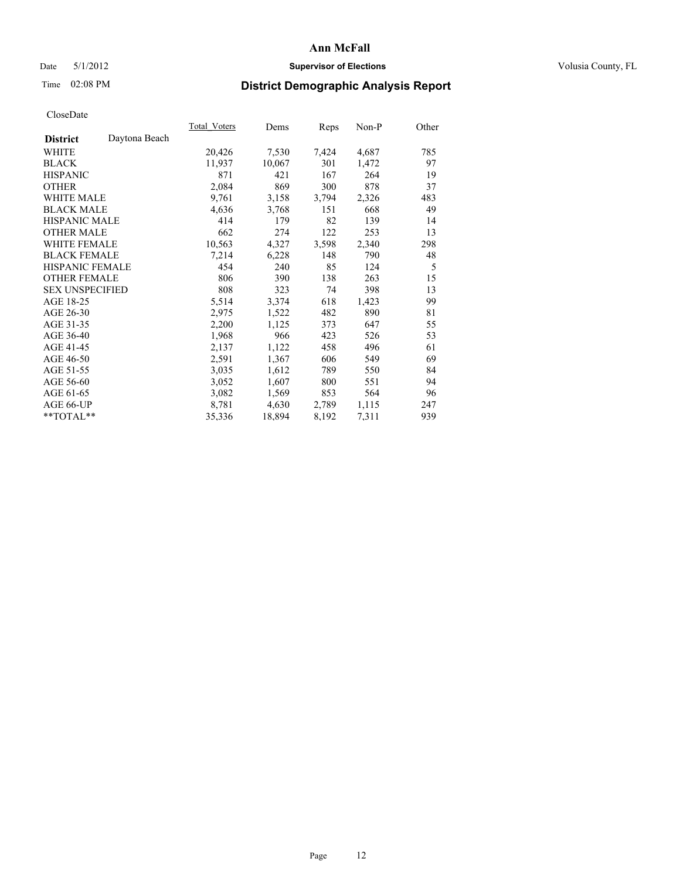## Date 5/1/2012 **Supervisor of Elections Supervisor of Elections** Volusia County, FL

# Time 02:08 PM **District Demographic Analysis Report**

|                        |               | Total Voters | Dems   | Reps  | Non-P | Other |
|------------------------|---------------|--------------|--------|-------|-------|-------|
| <b>District</b>        | Daytona Beach |              |        |       |       |       |
| <b>WHITE</b>           |               | 20,426       | 7,530  | 7,424 | 4,687 | 785   |
| <b>BLACK</b>           |               | 11,937       | 10,067 | 301   | 1,472 | 97    |
| <b>HISPANIC</b>        |               | 871          | 421    | 167   | 264   | 19    |
| <b>OTHER</b>           |               | 2,084        | 869    | 300   | 878   | 37    |
| <b>WHITE MALE</b>      |               | 9,761        | 3,158  | 3,794 | 2,326 | 483   |
| <b>BLACK MALE</b>      |               | 4,636        | 3,768  | 151   | 668   | 49    |
| <b>HISPANIC MALE</b>   |               | 414          | 179    | 82    | 139   | 14    |
| <b>OTHER MALE</b>      |               | 662          | 274    | 122   | 253   | 13    |
| <b>WHITE FEMALE</b>    |               | 10,563       | 4,327  | 3,598 | 2,340 | 298   |
| <b>BLACK FEMALE</b>    |               | 7,214        | 6,228  | 148   | 790   | 48    |
| HISPANIC FEMALE        |               | 454          | 240    | 85    | 124   | 5     |
| <b>OTHER FEMALE</b>    |               | 806          | 390    | 138   | 263   | 15    |
| <b>SEX UNSPECIFIED</b> |               | 808          | 323    | 74    | 398   | 13    |
| AGE 18-25              |               | 5,514        | 3,374  | 618   | 1,423 | 99    |
| AGE 26-30              |               | 2,975        | 1,522  | 482   | 890   | 81    |
| AGE 31-35              |               | 2,200        | 1,125  | 373   | 647   | 55    |
| AGE 36-40              |               | 1,968        | 966    | 423   | 526   | 53    |
| AGE 41-45              |               | 2,137        | 1,122  | 458   | 496   | 61    |
| AGE 46-50              |               | 2,591        | 1,367  | 606   | 549   | 69    |
| AGE 51-55              |               | 3,035        | 1,612  | 789   | 550   | 84    |
| AGE 56-60              |               | 3,052        | 1,607  | 800   | 551   | 94    |
| AGE 61-65              |               | 3,082        | 1,569  | 853   | 564   | 96    |
| AGE 66-UP              |               | 8,781        | 4,630  | 2,789 | 1,115 | 247   |
| $*$ $TOTAL**$          |               | 35,336       | 18,894 | 8,192 | 7,311 | 939   |
|                        |               |              |        |       |       |       |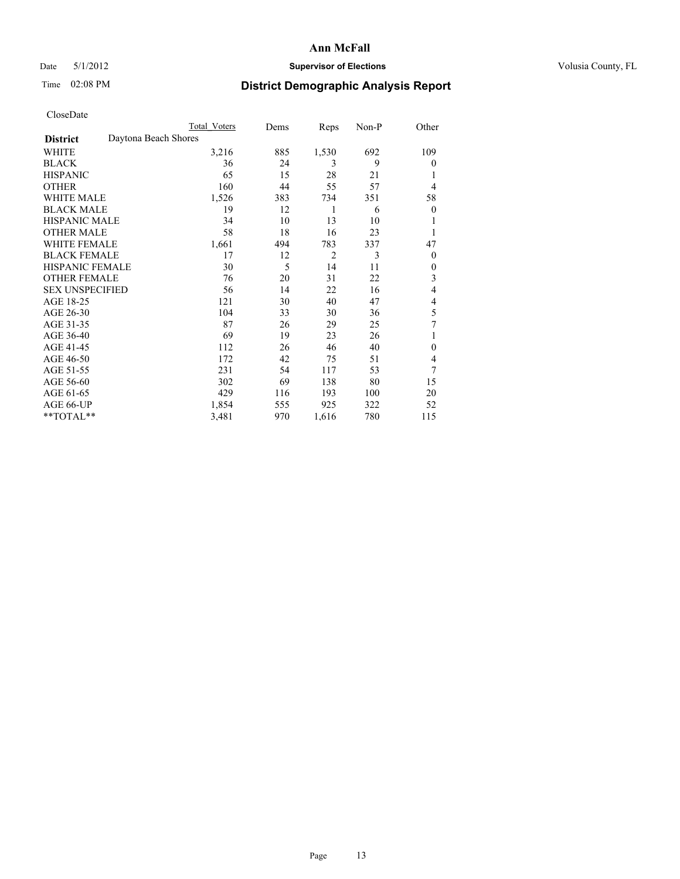## Date 5/1/2012 **Supervisor of Elections Supervisor of Elections** Volusia County, FL

## Time 02:08 PM **District Demographic Analysis Report**

| <b>UIUSUDUI</b> U      |                      |                     |      |       |       |                |
|------------------------|----------------------|---------------------|------|-------|-------|----------------|
|                        |                      | <b>Total Voters</b> | Dems | Reps  | Non-P | Other          |
| <b>District</b>        | Daytona Beach Shores |                     |      |       |       |                |
| <b>WHITE</b>           |                      | 3,216               | 885  | 1,530 | 692   | 109            |
| <b>BLACK</b>           |                      | 36                  | 24   | 3     | 9     | $\overline{0}$ |
| <b>HISPANIC</b>        |                      | 65                  | 15   | 28    | 21    |                |
| <b>OTHER</b>           |                      | 160                 | 44   | 55    | 57    | $\overline{4}$ |
| WHITE MALE             |                      | 1,526               | 383  | 734   | 351   | 58             |
| <b>BLACK MALE</b>      |                      | 19                  | 12   | 1     | 6     | $\theta$       |
| <b>HISPANIC MALE</b>   |                      | 34                  | 10   | 13    | 10    | 1              |
| <b>OTHER MALE</b>      |                      | 58                  | 18   | 16    | 23    | 1              |
| WHITE FEMALE           |                      | 1,661               | 494  | 783   | 337   | 47             |
| <b>BLACK FEMALE</b>    |                      | 17                  | 12   | 2     | 3     | $\overline{0}$ |
| <b>HISPANIC FEMALE</b> |                      | 30                  | 5    | 14    | 11    | $\overline{0}$ |
| <b>OTHER FEMALE</b>    |                      | 76                  | 20   | 31    | 22    | 3              |
| <b>SEX UNSPECIFIED</b> |                      | 56                  | 14   | 22    | 16    | 4              |
| AGE 18-25              |                      | 121                 | 30   | 40    | 47    | 4              |
| AGE 26-30              |                      | 104                 | 33   | 30    | 36    | 5              |
| AGE 31-35              |                      | 87                  | 26   | 29    | 25    | 7              |
| AGE 36-40              |                      | 69                  | 19   | 23    | 26    | 1              |
| AGE 41-45              |                      | 112                 | 26   | 46    | 40    | $\overline{0}$ |
| AGE 46-50              |                      | 172                 | 42   | 75    | 51    | 4              |
| AGE 51-55              |                      | 231                 | 54   | 117   | 53    | 7              |
| AGE 56-60              |                      | 302                 | 69   | 138   | 80    | 15             |
| AGE 61-65              |                      | 429                 | 116  | 193   | 100   | 20             |
| AGE 66-UP              |                      | 1,854               | 555  | 925   | 322   | 52             |
| **TOTAL**              |                      | 3,481               | 970  | 1,616 | 780   | 115            |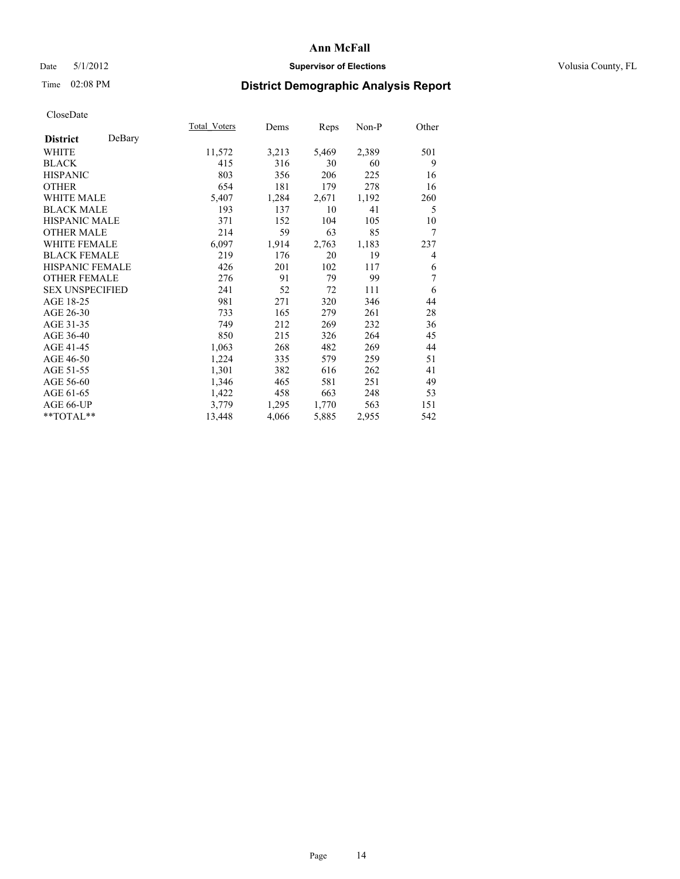## Date 5/1/2012 **Supervisor of Elections Supervisor of Elections** Volusia County, FL

# Time 02:08 PM **District Demographic Analysis Report**

|                           | Total Voters | Dems  | Reps  | Non-P | Other |
|---------------------------|--------------|-------|-------|-------|-------|
| DeBary<br><b>District</b> |              |       |       |       |       |
| WHITE                     | 11,572       | 3,213 | 5,469 | 2,389 | 501   |
| <b>BLACK</b>              | 415          | 316   | 30    | 60    | 9     |
| <b>HISPANIC</b>           | 803          | 356   | 206   | 225   | 16    |
| <b>OTHER</b>              | 654          | 181   | 179   | 278   | 16    |
| <b>WHITE MALE</b>         | 5,407        | 1,284 | 2,671 | 1,192 | 260   |
| <b>BLACK MALE</b>         | 193          | 137   | 10    | 41    | 5     |
| <b>HISPANIC MALE</b>      | 371          | 152   | 104   | 105   | 10    |
| <b>OTHER MALE</b>         | 214          | 59    | 63    | 85    | 7     |
| <b>WHITE FEMALE</b>       | 6,097        | 1,914 | 2,763 | 1,183 | 237   |
| <b>BLACK FEMALE</b>       | 219          | 176   | 20    | 19    | 4     |
| <b>HISPANIC FEMALE</b>    | 426          | 201   | 102   | 117   | 6     |
| <b>OTHER FEMALE</b>       | 276          | 91    | 79    | 99    | 7     |
| <b>SEX UNSPECIFIED</b>    | 241          | 52    | 72    | 111   | 6     |
| AGE 18-25                 | 981          | 271   | 320   | 346   | 44    |
| AGE 26-30                 | 733          | 165   | 279   | 261   | 28    |
| AGE 31-35                 | 749          | 212   | 269   | 232   | 36    |
| AGE 36-40                 | 850          | 215   | 326   | 264   | 45    |
| AGE 41-45                 | 1,063        | 268   | 482   | 269   | 44    |
| AGE 46-50                 | 1,224        | 335   | 579   | 259   | 51    |
| AGE 51-55                 | 1,301        | 382   | 616   | 262   | 41    |
| AGE 56-60                 | 1,346        | 465   | 581   | 251   | 49    |
| AGE 61-65                 | 1,422        | 458   | 663   | 248   | 53    |
| AGE 66-UP                 | 3,779        | 1,295 | 1,770 | 563   | 151   |
| **TOTAL**                 | 13,448       | 4,066 | 5,885 | 2,955 | 542   |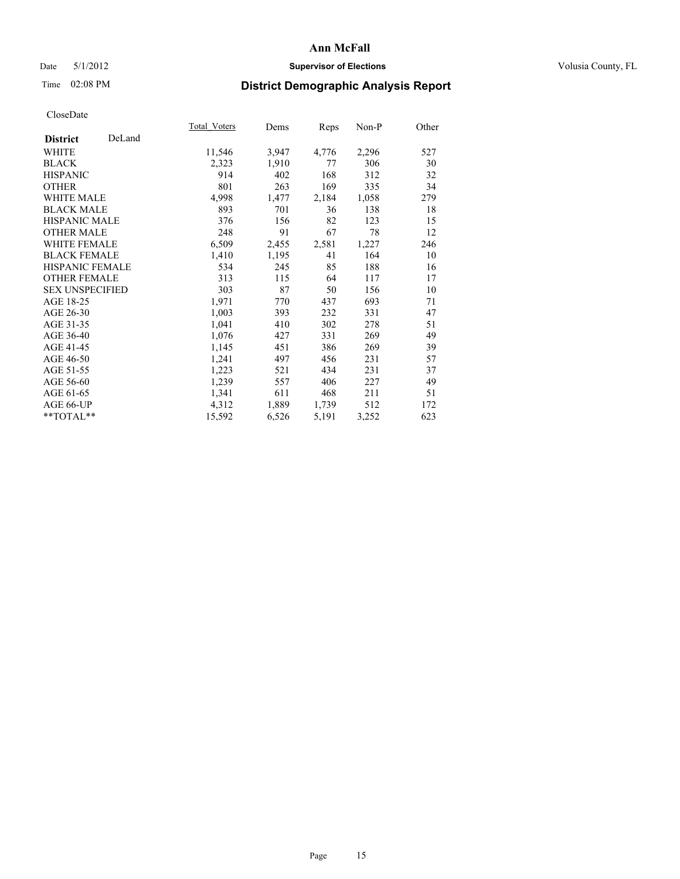## Date 5/1/2012 **Supervisor of Elections Supervisor of Elections** Volusia County, FL

# Time 02:08 PM **District Demographic Analysis Report**

|                        |        | Total Voters | Dems  | <b>Reps</b> | Non-P | Other |
|------------------------|--------|--------------|-------|-------------|-------|-------|
| <b>District</b>        | DeLand |              |       |             |       |       |
| WHITE                  |        | 11,546       | 3,947 | 4,776       | 2,296 | 527   |
| <b>BLACK</b>           |        | 2,323        | 1,910 | 77          | 306   | 30    |
| <b>HISPANIC</b>        |        | 914          | 402   | 168         | 312   | 32    |
| <b>OTHER</b>           |        | 801          | 263   | 169         | 335   | 34    |
| <b>WHITE MALE</b>      |        | 4,998        | 1,477 | 2,184       | 1,058 | 279   |
| <b>BLACK MALE</b>      |        | 893          | 701   | 36          | 138   | 18    |
| <b>HISPANIC MALE</b>   |        | 376          | 156   | 82          | 123   | 15    |
| <b>OTHER MALE</b>      |        | 248          | 91    | 67          | 78    | 12    |
| <b>WHITE FEMALE</b>    |        | 6,509        | 2,455 | 2,581       | 1,227 | 246   |
| <b>BLACK FEMALE</b>    |        | 1,410        | 1,195 | 41          | 164   | 10    |
| <b>HISPANIC FEMALE</b> |        | 534          | 245   | 85          | 188   | 16    |
| <b>OTHER FEMALE</b>    |        | 313          | 115   | 64          | 117   | 17    |
| <b>SEX UNSPECIFIED</b> |        | 303          | 87    | 50          | 156   | 10    |
| AGE 18-25              |        | 1,971        | 770   | 437         | 693   | 71    |
| AGE 26-30              |        | 1,003        | 393   | 232         | 331   | 47    |
| AGE 31-35              |        | 1,041        | 410   | 302         | 278   | 51    |
| AGE 36-40              |        | 1,076        | 427   | 331         | 269   | 49    |
| AGE 41-45              |        | 1,145        | 451   | 386         | 269   | 39    |
| AGE 46-50              |        | 1,241        | 497   | 456         | 231   | 57    |
| AGE 51-55              |        | 1,223        | 521   | 434         | 231   | 37    |
| AGE 56-60              |        | 1,239        | 557   | 406         | 227   | 49    |
| AGE 61-65              |        | 1,341        | 611   | 468         | 211   | 51    |
| AGE 66-UP              |        | 4,312        | 1,889 | 1,739       | 512   | 172   |
| $*$ TOTAL $*$          |        | 15,592       | 6,526 | 5,191       | 3,252 | 623   |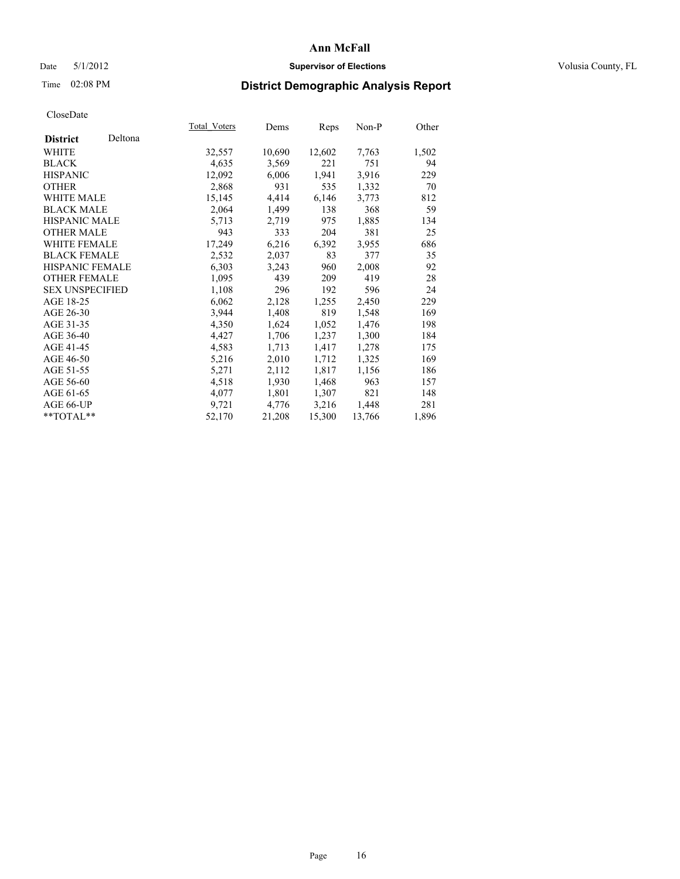## Date 5/1/2012 **Supervisor of Elections Supervisor of Elections** Volusia County, FL

## Time 02:08 PM **District Demographic Analysis Report**

|                        |         | Total Voters | Dems   | Reps   | Non-P  | Other |
|------------------------|---------|--------------|--------|--------|--------|-------|
| <b>District</b>        | Deltona |              |        |        |        |       |
| <b>WHITE</b>           |         | 32,557       | 10,690 | 12,602 | 7.763  | 1,502 |
| <b>BLACK</b>           |         | 4,635        | 3,569  | 221    | 751    | 94    |
| <b>HISPANIC</b>        |         | 12,092       | 6,006  | 1,941  | 3,916  | 229   |
| <b>OTHER</b>           |         | 2,868        | 931    | 535    | 1,332  | 70    |
| WHITE MALE             |         | 15,145       | 4,414  | 6,146  | 3,773  | 812   |
| <b>BLACK MALE</b>      |         | 2,064        | 1,499  | 138    | 368    | 59    |
| <b>HISPANIC MALE</b>   |         | 5,713        | 2,719  | 975    | 1,885  | 134   |
| <b>OTHER MALE</b>      |         | 943          | 333    | 204    | 381    | 25    |
| <b>WHITE FEMALE</b>    |         | 17,249       | 6,216  | 6,392  | 3,955  | 686   |
| <b>BLACK FEMALE</b>    |         | 2,532        | 2,037  | 83     | 377    | 35    |
| <b>HISPANIC FEMALE</b> |         | 6,303        | 3,243  | 960    | 2,008  | 92    |
| <b>OTHER FEMALE</b>    |         | 1,095        | 439    | 209    | 419    | 28    |
| <b>SEX UNSPECIFIED</b> |         | 1,108        | 296    | 192    | 596    | 24    |
| AGE 18-25              |         | 6,062        | 2,128  | 1,255  | 2,450  | 229   |
| AGE 26-30              |         | 3,944        | 1,408  | 819    | 1,548  | 169   |
| AGE 31-35              |         | 4,350        | 1,624  | 1,052  | 1,476  | 198   |
| AGE 36-40              |         | 4,427        | 1,706  | 1,237  | 1,300  | 184   |
| AGE 41-45              |         | 4,583        | 1,713  | 1,417  | 1,278  | 175   |
| AGE 46-50              |         | 5,216        | 2,010  | 1,712  | 1,325  | 169   |
| AGE 51-55              |         | 5,271        | 2,112  | 1,817  | 1,156  | 186   |
| AGE 56-60              |         | 4,518        | 1,930  | 1,468  | 963    | 157   |
| AGE 61-65              |         | 4,077        | 1,801  | 1,307  | 821    | 148   |
| AGE 66-UP              |         | 9,721        | 4,776  | 3,216  | 1,448  | 281   |
| **TOTAL**              |         | 52,170       | 21,208 | 15,300 | 13,766 | 1,896 |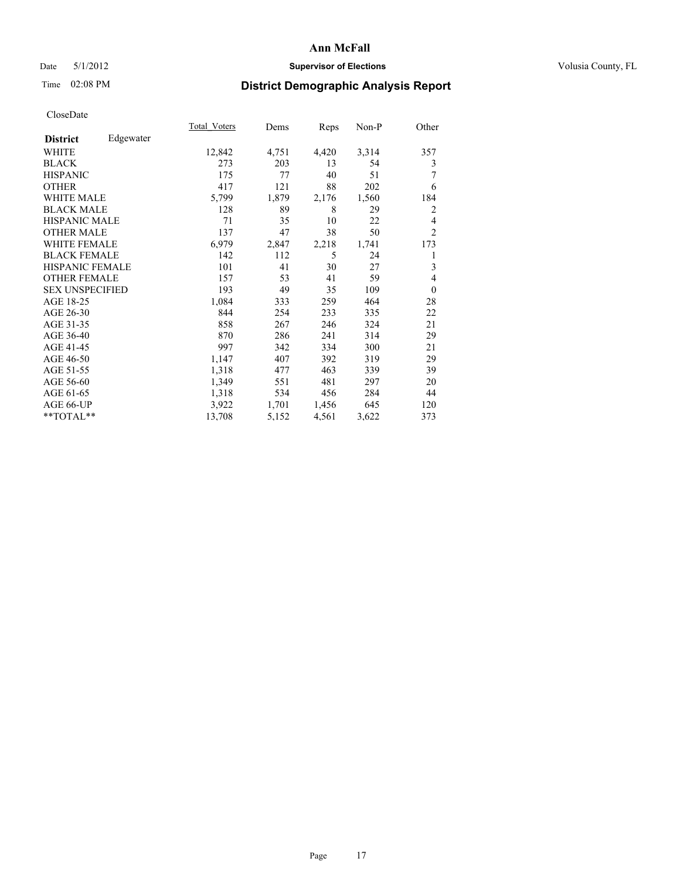## Date 5/1/2012 **Supervisor of Elections Supervisor of Elections** Volusia County, FL

## Time 02:08 PM **District Demographic Analysis Report**

|                        |           | Total Voters | Dems  | Reps  | Non-P | Other          |
|------------------------|-----------|--------------|-------|-------|-------|----------------|
| <b>District</b>        | Edgewater |              |       |       |       |                |
| WHITE                  |           | 12,842       | 4,751 | 4,420 | 3,314 | 357            |
| <b>BLACK</b>           |           | 273          | 203   | 13    | 54    | 3              |
| <b>HISPANIC</b>        |           | 175          | 77    | 40    | 51    | 7              |
| <b>OTHER</b>           |           | 417          | 121   | 88    | 202   | 6              |
| WHITE MALE             |           | 5,799        | 1,879 | 2,176 | 1,560 | 184            |
| <b>BLACK MALE</b>      |           | 128          | 89    | 8     | 29    | $\overline{2}$ |
| <b>HISPANIC MALE</b>   |           | 71           | 35    | 10    | 22    | 4              |
| <b>OTHER MALE</b>      |           | 137          | 47    | 38    | 50    | $\overline{2}$ |
| <b>WHITE FEMALE</b>    |           | 6,979        | 2,847 | 2,218 | 1,741 | 173            |
| <b>BLACK FEMALE</b>    |           | 142          | 112   | 5     | 24    | 1              |
| <b>HISPANIC FEMALE</b> |           | 101          | 41    | 30    | 27    | 3              |
| <b>OTHER FEMALE</b>    |           | 157          | 53    | 41    | 59    | $\overline{4}$ |
| <b>SEX UNSPECIFIED</b> |           | 193          | 49    | 35    | 109   | $\overline{0}$ |
| AGE 18-25              |           | 1,084        | 333   | 259   | 464   | 28             |
| AGE 26-30              |           | 844          | 254   | 233   | 335   | 22             |
| AGE 31-35              |           | 858          | 267   | 246   | 324   | 21             |
| AGE 36-40              |           | 870          | 286   | 241   | 314   | 29             |
| AGE 41-45              |           | 997          | 342   | 334   | 300   | 21             |
| AGE 46-50              |           | 1,147        | 407   | 392   | 319   | 29             |
| AGE 51-55              |           | 1,318        | 477   | 463   | 339   | 39             |
| AGE 56-60              |           | 1,349        | 551   | 481   | 297   | 20             |
| AGE 61-65              |           | 1,318        | 534   | 456   | 284   | 44             |
| AGE 66-UP              |           | 3,922        | 1,701 | 1,456 | 645   | 120            |
| **TOTAL**              |           | 13,708       | 5,152 | 4,561 | 3,622 | 373            |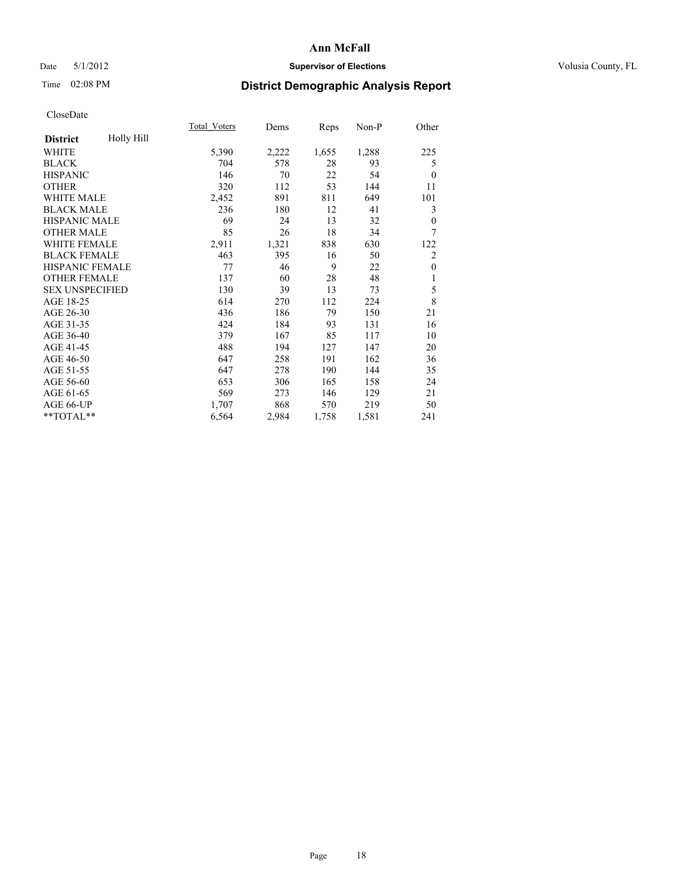## Date 5/1/2012 **Supervisor of Elections Supervisor of Elections** Volusia County, FL

# Time 02:08 PM **District Demographic Analysis Report**

|                        |            | Total Voters | Dems  | Reps  | Non-P | Other          |
|------------------------|------------|--------------|-------|-------|-------|----------------|
| <b>District</b>        | Holly Hill |              |       |       |       |                |
| WHITE                  |            | 5,390        | 2,222 | 1,655 | 1,288 | 225            |
| <b>BLACK</b>           |            | 704          | 578   | 28    | 93    | 5              |
| <b>HISPANIC</b>        |            | 146          | 70    | 22    | 54    | $\theta$       |
| <b>OTHER</b>           |            | 320          | 112   | 53    | 144   | 11             |
| <b>WHITE MALE</b>      |            | 2,452        | 891   | 811   | 649   | 101            |
| <b>BLACK MALE</b>      |            | 236          | 180   | 12    | 41    | 3              |
| <b>HISPANIC MALE</b>   |            | 69           | 24    | 13    | 32    | $\theta$       |
| <b>OTHER MALE</b>      |            | 85           | 26    | 18    | 34    | 7              |
| <b>WHITE FEMALE</b>    |            | 2,911        | 1,321 | 838   | 630   | 122            |
| <b>BLACK FEMALE</b>    |            | 463          | 395   | 16    | 50    | $\overline{c}$ |
| <b>HISPANIC FEMALE</b> |            | 77           | 46    | 9     | 22    | $\theta$       |
| <b>OTHER FEMALE</b>    |            | 137          | 60    | 28    | 48    | 1              |
| <b>SEX UNSPECIFIED</b> |            | 130          | 39    | 13    | 73    | 5              |
| AGE 18-25              |            | 614          | 270   | 112   | 224   | 8              |
| AGE 26-30              |            | 436          | 186   | 79    | 150   | 21             |
| AGE 31-35              |            | 424          | 184   | 93    | 131   | 16             |
| AGE 36-40              |            | 379          | 167   | 85    | 117   | 10             |
| AGE 41-45              |            | 488          | 194   | 127   | 147   | 20             |
| AGE 46-50              |            | 647          | 258   | 191   | 162   | 36             |
| AGE 51-55              |            | 647          | 278   | 190   | 144   | 35             |
| AGE 56-60              |            | 653          | 306   | 165   | 158   | 24             |
| AGE 61-65              |            | 569          | 273   | 146   | 129   | 21             |
| AGE 66-UP              |            | 1,707        | 868   | 570   | 219   | 50             |
| **TOTAL**              |            | 6,564        | 2,984 | 1,758 | 1,581 | 241            |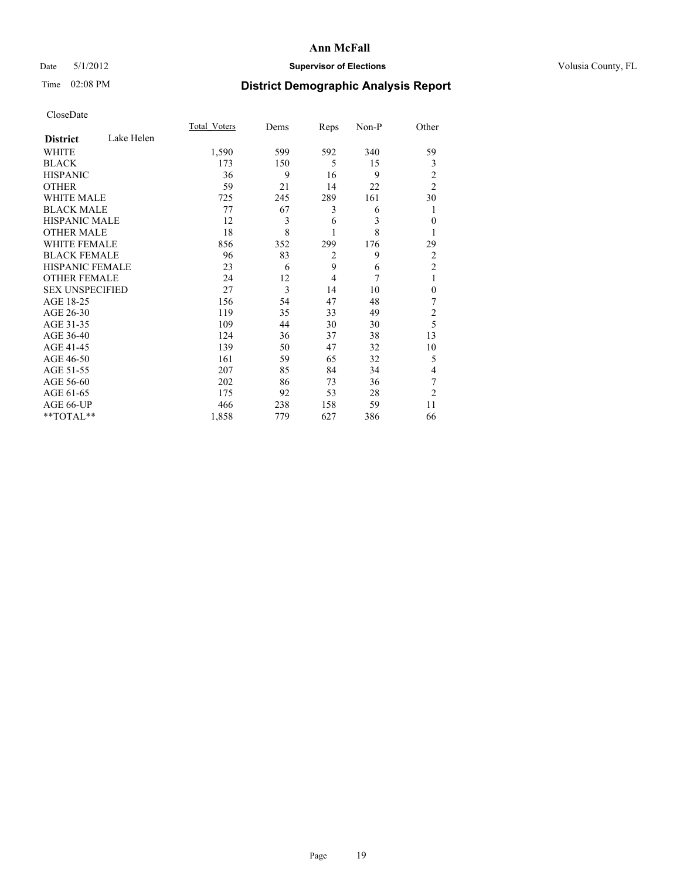## Date 5/1/2012 **Supervisor of Elections Supervisor of Elections** Volusia County, FL

## Time 02:08 PM **District Demographic Analysis Report**

| Cioscivate             |            |              |      |                |       |                |
|------------------------|------------|--------------|------|----------------|-------|----------------|
|                        |            | Total Voters | Dems | Reps           | Non-P | Other          |
| <b>District</b>        | Lake Helen |              |      |                |       |                |
| <b>WHITE</b>           |            | 1,590        | 599  | 592            | 340   | 59             |
| <b>BLACK</b>           |            | 173          | 150  | 5              | 15    | 3              |
| <b>HISPANIC</b>        |            | 36           | 9    | 16             | 9     | $\overline{c}$ |
| <b>OTHER</b>           |            | 59           | 21   | 14             | 22    | $\overline{2}$ |
| WHITE MALE             |            | 725          | 245  | 289            | 161   | 30             |
| <b>BLACK MALE</b>      |            | 77           | 67   | 3              | 6     | 1              |
| <b>HISPANIC MALE</b>   |            | 12           | 3    | 6              | 3     | $\theta$       |
| <b>OTHER MALE</b>      |            | 18           | 8    | 1              | 8     | 1              |
| WHITE FEMALE           |            | 856          | 352  | 299            | 176   | 29             |
| <b>BLACK FEMALE</b>    |            | 96           | 83   | $\overline{2}$ | 9     | $\overline{c}$ |
| <b>HISPANIC FEMALE</b> |            | 23           | 6    | 9              | 6     | $\overline{c}$ |
| <b>OTHER FEMALE</b>    |            | 24           | 12   | 4              | 7     | 1              |
| <b>SEX UNSPECIFIED</b> |            | 27           | 3    | 14             | 10    | $\mathbf{0}$   |
| AGE 18-25              |            | 156          | 54   | 47             | 48    | 7              |
| AGE 26-30              |            | 119          | 35   | 33             | 49    | $\overline{c}$ |
| AGE 31-35              |            | 109          | 44   | 30             | 30    | 5              |
| AGE 36-40              |            | 124          | 36   | 37             | 38    | 13             |
| AGE 41-45              |            | 139          | 50   | 47             | 32    | 10             |
| AGE 46-50              |            | 161          | 59   | 65             | 32    | 5              |
| AGE 51-55              |            | 207          | 85   | 84             | 34    | 4              |
| AGE 56-60              |            | 202          | 86   | 73             | 36    | 7              |
| AGE 61-65              |            | 175          | 92   | 53             | 28    | $\overline{2}$ |
| AGE 66-UP              |            | 466          | 238  | 158            | 59    | 11             |
| **TOTAL**              |            | 1,858        | 779  | 627            | 386   | 66             |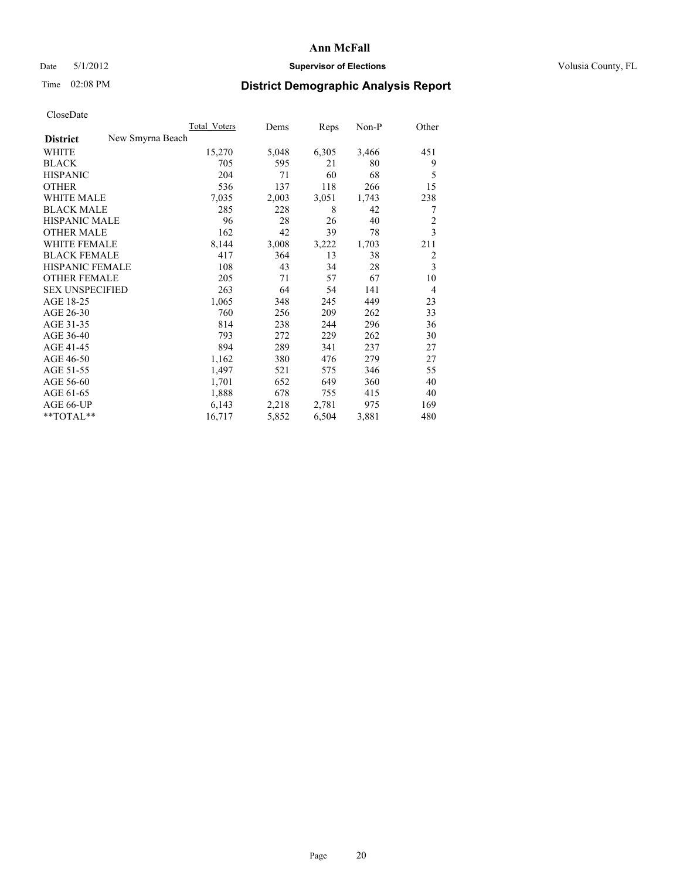## Date 5/1/2012 **Supervisor of Elections Supervisor of Elections** Volusia County, FL

## Time 02:08 PM **District Demographic Analysis Report**

|                                     | <b>Total Voters</b> | Dems  | Reps  | Non-P | Other          |
|-------------------------------------|---------------------|-------|-------|-------|----------------|
| New Smyrna Beach<br><b>District</b> |                     |       |       |       |                |
| WHITE                               | 15,270              | 5,048 | 6,305 | 3,466 | 451            |
| <b>BLACK</b>                        | 705                 | 595   | 21    | 80    | 9              |
| <b>HISPANIC</b>                     | 204                 | 71    | 60    | 68    | 5              |
| <b>OTHER</b>                        | 536                 | 137   | 118   | 266   | 15             |
| <b>WHITE MALE</b>                   | 7,035               | 2,003 | 3,051 | 1,743 | 238            |
| <b>BLACK MALE</b>                   | 285                 | 228   | 8     | 42    | 7              |
| <b>HISPANIC MALE</b>                | 96                  | 28    | 26    | 40    | $\overline{2}$ |
| <b>OTHER MALE</b>                   | 162                 | 42    | 39    | 78    | 3              |
| <b>WHITE FEMALE</b>                 | 8,144               | 3,008 | 3,222 | 1,703 | 211            |
| <b>BLACK FEMALE</b>                 | 417                 | 364   | 13    | 38    | $\overline{2}$ |
| <b>HISPANIC FEMALE</b>              | 108                 | 43    | 34    | 28    | 3              |
| <b>OTHER FEMALE</b>                 | 205                 | 71    | 57    | 67    | 10             |
| <b>SEX UNSPECIFIED</b>              | 263                 | 64    | 54    | 141   | 4              |
| AGE 18-25                           | 1,065               | 348   | 245   | 449   | 23             |
| AGE 26-30                           | 760                 | 256   | 209   | 262   | 33             |
| AGE 31-35                           | 814                 | 238   | 244   | 296   | 36             |
| AGE 36-40                           | 793                 | 272   | 229   | 262   | 30             |
| AGE 41-45                           | 894                 | 289   | 341   | 237   | 27             |
| AGE 46-50                           | 1,162               | 380   | 476   | 279   | 27             |
| AGE 51-55                           | 1,497               | 521   | 575   | 346   | 55             |
| AGE 56-60                           | 1,701               | 652   | 649   | 360   | 40             |
| AGE 61-65                           | 1,888               | 678   | 755   | 415   | 40             |
| AGE 66-UP                           | 6,143               | 2,218 | 2,781 | 975   | 169            |
| **TOTAL**                           | 16,717              | 5,852 | 6,504 | 3,881 | 480            |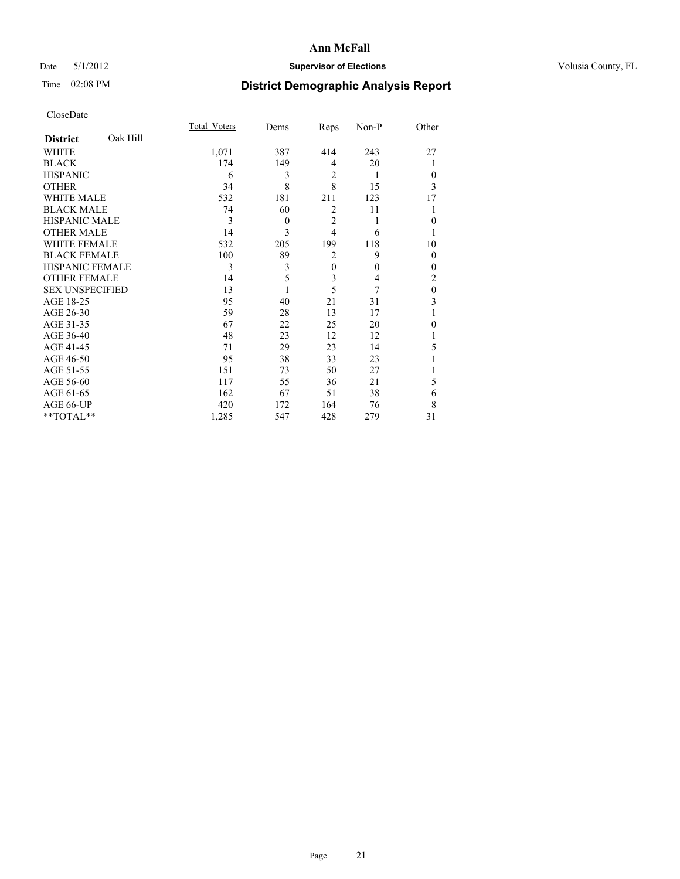## Date 5/1/2012 **Supervisor of Elections Supervisor of Elections** Volusia County, FL

## Time 02:08 PM **District Demographic Analysis Report**

|                        |          | <b>Total Voters</b> | Dems     | Reps           | Non-P    | Other          |
|------------------------|----------|---------------------|----------|----------------|----------|----------------|
| <b>District</b>        | Oak Hill |                     |          |                |          |                |
| WHITE                  |          | 1,071               | 387      | 414            | 243      | 27             |
| <b>BLACK</b>           |          | 174                 | 149      | 4              | 20       |                |
| <b>HISPANIC</b>        |          | 6                   | 3        | 2              | 1        | $\Omega$       |
| <b>OTHER</b>           |          | 34                  | 8        | 8              | 15       | 3              |
| WHITE MALE             |          | 532                 | 181      | 211            | 123      | 17             |
| <b>BLACK MALE</b>      |          | 74                  | 60       | $\overline{2}$ | 11       |                |
| <b>HISPANIC MALE</b>   |          | 3                   | $\theta$ | $\overline{2}$ | 1        | $\Omega$       |
| <b>OTHER MALE</b>      |          | 14                  | 3        | $\overline{4}$ | 6        |                |
| <b>WHITE FEMALE</b>    |          | 532                 | 205      | 199            | 118      | 10             |
| <b>BLACK FEMALE</b>    |          | 100                 | 89       | $\overline{2}$ | 9        | $\overline{0}$ |
| <b>HISPANIC FEMALE</b> |          | 3                   | 3        | $\mathbf{0}$   | $\theta$ | $\Omega$       |
| <b>OTHER FEMALE</b>    |          | 14                  | 5        | 3              | 4        | 2              |
| <b>SEX UNSPECIFIED</b> |          | 13                  |          | 5              | 7        | $\theta$       |
| AGE 18-25              |          | 95                  | 40       | 21             | 31       | 3              |
| AGE 26-30              |          | 59                  | 28       | 13             | 17       | 1              |
| AGE 31-35              |          | 67                  | 22       | 25             | 20       | 0              |
| AGE 36-40              |          | 48                  | 23       | 12             | 12       |                |
| AGE 41-45              |          | 71                  | 29       | 23             | 14       | 5              |
| AGE 46-50              |          | 95                  | 38       | 33             | 23       |                |
| AGE 51-55              |          | 151                 | 73       | 50             | 27       |                |
| AGE 56-60              |          | 117                 | 55       | 36             | 21       | 5              |
| AGE 61-65              |          | 162                 | 67       | 51             | 38       | 6              |
| AGE 66-UP              |          | 420                 | 172      | 164            | 76       | 8              |
| **TOTAL**              |          | 1,285               | 547      | 428            | 279      | 31             |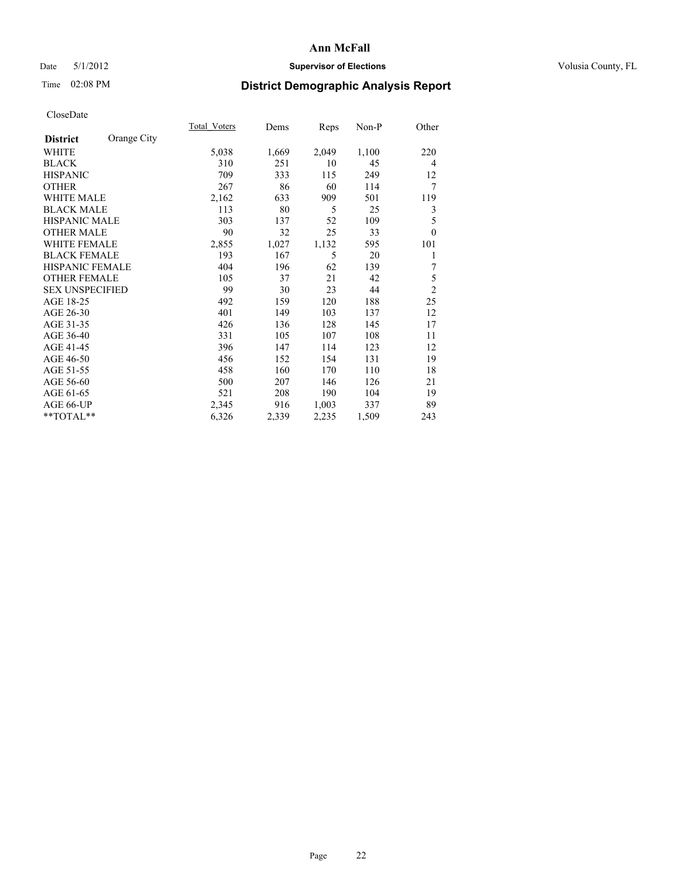## Date 5/1/2012 **Supervisor of Elections Supervisor of Elections** Volusia County, FL

# Time 02:08 PM **District Demographic Analysis Report**

|                                | <b>Total Voters</b> | Dems  | Reps  | $Non-P$ | Other          |
|--------------------------------|---------------------|-------|-------|---------|----------------|
| Orange City<br><b>District</b> |                     |       |       |         |                |
| WHITE                          | 5,038               | 1,669 | 2,049 | 1,100   | 220            |
| <b>BLACK</b>                   | 310                 | 251   | 10    | 45      | $\overline{4}$ |
| <b>HISPANIC</b>                | 709                 | 333   | 115   | 249     | 12             |
| <b>OTHER</b>                   | 267                 | 86    | 60    | 114     | 7              |
| <b>WHITE MALE</b>              | 2,162               | 633   | 909   | 501     | 119            |
| <b>BLACK MALE</b>              | 113                 | 80    | 5     | 25      | 3              |
| <b>HISPANIC MALE</b>           | 303                 | 137   | 52    | 109     | 5              |
| <b>OTHER MALE</b>              | 90                  | 32    | 25    | 33      | $\theta$       |
| <b>WHITE FEMALE</b>            | 2,855               | 1,027 | 1,132 | 595     | 101            |
| <b>BLACK FEMALE</b>            | 193                 | 167   | 5     | 20      | 1              |
| HISPANIC FEMALE                | 404                 | 196   | 62    | 139     | 7              |
| <b>OTHER FEMALE</b>            | 105                 | 37    | 21    | 42      | 5              |
| <b>SEX UNSPECIFIED</b>         | 99                  | 30    | 23    | 44      | $\overline{c}$ |
| AGE 18-25                      | 492                 | 159   | 120   | 188     | 25             |
| AGE 26-30                      | 401                 | 149   | 103   | 137     | 12             |
| AGE 31-35                      | 426                 | 136   | 128   | 145     | 17             |
| AGE 36-40                      | 331                 | 105   | 107   | 108     | 11             |
| AGE 41-45                      | 396                 | 147   | 114   | 123     | 12             |
| AGE 46-50                      | 456                 | 152   | 154   | 131     | 19             |
| AGE 51-55                      | 458                 | 160   | 170   | 110     | 18             |
| AGE 56-60                      | 500                 | 207   | 146   | 126     | 21             |
| AGE 61-65                      | 521                 | 208   | 190   | 104     | 19             |
| AGE 66-UP                      | 2,345               | 916   | 1,003 | 337     | 89             |
| $*$ $TOTAL**$                  | 6,326               | 2,339 | 2,235 | 1,509   | 243            |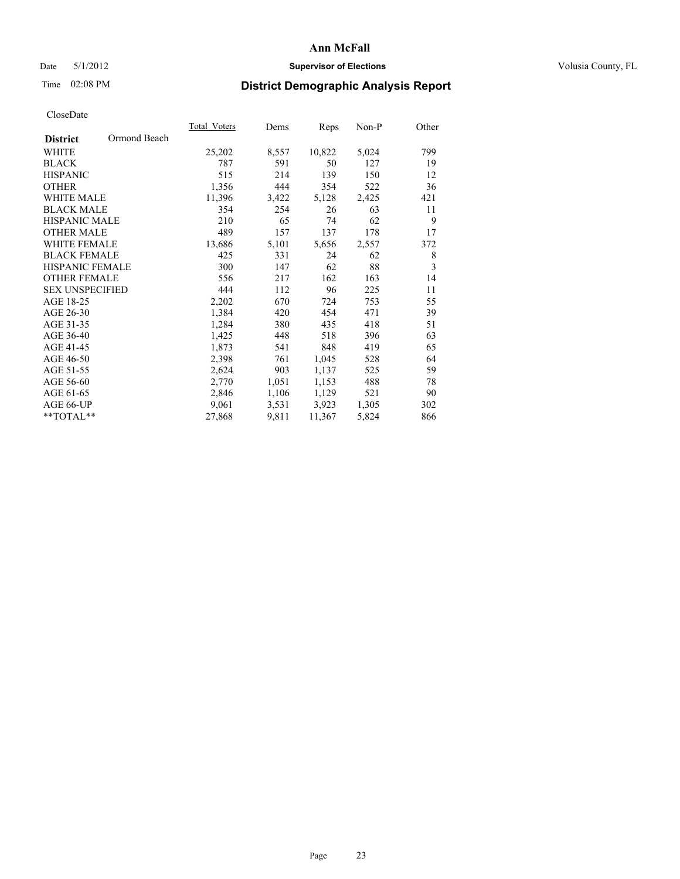## Date 5/1/2012 **Supervisor of Elections Supervisor of Elections** Volusia County, FL

# Time 02:08 PM **District Demographic Analysis Report**

|                                 | Total Voters | Dems  | <b>Reps</b> | Non-P | Other |
|---------------------------------|--------------|-------|-------------|-------|-------|
| Ormond Beach<br><b>District</b> |              |       |             |       |       |
| WHITE                           | 25,202       | 8,557 | 10,822      | 5,024 | 799   |
| <b>BLACK</b>                    | 787          | 591   | 50          | 127   | 19    |
| <b>HISPANIC</b>                 | 515          | 214   | 139         | 150   | 12    |
| <b>OTHER</b>                    | 1,356        | 444   | 354         | 522   | 36    |
| WHITE MALE                      | 11,396       | 3,422 | 5,128       | 2,425 | 421   |
| <b>BLACK MALE</b>               | 354          | 254   | 26          | 63    | 11    |
| <b>HISPANIC MALE</b>            | 210          | 65    | 74          | 62    | 9     |
| <b>OTHER MALE</b>               | 489          | 157   | 137         | 178   | 17    |
| <b>WHITE FEMALE</b>             | 13,686       | 5,101 | 5,656       | 2,557 | 372   |
| <b>BLACK FEMALE</b>             | 425          | 331   | 24          | 62    | 8     |
| HISPANIC FEMALE                 | 300          | 147   | 62          | 88    | 3     |
| <b>OTHER FEMALE</b>             | 556          | 217   | 162         | 163   | 14    |
| <b>SEX UNSPECIFIED</b>          | 444          | 112   | 96          | 225   | 11    |
| AGE 18-25                       | 2,202        | 670   | 724         | 753   | 55    |
| AGE 26-30                       | 1,384        | 420   | 454         | 471   | 39    |
| AGE 31-35                       | 1,284        | 380   | 435         | 418   | 51    |
| AGE 36-40                       | 1,425        | 448   | 518         | 396   | 63    |
| AGE 41-45                       | 1,873        | 541   | 848         | 419   | 65    |
| AGE 46-50                       | 2,398        | 761   | 1,045       | 528   | 64    |
| AGE 51-55                       | 2,624        | 903   | 1,137       | 525   | 59    |
| AGE 56-60                       | 2,770        | 1,051 | 1,153       | 488   | 78    |
| AGE 61-65                       | 2,846        | 1,106 | 1,129       | 521   | 90    |
| AGE 66-UP                       | 9,061        | 3,531 | 3,923       | 1,305 | 302   |
| $*$ TOTAL $*$                   | 27,868       | 9,811 | 11,367      | 5,824 | 866   |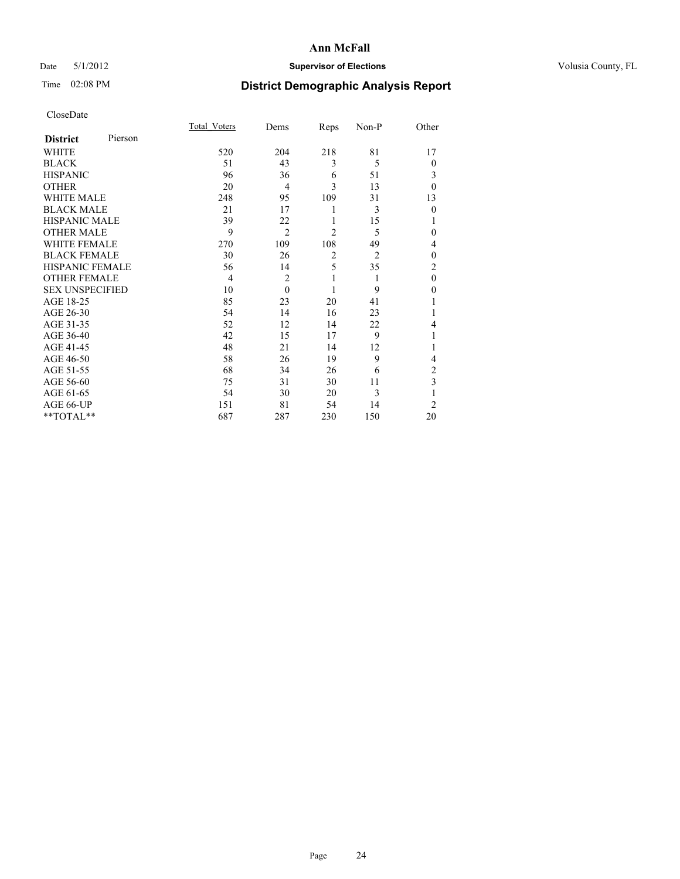## Date 5/1/2012 **Supervisor of Elections Supervisor of Elections** Volusia County, FL

## Time 02:08 PM **District Demographic Analysis Report**

|                        |         | <b>Total Voters</b> | Dems           | Reps           | Non-P          | Other          |
|------------------------|---------|---------------------|----------------|----------------|----------------|----------------|
| <b>District</b>        | Pierson |                     |                |                |                |                |
| WHITE                  |         | 520                 | 204            | 218            | 81             | 17             |
| <b>BLACK</b>           |         | 51                  | 43             | 3              | 5              | $\theta$       |
| <b>HISPANIC</b>        |         | 96                  | 36             | 6              | 51             | 3              |
| <b>OTHER</b>           |         | 20                  | $\overline{4}$ | 3              | 13             | $\theta$       |
| WHITE MALE             |         | 248                 | 95             | 109            | 31             | 13             |
| <b>BLACK MALE</b>      |         | 21                  | 17             | 1              | 3              | $\mathbf{0}$   |
| <b>HISPANIC MALE</b>   |         | 39                  | 22             | 1              | 15             |                |
| <b>OTHER MALE</b>      |         | 9                   | $\overline{2}$ | $\overline{c}$ | 5              | 0              |
| WHITE FEMALE           |         | 270                 | 109            | 108            | 49             | 4              |
| <b>BLACK FEMALE</b>    |         | 30                  | 26             | $\overline{2}$ | $\overline{2}$ | $\theta$       |
| <b>HISPANIC FEMALE</b> |         | 56                  | 14             | 5              | 35             | $\overline{c}$ |
| <b>OTHER FEMALE</b>    |         | $\overline{4}$      | $\overline{c}$ | 1              | 1              | $\theta$       |
| <b>SEX UNSPECIFIED</b> |         | 10                  | $\theta$       | 1              | 9              | $\theta$       |
| AGE 18-25              |         | 85                  | 23             | 20             | 41             |                |
| AGE 26-30              |         | 54                  | 14             | 16             | 23             |                |
| AGE 31-35              |         | 52                  | 12             | 14             | 22             | 4              |
| AGE 36-40              |         | 42                  | 15             | 17             | 9              |                |
| AGE 41-45              |         | 48                  | 21             | 14             | 12             |                |
| AGE 46-50              |         | 58                  | 26             | 19             | 9              | 4              |
| AGE 51-55              |         | 68                  | 34             | 26             | 6              | 2              |
| AGE 56-60              |         | 75                  | 31             | 30             | 11             | 3              |
| AGE 61-65              |         | 54                  | 30             | 20             | 3              | 1              |
| AGE 66-UP              |         | 151                 | 81             | 54             | 14             | $\overline{2}$ |
| $**TOTAL**$            |         | 687                 | 287            | 230            | 150            | 20             |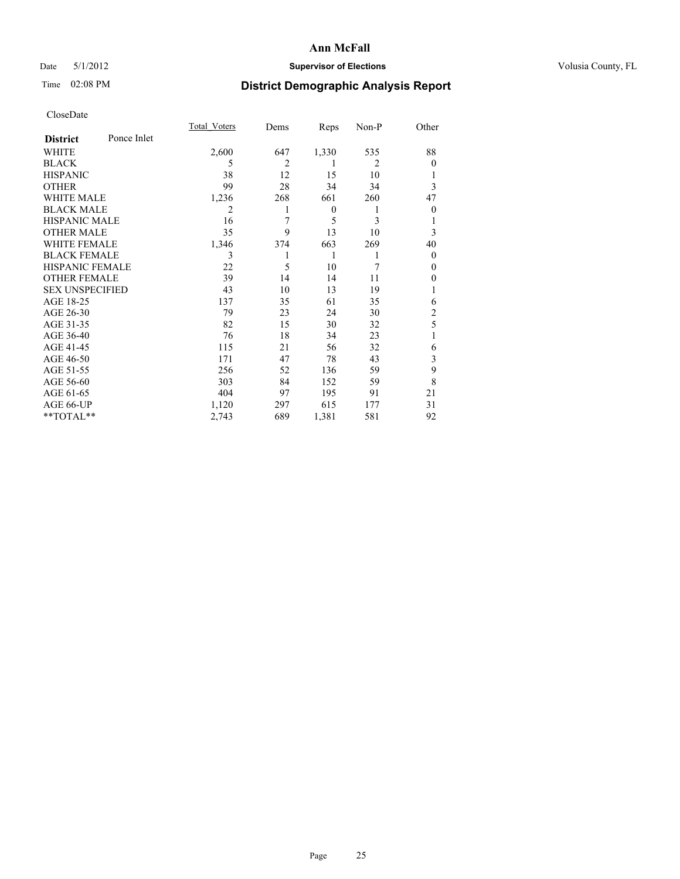## Date 5/1/2012 **Supervisor of Elections Supervisor of Elections** Volusia County, FL

## Time 02:08 PM **District Demographic Analysis Report**

|                        |             | <b>Total Voters</b> | Dems           | Reps             | Non-P          | Other          |
|------------------------|-------------|---------------------|----------------|------------------|----------------|----------------|
| <b>District</b>        | Ponce Inlet |                     |                |                  |                |                |
| WHITE                  |             | 2,600               | 647            | 1,330            | 535            | 88             |
| <b>BLACK</b>           |             | 5                   | $\overline{c}$ | 1                | $\overline{2}$ | $\Omega$       |
| <b>HISPANIC</b>        |             | 38                  | 12             | 15               | 10             |                |
| <b>OTHER</b>           |             | 99                  | 28             | 34               | 34             | 3              |
| WHITE MALE             |             | 1,236               | 268            | 661              | 260            | 47             |
| <b>BLACK MALE</b>      |             | 2                   |                | $\boldsymbol{0}$ | 1              | $\overline{0}$ |
| <b>HISPANIC MALE</b>   |             | 16                  | 7              | 5                | 3              |                |
| <b>OTHER MALE</b>      |             | 35                  | 9              | 13               | 10             | 3              |
| WHITE FEMALE           |             | 1,346               | 374            | 663              | 269            | 40             |
| <b>BLACK FEMALE</b>    |             | 3                   |                | 1                | 1              | $\overline{0}$ |
| <b>HISPANIC FEMALE</b> |             | 22                  | 5              | 10               | 7              | $\Omega$       |
| <b>OTHER FEMALE</b>    |             | 39                  | 14             | 14               | 11             | $\Omega$       |
| <b>SEX UNSPECIFIED</b> |             | 43                  | 10             | 13               | 19             |                |
| AGE 18-25              |             | 137                 | 35             | 61               | 35             | 6              |
| AGE 26-30              |             | 79                  | 23             | 24               | 30             | $\overline{c}$ |
| AGE 31-35              |             | 82                  | 15             | 30               | 32             | 5              |
| AGE 36-40              |             | 76                  | 18             | 34               | 23             |                |
| AGE 41-45              |             | 115                 | 21             | 56               | 32             | 6              |
| AGE 46-50              |             | 171                 | 47             | 78               | 43             | 3              |
| AGE 51-55              |             | 256                 | 52             | 136              | 59             | 9              |
| AGE 56-60              |             | 303                 | 84             | 152              | 59             | 8              |
| AGE 61-65              |             | 404                 | 97             | 195              | 91             | 21             |
| AGE 66-UP              |             | 1,120               | 297            | 615              | 177            | 31             |
| $**TOTAL**$            |             | 2,743               | 689            | 1,381            | 581            | 92             |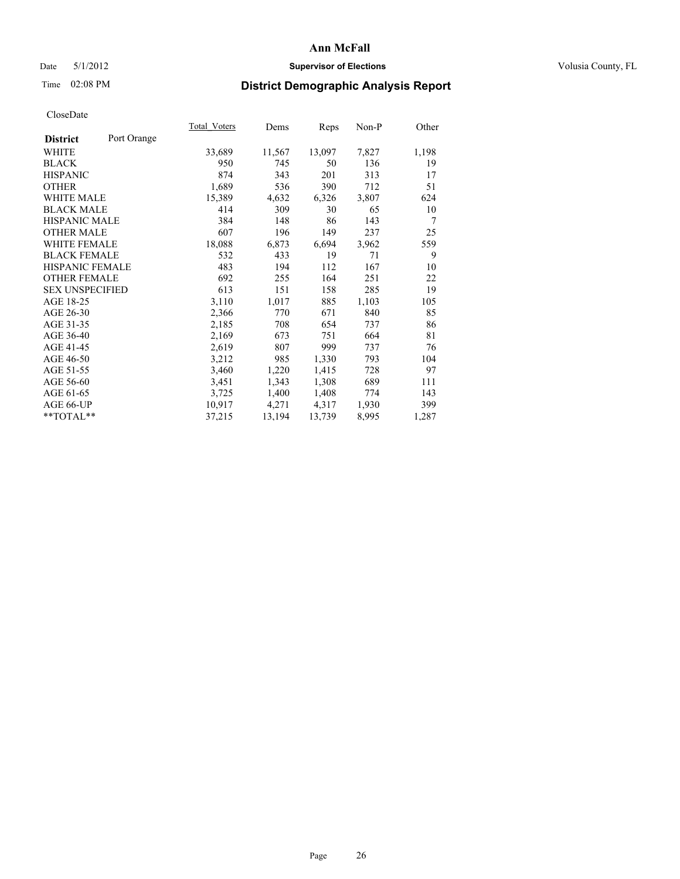## Date 5/1/2012 **Supervisor of Elections Supervisor of Elections** Volusia County, FL

## Time 02:08 PM **District Demographic Analysis Report**

|                        |             | Total Voters | Dems   | Reps   | Non-P | Other          |
|------------------------|-------------|--------------|--------|--------|-------|----------------|
| <b>District</b>        | Port Orange |              |        |        |       |                |
| WHITE                  |             | 33,689       | 11,567 | 13,097 | 7,827 | 1,198          |
| <b>BLACK</b>           |             | 950          | 745    | 50     | 136   | 19             |
| <b>HISPANIC</b>        |             | 874          | 343    | 201    | 313   | 17             |
| <b>OTHER</b>           |             | 1,689        | 536    | 390    | 712   | 51             |
| WHITE MALE             |             | 15,389       | 4,632  | 6,326  | 3,807 | 624            |
| <b>BLACK MALE</b>      |             | 414          | 309    | 30     | 65    | 10             |
| <b>HISPANIC MALE</b>   |             | 384          | 148    | 86     | 143   | $\overline{7}$ |
| <b>OTHER MALE</b>      |             | 607          | 196    | 149    | 237   | 25             |
| WHITE FEMALE           |             | 18,088       | 6,873  | 6,694  | 3,962 | 559            |
| <b>BLACK FEMALE</b>    |             | 532          | 433    | 19     | 71    | 9              |
| <b>HISPANIC FEMALE</b> |             | 483          | 194    | 112    | 167   | 10             |
| <b>OTHER FEMALE</b>    |             | 692          | 255    | 164    | 251   | 22             |
| <b>SEX UNSPECIFIED</b> |             | 613          | 151    | 158    | 285   | 19             |
| AGE 18-25              |             | 3,110        | 1,017  | 885    | 1,103 | 105            |
| AGE 26-30              |             | 2,366        | 770    | 671    | 840   | 85             |
| AGE 31-35              |             | 2,185        | 708    | 654    | 737   | 86             |
| AGE 36-40              |             | 2,169        | 673    | 751    | 664   | 81             |
| AGE 41-45              |             | 2,619        | 807    | 999    | 737   | 76             |
| AGE 46-50              |             | 3,212        | 985    | 1,330  | 793   | 104            |
| AGE 51-55              |             | 3,460        | 1,220  | 1,415  | 728   | 97             |
| AGE 56-60              |             | 3,451        | 1,343  | 1,308  | 689   | 111            |
| AGE 61-65              |             | 3,725        | 1,400  | 1,408  | 774   | 143            |
| AGE 66-UP              |             | 10,917       | 4,271  | 4,317  | 1,930 | 399            |
| $*$ TOTAL $*$          |             | 37,215       | 13,194 | 13,739 | 8,995 | 1,287          |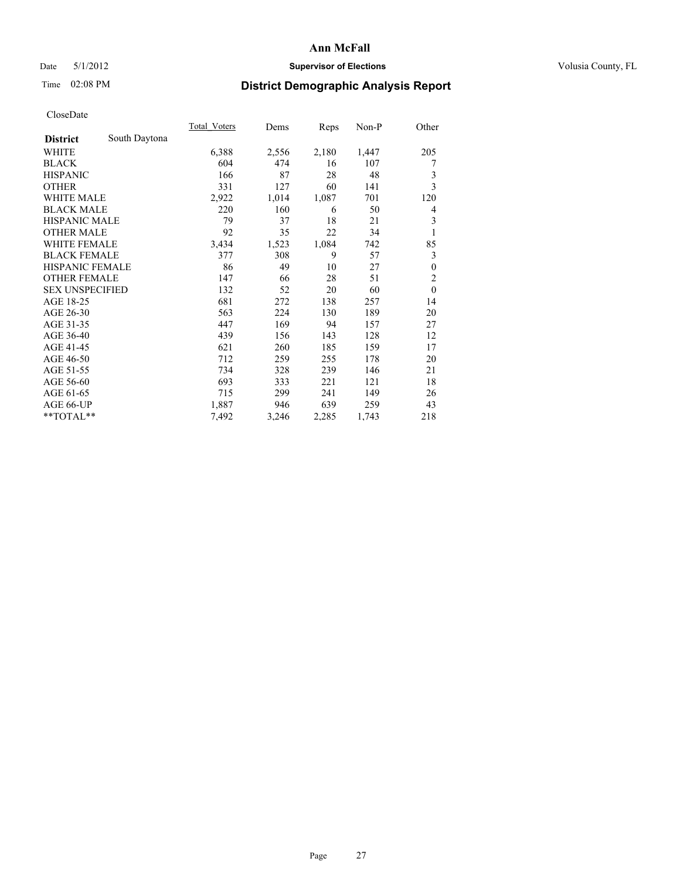## Date 5/1/2012 **Supervisor of Elections Supervisor of Elections** Volusia County, FL

## Time 02:08 PM **District Demographic Analysis Report**

|                        |               | <b>Total Voters</b> | Dems  | Reps  | $Non-P$ | Other          |
|------------------------|---------------|---------------------|-------|-------|---------|----------------|
| <b>District</b>        | South Daytona |                     |       |       |         |                |
| WHITE                  |               | 6,388               | 2,556 | 2,180 | 1,447   | 205            |
| <b>BLACK</b>           |               | 604                 | 474   | 16    | 107     | 7              |
| <b>HISPANIC</b>        |               | 166                 | 87    | 28    | 48      | 3              |
| <b>OTHER</b>           |               | 331                 | 127   | 60    | 141     | 3              |
| <b>WHITE MALE</b>      |               | 2,922               | 1,014 | 1,087 | 701     | 120            |
| <b>BLACK MALE</b>      |               | 220                 | 160   | 6     | 50      | 4              |
| <b>HISPANIC MALE</b>   |               | 79                  | 37    | 18    | 21      | 3              |
| <b>OTHER MALE</b>      |               | 92                  | 35    | 22    | 34      | 1              |
| <b>WHITE FEMALE</b>    |               | 3,434               | 1,523 | 1,084 | 742     | 85             |
| <b>BLACK FEMALE</b>    |               | 377                 | 308   | 9     | 57      | 3              |
| <b>HISPANIC FEMALE</b> |               | 86                  | 49    | 10    | 27      | $\theta$       |
| <b>OTHER FEMALE</b>    |               | 147                 | 66    | 28    | 51      | $\overline{c}$ |
| <b>SEX UNSPECIFIED</b> |               | 132                 | 52    | 20    | 60      | $\mathbf{0}$   |
| AGE 18-25              |               | 681                 | 272   | 138   | 257     | 14             |
| AGE 26-30              |               | 563                 | 224   | 130   | 189     | 20             |
| AGE 31-35              |               | 447                 | 169   | 94    | 157     | 27             |
| AGE 36-40              |               | 439                 | 156   | 143   | 128     | 12             |
| AGE 41-45              |               | 621                 | 260   | 185   | 159     | 17             |
| AGE 46-50              |               | 712                 | 259   | 255   | 178     | 20             |
| AGE 51-55              |               | 734                 | 328   | 239   | 146     | 21             |
| AGE 56-60              |               | 693                 | 333   | 221   | 121     | 18             |
| AGE 61-65              |               | 715                 | 299   | 241   | 149     | 26             |
| AGE 66-UP              |               | 1,887               | 946   | 639   | 259     | 43             |
| **TOTAL**              |               | 7,492               | 3,246 | 2,285 | 1,743   | 218            |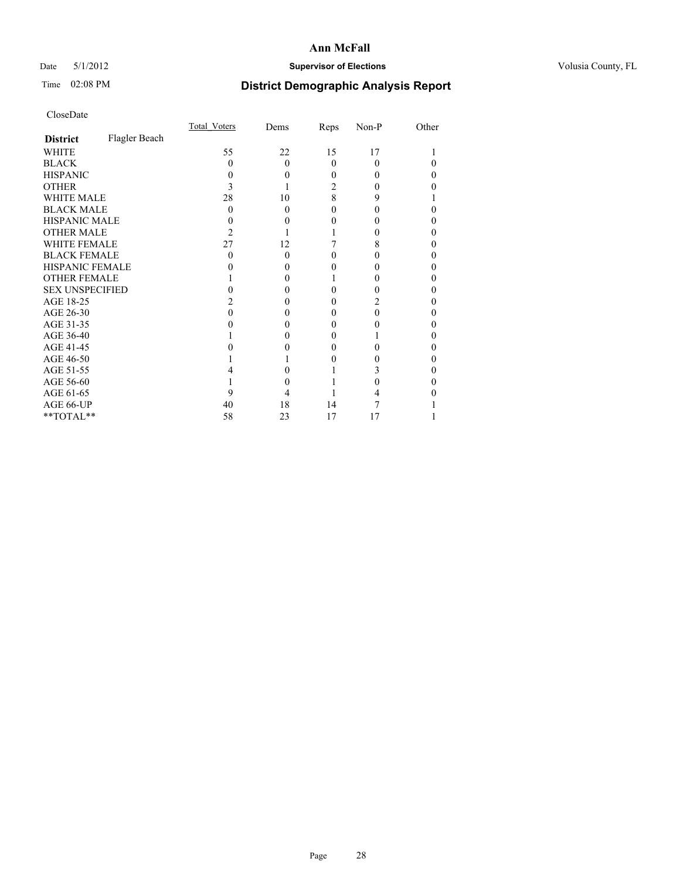## Date 5/1/2012 **Supervisor of Elections Supervisor of Elections** Volusia County, FL

# Time 02:08 PM **District Demographic Analysis Report**

|                        |               | Total Voters | Dems     | Reps     | Non-P    | Other |
|------------------------|---------------|--------------|----------|----------|----------|-------|
| <b>District</b>        | Flagler Beach |              |          |          |          |       |
| WHITE                  |               | 55           | 22       | 15       | 17       |       |
| <b>BLACK</b>           |               | 0            | $\Omega$ | $\Omega$ | $\theta$ |       |
| <b>HISPANIC</b>        |               |              | 0        | 0        |          | 0     |
| <b>OTHER</b>           |               |              |          | 2        |          |       |
| <b>WHITE MALE</b>      |               | 28           | 10       | 8        | 9        |       |
| <b>BLACK MALE</b>      |               | 0            | $\Omega$ | 0        |          | 0     |
| HISPANIC MALE          |               |              | 0        | 0        |          | 0     |
| <b>OTHER MALE</b>      |               | 2            |          |          |          | 0     |
| <b>WHITE FEMALE</b>    |               | 27           | 12       |          | 8        |       |
| <b>BLACK FEMALE</b>    |               | 0            | $\Omega$ | 0        |          | 0     |
| <b>HISPANIC FEMALE</b> |               |              | $\theta$ |          |          |       |
| <b>OTHER FEMALE</b>    |               |              | $\theta$ |          |          | 0     |
| <b>SEX UNSPECIFIED</b> |               |              |          | 0        |          | 0     |
| AGE 18-25              |               |              | $\theta$ | 0        |          | 0     |
| AGE 26-30              |               |              | 0        | 0        |          | 0     |
| AGE 31-35              |               |              |          | 0        |          |       |
| AGE 36-40              |               |              | 0        | 0        |          | 0     |
| AGE 41-45              |               |              |          | 0        |          |       |
| AGE 46-50              |               |              |          | 0        |          | 0     |
| AGE 51-55              |               |              |          |          |          |       |
| AGE 56-60              |               |              |          |          |          | 0     |
| AGE 61-65              |               |              |          |          |          |       |
| AGE 66-UP              |               | 40           | 18       | 14       |          |       |
| **TOTAL**              |               | 58           | 23       | 17       | 17       |       |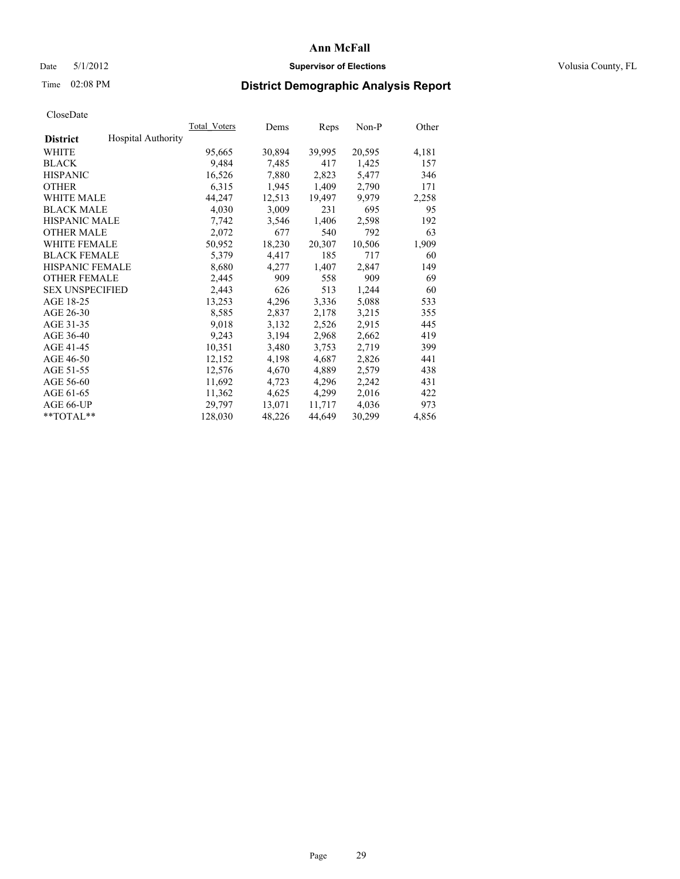## Date 5/1/2012 **Supervisor of Elections Supervisor of Elections** Volusia County, FL

# Time 02:08 PM **District Demographic Analysis Report**

|                                              | Total Voters | Dems   | Reps   | Non-P  | Other |
|----------------------------------------------|--------------|--------|--------|--------|-------|
| <b>Hospital Authority</b><br><b>District</b> |              |        |        |        |       |
| WHITE                                        | 95,665       | 30,894 | 39,995 | 20,595 | 4,181 |
| <b>BLACK</b>                                 | 9,484        | 7.485  | 417    | 1,425  | 157   |
| <b>HISPANIC</b>                              | 16,526       | 7,880  | 2,823  | 5,477  | 346   |
| <b>OTHER</b>                                 | 6,315        | 1,945  | 1,409  | 2,790  | 171   |
| <b>WHITE MALE</b>                            | 44,247       | 12,513 | 19,497 | 9,979  | 2,258 |
| <b>BLACK MALE</b>                            | 4,030        | 3,009  | 231    | 695    | 95    |
| <b>HISPANIC MALE</b>                         | 7,742        | 3,546  | 1,406  | 2,598  | 192   |
| <b>OTHER MALE</b>                            | 2,072        | 677    | 540    | 792    | 63    |
| WHITE FEMALE                                 | 50,952       | 18,230 | 20,307 | 10,506 | 1,909 |
| <b>BLACK FEMALE</b>                          | 5,379        | 4,417  | 185    | 717    | 60    |
| <b>HISPANIC FEMALE</b>                       | 8,680        | 4,277  | 1,407  | 2,847  | 149   |
| <b>OTHER FEMALE</b>                          | 2,445        | 909    | 558    | 909    | 69    |
| <b>SEX UNSPECIFIED</b>                       | 2,443        | 626    | 513    | 1,244  | 60    |
| AGE 18-25                                    | 13,253       | 4,296  | 3,336  | 5,088  | 533   |
| AGE 26-30                                    | 8,585        | 2,837  | 2,178  | 3,215  | 355   |
| AGE 31-35                                    | 9,018        | 3,132  | 2,526  | 2,915  | 445   |
| AGE 36-40                                    | 9,243        | 3,194  | 2,968  | 2,662  | 419   |
| AGE 41-45                                    | 10,351       | 3,480  | 3,753  | 2,719  | 399   |
| AGE 46-50                                    | 12,152       | 4,198  | 4,687  | 2,826  | 441   |
| AGE 51-55                                    | 12,576       | 4,670  | 4,889  | 2,579  | 438   |
| AGE 56-60                                    | 11,692       | 4,723  | 4,296  | 2,242  | 431   |
| AGE 61-65                                    | 11,362       | 4,625  | 4,299  | 2,016  | 422   |
| AGE 66-UP                                    | 29,797       | 13,071 | 11,717 | 4,036  | 973   |
| $*$ TOTAL $*$                                | 128,030      | 48,226 | 44,649 | 30,299 | 4,856 |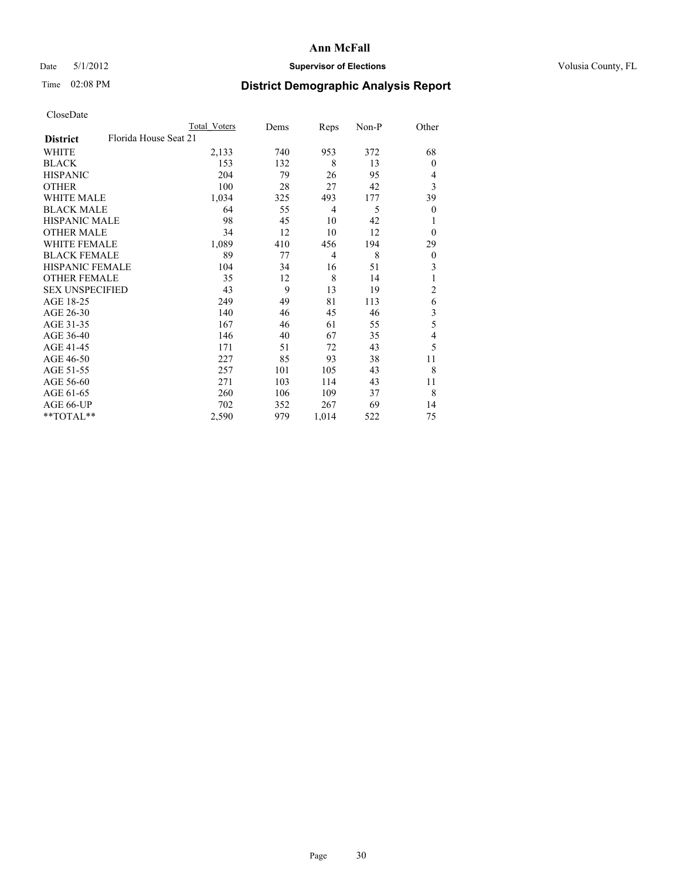## Date 5/1/2012 **Supervisor of Elections Supervisor of Elections** Volusia County, FL

## Time 02:08 PM **District Demographic Analysis Report**

|                        |                       | <b>Total Voters</b> | Dems | Reps           | Non-P | Other          |
|------------------------|-----------------------|---------------------|------|----------------|-------|----------------|
| <b>District</b>        | Florida House Seat 21 |                     |      |                |       |                |
| WHITE                  |                       | 2,133               | 740  | 953            | 372   | 68             |
| <b>BLACK</b>           |                       | 153                 | 132  | 8              | 13    | $\mathbf{0}$   |
| <b>HISPANIC</b>        |                       | 204                 | 79   | 26             | 95    | 4              |
| <b>OTHER</b>           |                       | 100                 | 28   | 27             | 42    | 3              |
| WHITE MALE             |                       | 1,034               | 325  | 493            | 177   | 39             |
| <b>BLACK MALE</b>      |                       | 64                  | 55   | 4              | 5     | $\mathbf{0}$   |
| <b>HISPANIC MALE</b>   |                       | 98                  | 45   | 10             | 42    | 1              |
| <b>OTHER MALE</b>      |                       | 34                  | 12   | 10             | 12    | $\mathbf{0}$   |
| <b>WHITE FEMALE</b>    |                       | 1,089               | 410  | 456            | 194   | 29             |
| <b>BLACK FEMALE</b>    |                       | 89                  | 77   | $\overline{4}$ | 8     | $\overline{0}$ |
| <b>HISPANIC FEMALE</b> |                       | 104                 | 34   | 16             | 51    | 3              |
| <b>OTHER FEMALE</b>    |                       | 35                  | 12   | 8              | 14    | 1              |
| <b>SEX UNSPECIFIED</b> |                       | 43                  | 9    | 13             | 19    | $\overline{c}$ |
| AGE 18-25              |                       | 249                 | 49   | 81             | 113   | 6              |
| AGE 26-30              |                       | 140                 | 46   | 45             | 46    | 3              |
| AGE 31-35              |                       | 167                 | 46   | 61             | 55    | 5              |
| AGE 36-40              |                       | 146                 | 40   | 67             | 35    | 4              |
| AGE 41-45              |                       | 171                 | 51   | 72             | 43    | 5              |
| AGE 46-50              |                       | 227                 | 85   | 93             | 38    | 11             |
| AGE 51-55              |                       | 257                 | 101  | 105            | 43    | 8              |
| AGE 56-60              |                       | 271                 | 103  | 114            | 43    | 11             |
| AGE 61-65              |                       | 260                 | 106  | 109            | 37    | 8              |
| AGE 66-UP              |                       | 702                 | 352  | 267            | 69    | 14             |
| **TOTAL**              |                       | 2,590               | 979  | 1,014          | 522   | 75             |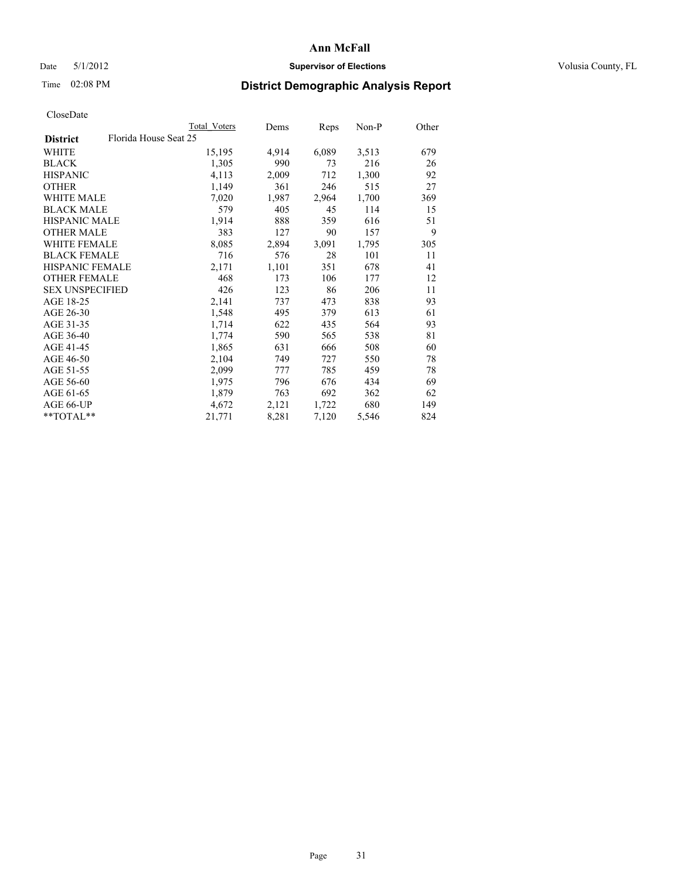## Date 5/1/2012 **Supervisor of Elections Supervisor of Elections** Volusia County, FL

# Time 02:08 PM **District Demographic Analysis Report**

|                                          | <b>Total Voters</b> | <u>Dems</u> | <b>Reps</b> | $Non-P$ | Other |
|------------------------------------------|---------------------|-------------|-------------|---------|-------|
| Florida House Seat 25<br><b>District</b> |                     |             |             |         |       |
| WHITE                                    | 15,195              | 4,914       | 6,089       | 3,513   | 679   |
| <b>BLACK</b>                             | 1,305               | 990         | 73          | 216     | 26    |
| <b>HISPANIC</b>                          | 4,113               | 2,009       | 712         | 1,300   | 92    |
| <b>OTHER</b>                             | 1,149               | 361         | 246         | 515     | 27    |
| WHITE MALE                               | 7,020               | 1,987       | 2,964       | 1,700   | 369   |
| <b>BLACK MALE</b>                        | 579                 | 405         | 45          | 114     | 15    |
| <b>HISPANIC MALE</b>                     | 1,914               | 888         | 359         | 616     | 51    |
| <b>OTHER MALE</b>                        | 383                 | 127         | 90          | 157     | 9     |
| <b>WHITE FEMALE</b>                      | 8,085               | 2,894       | 3,091       | 1,795   | 305   |
| <b>BLACK FEMALE</b>                      | 716                 | 576         | 28          | 101     | 11    |
| HISPANIC FEMALE                          | 2,171               | 1,101       | 351         | 678     | 41    |
| <b>OTHER FEMALE</b>                      | 468                 | 173         | 106         | 177     | 12    |
| <b>SEX UNSPECIFIED</b>                   | 426                 | 123         | 86          | 206     | 11    |
| AGE 18-25                                | 2,141               | 737         | 473         | 838     | 93    |
| AGE 26-30                                | 1,548               | 495         | 379         | 613     | 61    |
| AGE 31-35                                | 1,714               | 622         | 435         | 564     | 93    |
| AGE 36-40                                | 1,774               | 590         | 565         | 538     | 81    |
| AGE 41-45                                | 1,865               | 631         | 666         | 508     | 60    |
| AGE 46-50                                | 2,104               | 749         | 727         | 550     | 78    |
| AGE 51-55                                | 2,099               | 777         | 785         | 459     | 78    |
| AGE 56-60                                | 1,975               | 796         | 676         | 434     | 69    |
| AGE 61-65                                | 1,879               | 763         | 692         | 362     | 62    |
| AGE 66-UP                                | 4,672               | 2,121       | 1,722       | 680     | 149   |
| $*$ TOTAL $*$                            | 21,771              | 8,281       | 7,120       | 5,546   | 824   |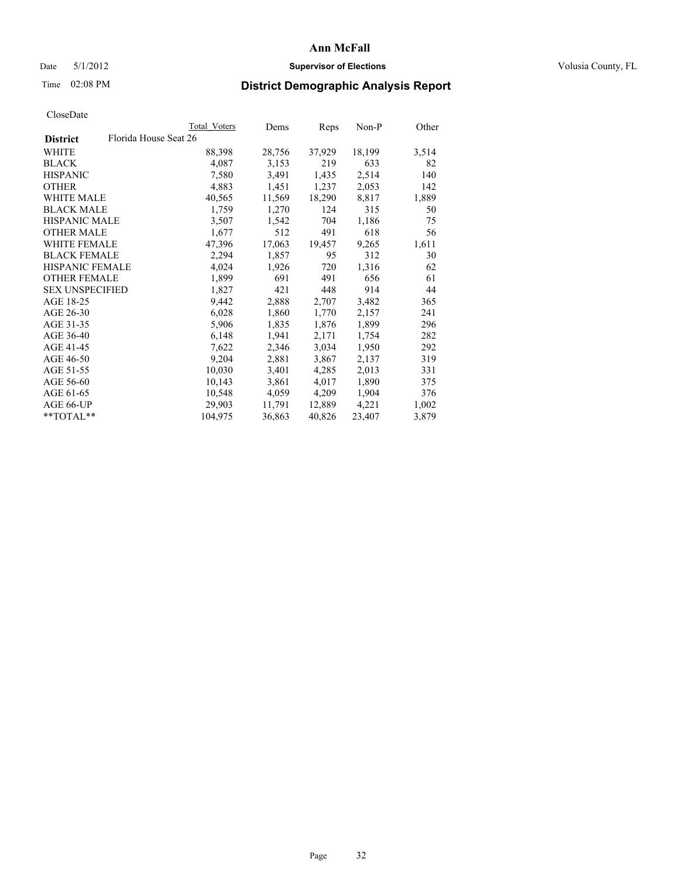## Date 5/1/2012 **Supervisor of Elections Supervisor of Elections** Volusia County, FL

# Time 02:08 PM **District Demographic Analysis Report**

|                                          | Total Voters | Dems   | <b>Reps</b> | Non-P  | Other |
|------------------------------------------|--------------|--------|-------------|--------|-------|
| Florida House Seat 26<br><b>District</b> |              |        |             |        |       |
| WHITE                                    | 88,398       | 28,756 | 37,929      | 18,199 | 3,514 |
| <b>BLACK</b>                             | 4,087        | 3,153  | 219         | 633    | 82    |
| <b>HISPANIC</b>                          | 7,580        | 3,491  | 1,435       | 2,514  | 140   |
| <b>OTHER</b>                             | 4,883        | 1,451  | 1,237       | 2,053  | 142   |
| <b>WHITE MALE</b>                        | 40,565       | 11,569 | 18,290      | 8,817  | 1,889 |
| <b>BLACK MALE</b>                        | 1,759        | 1,270  | 124         | 315    | 50    |
| <b>HISPANIC MALE</b>                     | 3,507        | 1,542  | 704         | 1,186  | 75    |
| <b>OTHER MALE</b>                        | 1,677        | 512    | 491         | 618    | 56    |
| <b>WHITE FEMALE</b>                      | 47,396       | 17,063 | 19,457      | 9,265  | 1,611 |
| <b>BLACK FEMALE</b>                      | 2,294        | 1,857  | 95          | 312    | 30    |
| <b>HISPANIC FEMALE</b>                   | 4,024        | 1,926  | 720         | 1,316  | 62    |
| <b>OTHER FEMALE</b>                      | 1,899        | 691    | 491         | 656    | 61    |
| <b>SEX UNSPECIFIED</b>                   | 1,827        | 421    | 448         | 914    | 44    |
| AGE 18-25                                | 9,442        | 2,888  | 2,707       | 3,482  | 365   |
| AGE 26-30                                | 6,028        | 1,860  | 1,770       | 2,157  | 241   |
| AGE 31-35                                | 5,906        | 1,835  | 1,876       | 1,899  | 296   |
| AGE 36-40                                | 6,148        | 1,941  | 2,171       | 1,754  | 282   |
| AGE 41-45                                | 7,622        | 2,346  | 3,034       | 1,950  | 292   |
| AGE 46-50                                | 9,204        | 2,881  | 3,867       | 2,137  | 319   |
| AGE 51-55                                | 10,030       | 3,401  | 4,285       | 2,013  | 331   |
| AGE 56-60                                | 10,143       | 3,861  | 4,017       | 1,890  | 375   |
| AGE 61-65                                | 10,548       | 4,059  | 4,209       | 1,904  | 376   |
| AGE 66-UP                                | 29,903       | 11,791 | 12,889      | 4,221  | 1,002 |
| $*$ TOTAL $*$                            | 104,975      | 36,863 | 40,826      | 23,407 | 3,879 |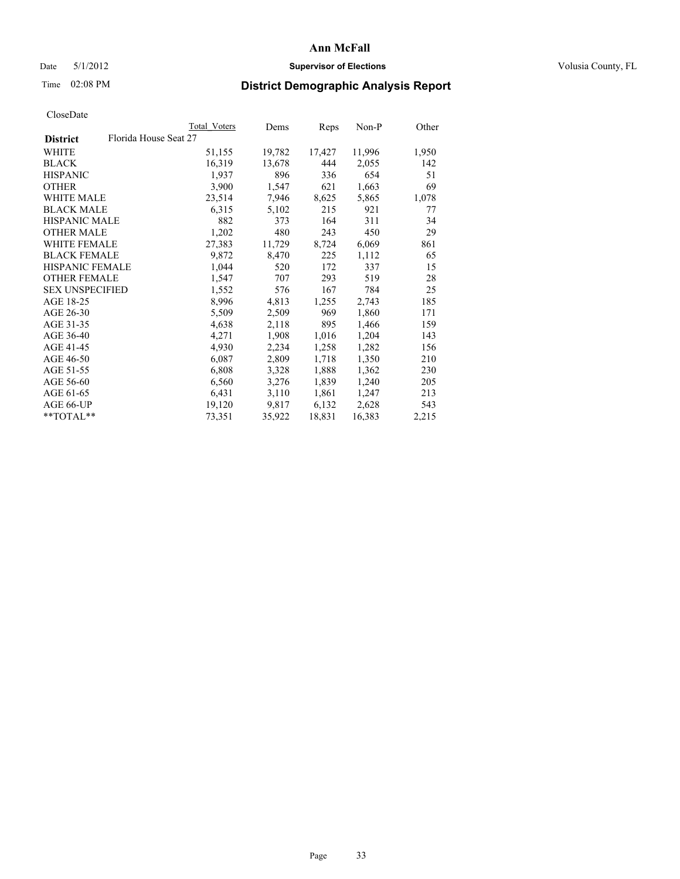## Date 5/1/2012 **Supervisor of Elections Supervisor of Elections** Volusia County, FL

# Time 02:08 PM **District Demographic Analysis Report**

|                        | Total Voters          | Dems   | <b>Reps</b> | Non-P  | Other |
|------------------------|-----------------------|--------|-------------|--------|-------|
| <b>District</b>        | Florida House Seat 27 |        |             |        |       |
| WHITE                  | 51,155                | 19,782 | 17,427      | 11,996 | 1,950 |
| <b>BLACK</b>           | 16,319                | 13,678 | 444         | 2,055  | 142   |
| <b>HISPANIC</b>        | 1,937                 | 896    | 336         | 654    | 51    |
| <b>OTHER</b>           | 3,900                 | 1,547  | 621         | 1,663  | 69    |
| <b>WHITE MALE</b>      | 23,514                | 7,946  | 8,625       | 5,865  | 1,078 |
| <b>BLACK MALE</b>      | 6,315                 | 5,102  | 215         | 921    | 77    |
| <b>HISPANIC MALE</b>   | 882                   | 373    | 164         | 311    | 34    |
| <b>OTHER MALE</b>      | 1,202                 | 480    | 243         | 450    | 29    |
| WHITE FEMALE           | 27,383                | 11,729 | 8,724       | 6,069  | 861   |
| <b>BLACK FEMALE</b>    | 9,872                 | 8,470  | 225         | 1,112  | 65    |
| HISPANIC FEMALE        | 1,044                 | 520    | 172         | 337    | 15    |
| <b>OTHER FEMALE</b>    | 1,547                 | 707    | 293         | 519    | 28    |
| <b>SEX UNSPECIFIED</b> | 1,552                 | 576    | 167         | 784    | 25    |
| AGE 18-25              | 8,996                 | 4,813  | 1,255       | 2,743  | 185   |
| AGE 26-30              | 5,509                 | 2,509  | 969         | 1,860  | 171   |
| AGE 31-35              | 4,638                 | 2,118  | 895         | 1,466  | 159   |
| AGE 36-40              | 4,271                 | 1,908  | 1,016       | 1,204  | 143   |
| AGE 41-45              | 4,930                 | 2,234  | 1,258       | 1,282  | 156   |
| AGE 46-50              | 6,087                 | 2,809  | 1,718       | 1,350  | 210   |
| AGE 51-55              | 6,808                 | 3,328  | 1,888       | 1,362  | 230   |
| AGE 56-60              | 6,560                 | 3,276  | 1,839       | 1,240  | 205   |
| AGE 61-65              | 6,431                 | 3,110  | 1,861       | 1,247  | 213   |
| AGE 66-UP              | 19,120                | 9,817  | 6,132       | 2,628  | 543   |
| $*$ TOTAL $*$          | 73,351                | 35,922 | 18,831      | 16,383 | 2,215 |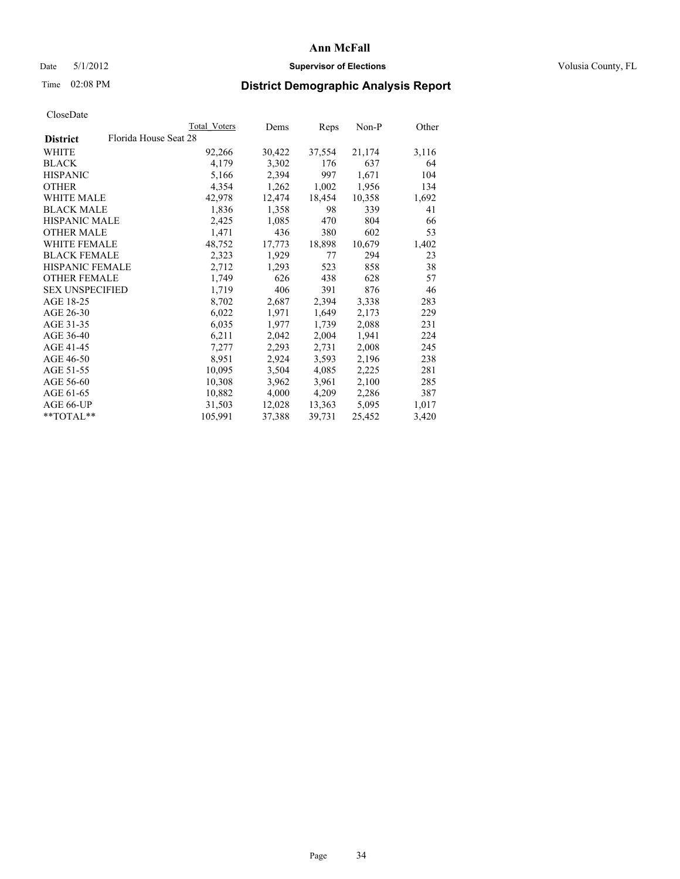## Date 5/1/2012 **Supervisor of Elections Supervisor of Elections** Volusia County, FL

# Time 02:08 PM **District Demographic Analysis Report**

|                                          | Total Voters | Dems   | <b>Reps</b> | Non-P  | Other |
|------------------------------------------|--------------|--------|-------------|--------|-------|
| Florida House Seat 28<br><b>District</b> |              |        |             |        |       |
| WHITE                                    | 92,266       | 30,422 | 37,554      | 21,174 | 3,116 |
| <b>BLACK</b>                             | 4,179        | 3,302  | 176         | 637    | 64    |
| <b>HISPANIC</b>                          | 5,166        | 2,394  | 997         | 1,671  | 104   |
| <b>OTHER</b>                             | 4,354        | 1,262  | 1,002       | 1,956  | 134   |
| <b>WHITE MALE</b>                        | 42,978       | 12,474 | 18,454      | 10,358 | 1,692 |
| <b>BLACK MALE</b>                        | 1,836        | 1,358  | 98          | 339    | 41    |
| <b>HISPANIC MALE</b>                     | 2,425        | 1,085  | 470         | 804    | 66    |
| <b>OTHER MALE</b>                        | 1,471        | 436    | 380         | 602    | 53    |
| <b>WHITE FEMALE</b>                      | 48,752       | 17,773 | 18,898      | 10,679 | 1,402 |
| <b>BLACK FEMALE</b>                      | 2,323        | 1,929  | 77          | 294    | 23    |
| <b>HISPANIC FEMALE</b>                   | 2,712        | 1,293  | 523         | 858    | 38    |
| <b>OTHER FEMALE</b>                      | 1,749        | 626    | 438         | 628    | 57    |
| <b>SEX UNSPECIFIED</b>                   | 1,719        | 406    | 391         | 876    | 46    |
| AGE 18-25                                | 8,702        | 2,687  | 2,394       | 3,338  | 283   |
| AGE 26-30                                | 6,022        | 1,971  | 1,649       | 2,173  | 229   |
| AGE 31-35                                | 6,035        | 1,977  | 1,739       | 2,088  | 231   |
| AGE 36-40                                | 6,211        | 2,042  | 2,004       | 1,941  | 224   |
| AGE 41-45                                | 7,277        | 2,293  | 2,731       | 2,008  | 245   |
| AGE 46-50                                | 8,951        | 2,924  | 3,593       | 2,196  | 238   |
| AGE 51-55                                | 10,095       | 3,504  | 4,085       | 2,225  | 281   |
| AGE 56-60                                | 10,308       | 3,962  | 3,961       | 2,100  | 285   |
| AGE 61-65                                | 10,882       | 4,000  | 4,209       | 2,286  | 387   |
| AGE 66-UP                                | 31,503       | 12,028 | 13,363      | 5,095  | 1,017 |
| $*$ TOTAL $*$                            | 105,991      | 37,388 | 39,731      | 25,452 | 3,420 |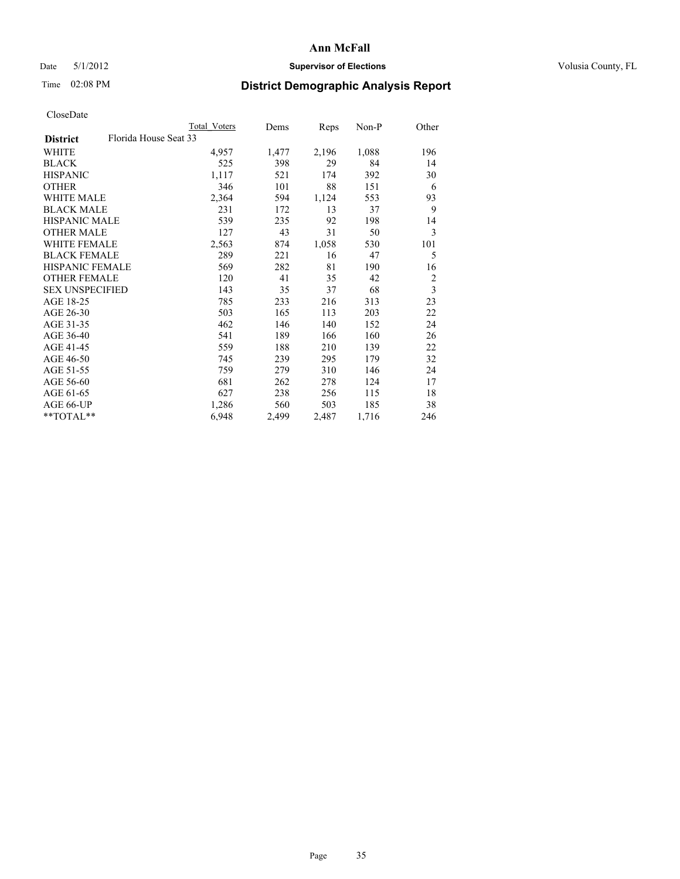## Date 5/1/2012 **Supervisor of Elections Supervisor of Elections** Volusia County, FL

## Time 02:08 PM **District Demographic Analysis Report**

|                                          | Total Voters | Dems  | Reps  | Non-P | Other          |
|------------------------------------------|--------------|-------|-------|-------|----------------|
| Florida House Seat 33<br><b>District</b> |              |       |       |       |                |
| WHITE                                    | 4,957        | 1,477 | 2,196 | 1,088 | 196            |
| <b>BLACK</b>                             | 525          | 398   | 29    | 84    | 14             |
| <b>HISPANIC</b>                          | 1,117        | 521   | 174   | 392   | 30             |
| <b>OTHER</b>                             | 346          | 101   | 88    | 151   | 6              |
| WHITE MALE                               | 2,364        | 594   | 1,124 | 553   | 93             |
| <b>BLACK MALE</b>                        | 231          | 172   | 13    | 37    | 9              |
| HISPANIC MALE                            | 539          | 235   | 92    | 198   | 14             |
| <b>OTHER MALE</b>                        | 127          | 43    | 31    | 50    | 3              |
| WHITE FEMALE                             | 2,563        | 874   | 1,058 | 530   | 101            |
| <b>BLACK FEMALE</b>                      | 289          | 221   | 16    | 47    | 5              |
| <b>HISPANIC FEMALE</b>                   | 569          | 282   | 81    | 190   | 16             |
| <b>OTHER FEMALE</b>                      | 120          | 41    | 35    | 42    | $\overline{2}$ |
| <b>SEX UNSPECIFIED</b>                   | 143          | 35    | 37    | 68    | 3              |
| AGE 18-25                                | 785          | 233   | 216   | 313   | 23             |
| AGE 26-30                                | 503          | 165   | 113   | 203   | 22             |
| AGE 31-35                                | 462          | 146   | 140   | 152   | 24             |
| AGE 36-40                                | 541          | 189   | 166   | 160   | 26             |
| AGE 41-45                                | 559          | 188   | 210   | 139   | 22             |
| AGE 46-50                                | 745          | 239   | 295   | 179   | 32             |
| AGE 51-55                                | 759          | 279   | 310   | 146   | 24             |
| AGE 56-60                                | 681          | 262   | 278   | 124   | 17             |
| AGE 61-65                                | 627          | 238   | 256   | 115   | 18             |
| AGE 66-UP                                | 1,286        | 560   | 503   | 185   | 38             |
| **TOTAL**                                | 6,948        | 2,499 | 2,487 | 1,716 | 246            |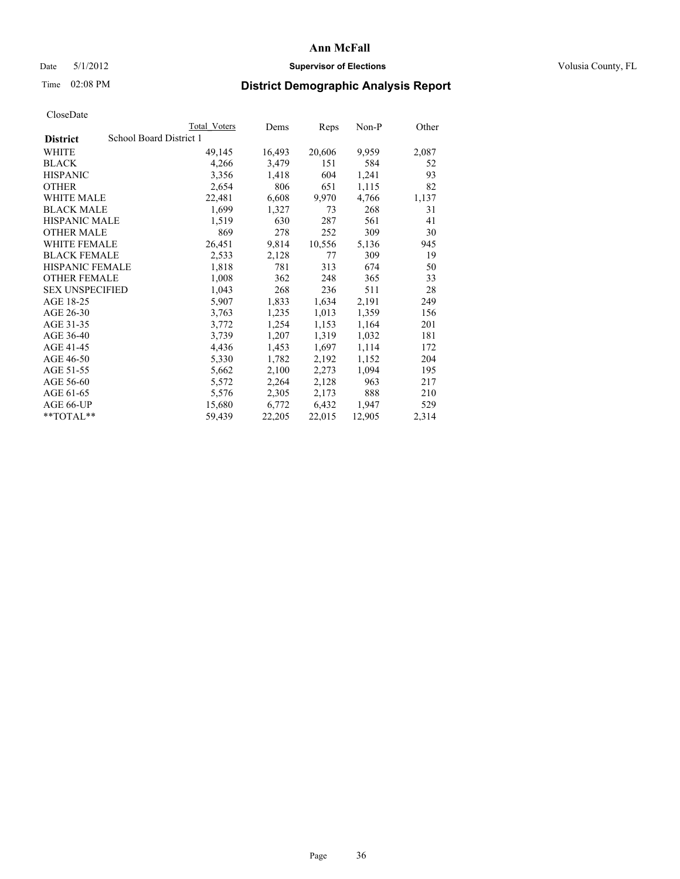## Date 5/1/2012 **Supervisor of Elections Supervisor of Elections** Volusia County, FL

## Time 02:08 PM **District Demographic Analysis Report**

|                        | <b>Total Voters</b>     | Dems   | <b>Reps</b> | Non-P  | Other |
|------------------------|-------------------------|--------|-------------|--------|-------|
| <b>District</b>        | School Board District 1 |        |             |        |       |
| WHITE                  | 49,145                  | 16,493 | 20,606      | 9,959  | 2,087 |
| <b>BLACK</b>           | 4,266                   | 3,479  | 151         | 584    | 52    |
| <b>HISPANIC</b>        | 3,356                   | 1,418  | 604         | 1,241  | 93    |
| <b>OTHER</b>           | 2,654                   | 806    | 651         | 1,115  | 82    |
| <b>WHITE MALE</b>      | 22,481                  | 6,608  | 9,970       | 4,766  | 1,137 |
| <b>BLACK MALE</b>      | 1,699                   | 1,327  | 73          | 268    | 31    |
| <b>HISPANIC MALE</b>   | 1,519                   | 630    | 287         | 561    | 41    |
| <b>OTHER MALE</b>      | 869                     | 278    | 252         | 309    | 30    |
| WHITE FEMALE           | 26,451                  | 9,814  | 10,556      | 5,136  | 945   |
| <b>BLACK FEMALE</b>    | 2,533                   | 2,128  | 77          | 309    | 19    |
| <b>HISPANIC FEMALE</b> | 1,818                   | 781    | 313         | 674    | 50    |
| <b>OTHER FEMALE</b>    | 1,008                   | 362    | 248         | 365    | 33    |
| <b>SEX UNSPECIFIED</b> | 1,043                   | 268    | 236         | 511    | 28    |
| AGE 18-25              | 5,907                   | 1,833  | 1,634       | 2,191  | 249   |
| AGE 26-30              | 3,763                   | 1,235  | 1,013       | 1,359  | 156   |
| AGE 31-35              | 3,772                   | 1,254  | 1,153       | 1,164  | 201   |
| AGE 36-40              | 3,739                   | 1,207  | 1,319       | 1,032  | 181   |
| AGE 41-45              | 4,436                   | 1,453  | 1,697       | 1,114  | 172   |
| AGE 46-50              | 5,330                   | 1,782  | 2,192       | 1,152  | 204   |
| AGE 51-55              | 5,662                   | 2,100  | 2,273       | 1,094  | 195   |
| AGE 56-60              | 5,572                   | 2,264  | 2,128       | 963    | 217   |
| AGE 61-65              | 5,576                   | 2,305  | 2,173       | 888    | 210   |
| AGE 66-UP              | 15,680                  | 6,772  | 6,432       | 1,947  | 529   |
| $*$ TOTAL $*$          | 59,439                  | 22,205 | 22,015      | 12,905 | 2,314 |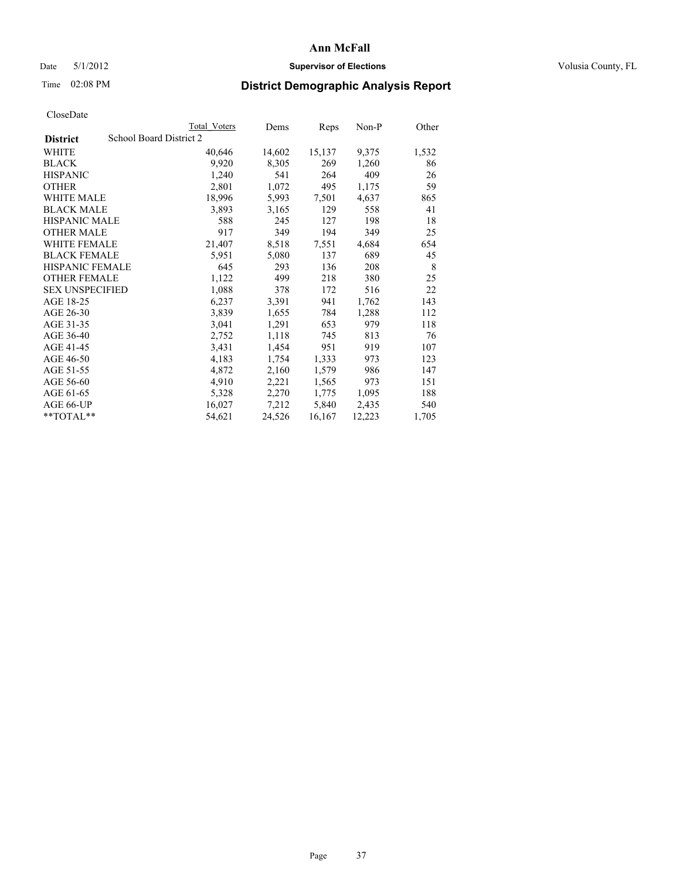### Date 5/1/2012 **Supervisor of Elections Supervisor of Elections** Volusia County, FL

# Time 02:08 PM **District Demographic Analysis Report**

|                                            | <b>Total Voters</b> | Dems   | <b>Reps</b> | Non-P  | Other |
|--------------------------------------------|---------------------|--------|-------------|--------|-------|
| School Board District 2<br><b>District</b> |                     |        |             |        |       |
| WHITE                                      | 40,646              | 14,602 | 15,137      | 9,375  | 1,532 |
| <b>BLACK</b>                               | 9,920               | 8,305  | 269         | 1,260  | 86    |
| <b>HISPANIC</b>                            | 1,240               | 541    | 264         | 409    | 26    |
| <b>OTHER</b>                               | 2,801               | 1,072  | 495         | 1,175  | 59    |
| WHITE MALE                                 | 18,996              | 5,993  | 7,501       | 4,637  | 865   |
| <b>BLACK MALE</b>                          | 3,893               | 3,165  | 129         | 558    | 41    |
| <b>HISPANIC MALE</b>                       | 588                 | 245    | 127         | 198    | 18    |
| <b>OTHER MALE</b>                          | 917                 | 349    | 194         | 349    | 25    |
| <b>WHITE FEMALE</b>                        | 21,407              | 8,518  | 7,551       | 4,684  | 654   |
| <b>BLACK FEMALE</b>                        | 5,951               | 5,080  | 137         | 689    | 45    |
| <b>HISPANIC FEMALE</b>                     | 645                 | 293    | 136         | 208    | 8     |
| <b>OTHER FEMALE</b>                        | 1,122               | 499    | 218         | 380    | 25    |
| <b>SEX UNSPECIFIED</b>                     | 1,088               | 378    | 172         | 516    | 22    |
| AGE 18-25                                  | 6,237               | 3,391  | 941         | 1,762  | 143   |
| AGE 26-30                                  | 3,839               | 1,655  | 784         | 1,288  | 112   |
| AGE 31-35                                  | 3,041               | 1,291  | 653         | 979    | 118   |
| AGE 36-40                                  | 2,752               | 1,118  | 745         | 813    | 76    |
| AGE 41-45                                  | 3,431               | 1,454  | 951         | 919    | 107   |
| AGE 46-50                                  | 4,183               | 1,754  | 1,333       | 973    | 123   |
| AGE 51-55                                  | 4,872               | 2,160  | 1,579       | 986    | 147   |
| AGE 56-60                                  | 4,910               | 2,221  | 1,565       | 973    | 151   |
| AGE 61-65                                  | 5,328               | 2,270  | 1,775       | 1,095  | 188   |
| AGE 66-UP                                  | 16,027              | 7,212  | 5,840       | 2,435  | 540   |
| **TOTAL**                                  | 54,621              | 24,526 | 16,167      | 12,223 | 1,705 |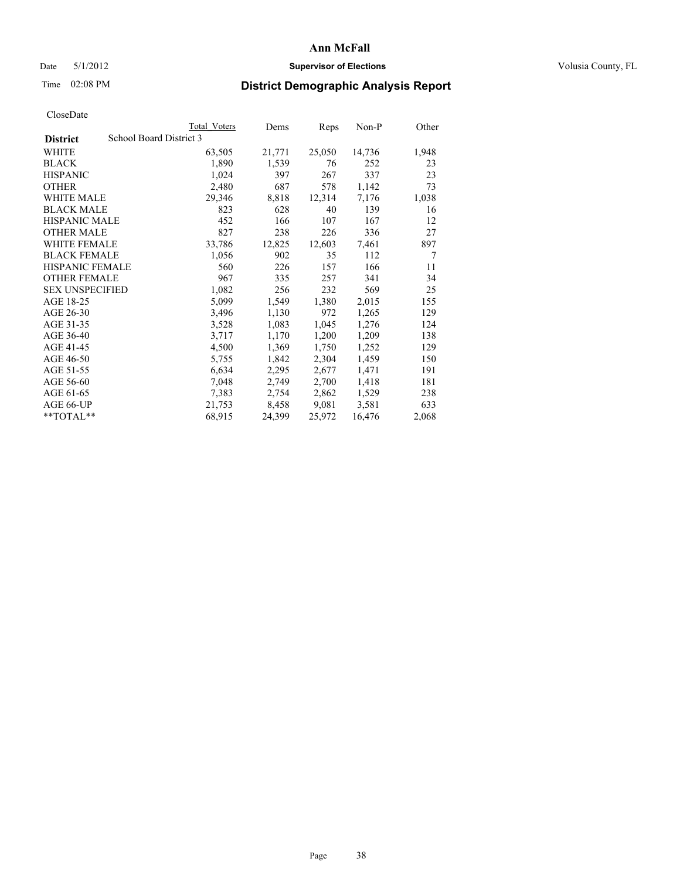### Date 5/1/2012 **Supervisor of Elections Supervisor of Elections** Volusia County, FL

# Time 02:08 PM **District Demographic Analysis Report**

| Total Voters            | Dems   | Reps   | Non-P  | Other |
|-------------------------|--------|--------|--------|-------|
| School Board District 3 |        |        |        |       |
| 63,505                  | 21,771 | 25,050 | 14,736 | 1,948 |
| 1,890                   | 1,539  | 76     | 252    | 23    |
| 1,024                   | 397    | 267    | 337    | 23    |
| 2,480                   | 687    | 578    | 1,142  | 73    |
| 29,346                  | 8,818  | 12,314 | 7,176  | 1,038 |
| 823                     | 628    | 40     | 139    | 16    |
| 452                     | 166    | 107    | 167    | 12    |
| 827                     | 238    | 226    | 336    | 27    |
| 33,786                  | 12,825 | 12,603 | 7,461  | 897   |
| 1,056                   | 902    | 35     | 112    | 7     |
| 560                     | 226    | 157    | 166    | 11    |
| 967                     | 335    | 257    | 341    | 34    |
| 1,082                   | 256    | 232    | 569    | 25    |
| 5,099                   | 1,549  | 1,380  | 2,015  | 155   |
| 3,496                   | 1,130  | 972    | 1,265  | 129   |
| 3,528                   | 1,083  | 1,045  | 1,276  | 124   |
| 3,717                   | 1,170  | 1,200  | 1,209  | 138   |
| 4,500                   | 1,369  | 1,750  | 1,252  | 129   |
| 5,755                   | 1,842  | 2,304  | 1,459  | 150   |
| 6,634                   | 2,295  | 2,677  | 1,471  | 191   |
| 7,048                   | 2,749  | 2,700  | 1,418  | 181   |
| 7,383                   | 2,754  | 2,862  | 1,529  | 238   |
| 21,753                  | 8,458  | 9,081  | 3,581  | 633   |
| 68,915                  | 24,399 | 25,972 | 16,476 | 2,068 |
|                         |        |        |        |       |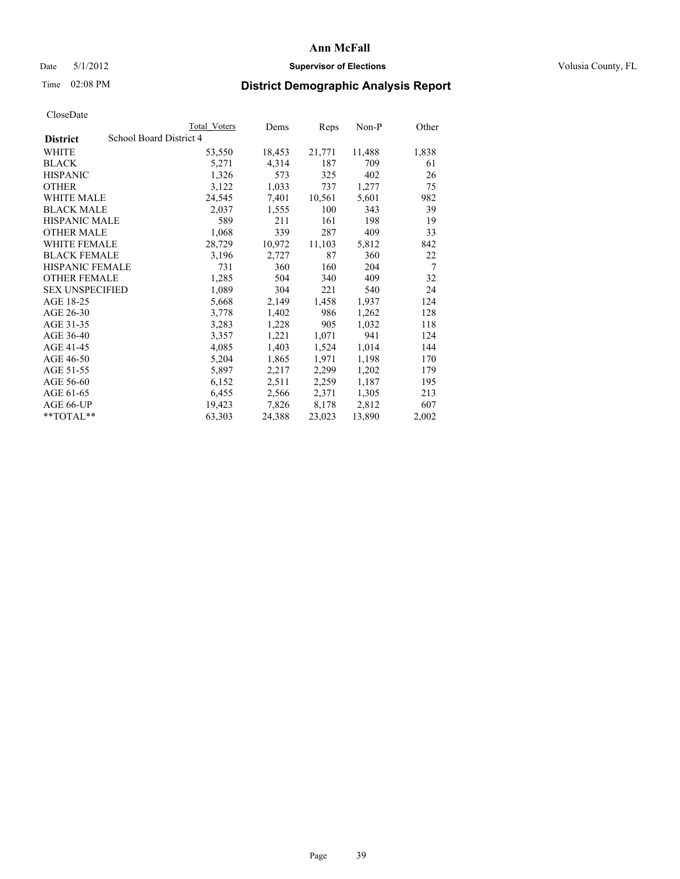### Date 5/1/2012 **Supervisor of Elections Supervisor of Elections** Volusia County, FL

# Time 02:08 PM **District Demographic Analysis Report**

|                                            | Total Voters | Dems   | Reps   | Non-P  | Other |
|--------------------------------------------|--------------|--------|--------|--------|-------|
| School Board District 4<br><b>District</b> |              |        |        |        |       |
| WHITE                                      | 53,550       | 18,453 | 21,771 | 11,488 | 1,838 |
| <b>BLACK</b>                               | 5,271        | 4,314  | 187    | 709    | 61    |
| <b>HISPANIC</b>                            | 1,326        | 573    | 325    | 402    | 26    |
| <b>OTHER</b>                               | 3,122        | 1,033  | 737    | 1,277  | 75    |
| <b>WHITE MALE</b>                          | 24,545       | 7,401  | 10,561 | 5,601  | 982   |
| <b>BLACK MALE</b>                          | 2,037        | 1,555  | 100    | 343    | 39    |
| <b>HISPANIC MALE</b>                       | 589          | 211    | 161    | 198    | 19    |
| <b>OTHER MALE</b>                          | 1,068        | 339    | 287    | 409    | 33    |
| WHITE FEMALE                               | 28,729       | 10,972 | 11,103 | 5,812  | 842   |
| <b>BLACK FEMALE</b>                        | 3,196        | 2,727  | 87     | 360    | 22    |
| <b>HISPANIC FEMALE</b>                     | 731          | 360    | 160    | 204    | 7     |
| <b>OTHER FEMALE</b>                        | 1,285        | 504    | 340    | 409    | 32    |
| <b>SEX UNSPECIFIED</b>                     | 1,089        | 304    | 221    | 540    | 24    |
| AGE 18-25                                  | 5,668        | 2,149  | 1,458  | 1,937  | 124   |
| AGE 26-30                                  | 3,778        | 1,402  | 986    | 1,262  | 128   |
| AGE 31-35                                  | 3,283        | 1,228  | 905    | 1,032  | 118   |
| AGE 36-40                                  | 3,357        | 1,221  | 1,071  | 941    | 124   |
| AGE 41-45                                  | 4,085        | 1,403  | 1,524  | 1,014  | 144   |
| AGE 46-50                                  | 5,204        | 1,865  | 1,971  | 1,198  | 170   |
| AGE 51-55                                  | 5,897        | 2,217  | 2,299  | 1,202  | 179   |
| AGE 56-60                                  | 6,152        | 2,511  | 2,259  | 1,187  | 195   |
| AGE 61-65                                  | 6,455        | 2,566  | 2,371  | 1,305  | 213   |
| AGE 66-UP                                  | 19,423       | 7,826  | 8,178  | 2,812  | 607   |
| $*$ TOTAL $*$                              | 63,303       | 24,388 | 23,023 | 13,890 | 2,002 |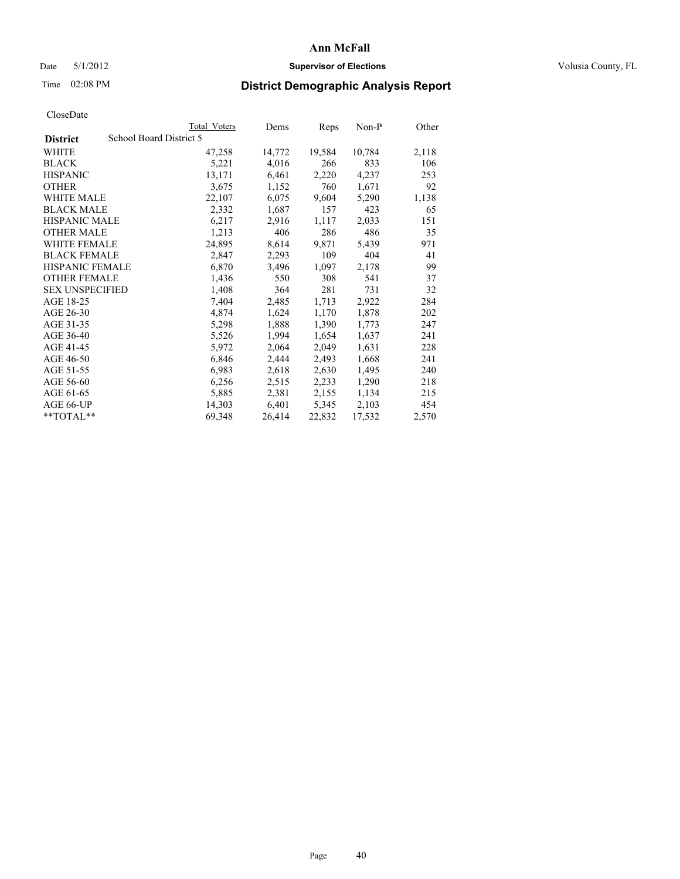### Date 5/1/2012 **Supervisor of Elections Supervisor of Elections** Volusia County, FL

# Time 02:08 PM **District Demographic Analysis Report**

|                        |                         | <b>Total Voters</b> | Dems   | <b>Reps</b> | Non-P  | Other |
|------------------------|-------------------------|---------------------|--------|-------------|--------|-------|
| <b>District</b>        | School Board District 5 |                     |        |             |        |       |
| WHITE                  |                         | 47,258              | 14,772 | 19,584      | 10,784 | 2,118 |
| <b>BLACK</b>           |                         | 5,221               | 4,016  | 266         | 833    | 106   |
| <b>HISPANIC</b>        |                         | 13,171              | 6,461  | 2,220       | 4,237  | 253   |
| <b>OTHER</b>           |                         | 3,675               | 1,152  | 760         | 1,671  | 92    |
| WHITE MALE             |                         | 22,107              | 6,075  | 9,604       | 5,290  | 1,138 |
| <b>BLACK MALE</b>      |                         | 2,332               | 1,687  | 157         | 423    | 65    |
| <b>HISPANIC MALE</b>   |                         | 6,217               | 2,916  | 1,117       | 2,033  | 151   |
| <b>OTHER MALE</b>      |                         | 1,213               | 406    | 286         | 486    | 35    |
| <b>WHITE FEMALE</b>    |                         | 24,895              | 8,614  | 9,871       | 5,439  | 971   |
| <b>BLACK FEMALE</b>    |                         | 2,847               | 2,293  | 109         | 404    | 41    |
| <b>HISPANIC FEMALE</b> |                         | 6,870               | 3,496  | 1,097       | 2,178  | 99    |
| <b>OTHER FEMALE</b>    |                         | 1,436               | 550    | 308         | 541    | 37    |
| <b>SEX UNSPECIFIED</b> |                         | 1,408               | 364    | 281         | 731    | 32    |
| AGE 18-25              |                         | 7,404               | 2,485  | 1,713       | 2,922  | 284   |
| AGE 26-30              |                         | 4,874               | 1,624  | 1,170       | 1,878  | 202   |
| AGE 31-35              |                         | 5,298               | 1,888  | 1,390       | 1,773  | 247   |
| AGE 36-40              |                         | 5,526               | 1,994  | 1,654       | 1,637  | 241   |
| AGE 41-45              |                         | 5,972               | 2,064  | 2,049       | 1,631  | 228   |
| AGE 46-50              |                         | 6,846               | 2,444  | 2,493       | 1,668  | 241   |
| AGE 51-55              |                         | 6,983               | 2,618  | 2,630       | 1,495  | 240   |
| AGE 56-60              |                         | 6,256               | 2,515  | 2,233       | 1,290  | 218   |
| AGE 61-65              |                         | 5,885               | 2,381  | 2,155       | 1,134  | 215   |
| AGE 66-UP              |                         | 14,303              | 6,401  | 5,345       | 2,103  | 454   |
| $*$ TOTAL $*$          |                         | 69,348              | 26,414 | 22,832      | 17,532 | 2,570 |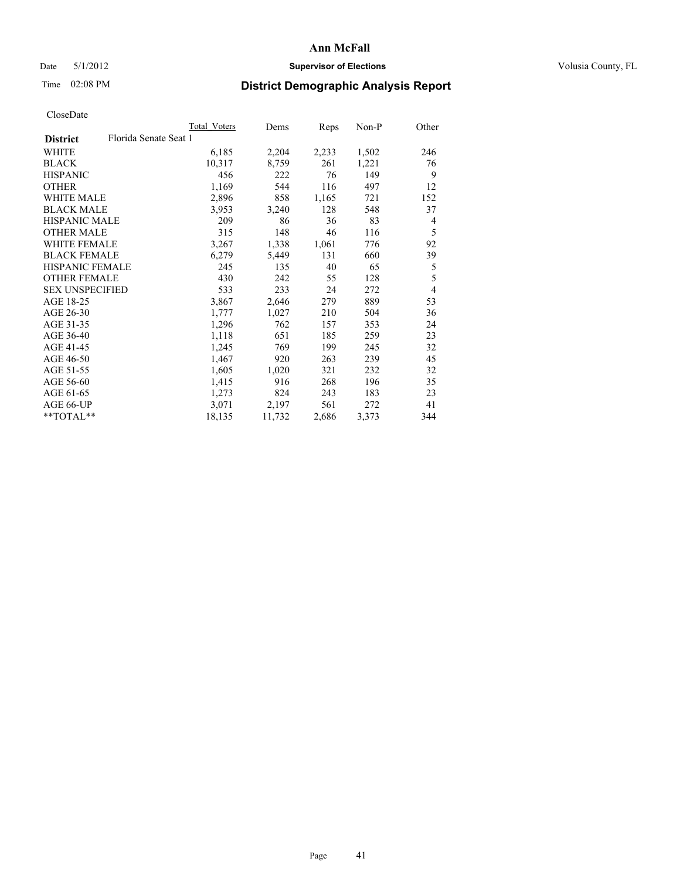### Date 5/1/2012 **Supervisor of Elections Supervisor of Elections** Volusia County, FL

# Time 02:08 PM **District Demographic Analysis Report**

|                        | Total Voters          | Dems   | <b>Reps</b> | Non-P | Other          |
|------------------------|-----------------------|--------|-------------|-------|----------------|
| <b>District</b>        | Florida Senate Seat 1 |        |             |       |                |
| <b>WHITE</b>           | 6,185                 | 2,204  | 2,233       | 1,502 | 246            |
| <b>BLACK</b>           | 10,317                | 8,759  | 261         | 1,221 | 76             |
| <b>HISPANIC</b>        | 456                   | 222    | 76          | 149   | 9              |
| <b>OTHER</b>           | 1,169                 | 544    | 116         | 497   | 12             |
| WHITE MALE             | 2,896                 | 858    | 1,165       | 721   | 152            |
| <b>BLACK MALE</b>      | 3,953                 | 3,240  | 128         | 548   | 37             |
| <b>HISPANIC MALE</b>   | 209                   | 86     | 36          | 83    | 4              |
| <b>OTHER MALE</b>      | 315                   | 148    | 46          | 116   | 5              |
| <b>WHITE FEMALE</b>    | 3,267                 | 1,338  | 1,061       | 776   | 92             |
| <b>BLACK FEMALE</b>    | 6,279                 | 5,449  | 131         | 660   | 39             |
| HISPANIC FEMALE        | 245                   | 135    | 40          | 65    | 5              |
| <b>OTHER FEMALE</b>    | 430                   | 242    | 55          | 128   | 5              |
| <b>SEX UNSPECIFIED</b> | 533                   | 233    | 24          | 272   | $\overline{4}$ |
| AGE 18-25              | 3,867                 | 2,646  | 279         | 889   | 53             |
| AGE 26-30              | 1,777                 | 1,027  | 210         | 504   | 36             |
| AGE 31-35              | 1,296                 | 762    | 157         | 353   | 24             |
| AGE 36-40              | 1,118                 | 651    | 185         | 259   | 23             |
| AGE 41-45              | 1,245                 | 769    | 199         | 245   | 32             |
| AGE 46-50              | 1,467                 | 920    | 263         | 239   | 45             |
| AGE 51-55              | 1,605                 | 1,020  | 321         | 232   | 32             |
| AGE 56-60              | 1,415                 | 916    | 268         | 196   | 35             |
| AGE 61-65              | 1,273                 | 824    | 243         | 183   | 23             |
| AGE 66-UP              | 3,071                 | 2,197  | 561         | 272   | 41             |
| $*$ TOTAL $*$          | 18,135                | 11,732 | 2,686       | 3,373 | 344            |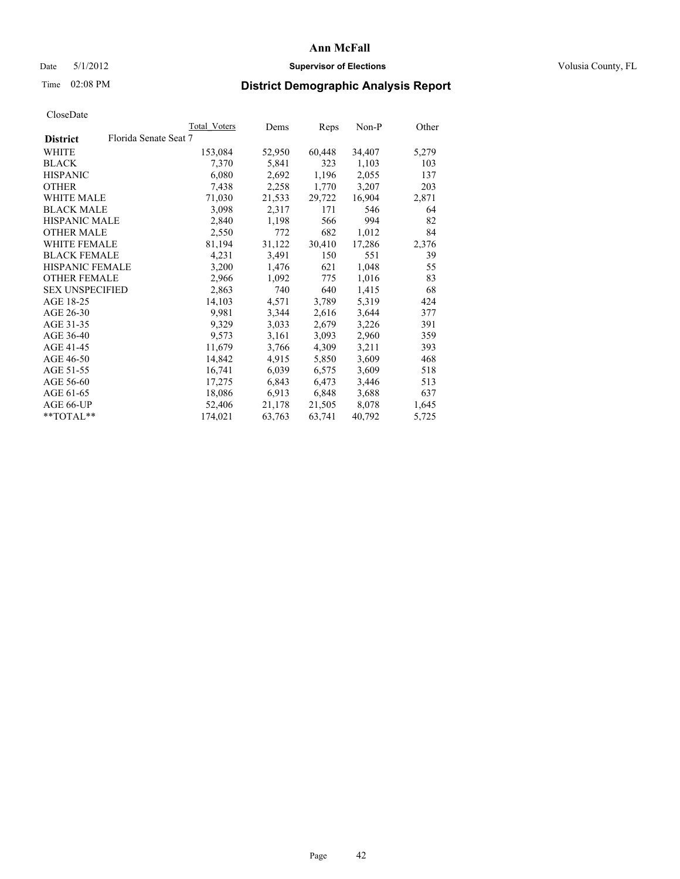### Date 5/1/2012 **Supervisor of Elections Supervisor of Elections** Volusia County, FL

## Time 02:08 PM **District Demographic Analysis Report**

|                        |                       | Total Voters | Dems   | Reps   | Non-P  | Other |
|------------------------|-----------------------|--------------|--------|--------|--------|-------|
| <b>District</b>        | Florida Senate Seat 7 |              |        |        |        |       |
| <b>WHITE</b>           |                       | 153,084      | 52,950 | 60,448 | 34,407 | 5,279 |
| <b>BLACK</b>           |                       | 7,370        | 5,841  | 323    | 1,103  | 103   |
| <b>HISPANIC</b>        |                       | 6,080        | 2,692  | 1,196  | 2,055  | 137   |
| <b>OTHER</b>           |                       | 7.438        | 2,258  | 1,770  | 3,207  | 203   |
| <b>WHITE MALE</b>      |                       | 71,030       | 21,533 | 29,722 | 16,904 | 2,871 |
| <b>BLACK MALE</b>      |                       | 3,098        | 2,317  | 171    | 546    | 64    |
| <b>HISPANIC MALE</b>   |                       | 2,840        | 1,198  | 566    | 994    | 82    |
| <b>OTHER MALE</b>      |                       | 2,550        | 772    | 682    | 1,012  | 84    |
| <b>WHITE FEMALE</b>    |                       | 81,194       | 31,122 | 30,410 | 17,286 | 2,376 |
| <b>BLACK FEMALE</b>    |                       | 4,231        | 3,491  | 150    | 551    | 39    |
| <b>HISPANIC FEMALE</b> |                       | 3,200        | 1,476  | 621    | 1,048  | 55    |
| <b>OTHER FEMALE</b>    |                       | 2,966        | 1,092  | 775    | 1,016  | 83    |
| <b>SEX UNSPECIFIED</b> |                       | 2,863        | 740    | 640    | 1,415  | 68    |
| AGE 18-25              |                       | 14,103       | 4,571  | 3,789  | 5,319  | 424   |
| AGE 26-30              |                       | 9.981        | 3,344  | 2,616  | 3,644  | 377   |
| AGE 31-35              |                       | 9,329        | 3,033  | 2,679  | 3,226  | 391   |
| AGE 36-40              |                       | 9,573        | 3,161  | 3,093  | 2,960  | 359   |
| AGE 41-45              |                       | 11,679       | 3,766  | 4,309  | 3,211  | 393   |
| AGE 46-50              |                       | 14,842       | 4,915  | 5,850  | 3,609  | 468   |
| AGE 51-55              |                       | 16,741       | 6,039  | 6,575  | 3,609  | 518   |
| AGE 56-60              |                       | 17,275       | 6,843  | 6,473  | 3,446  | 513   |
| AGE 61-65              |                       | 18,086       | 6,913  | 6,848  | 3,688  | 637   |
| AGE 66-UP              |                       | 52,406       | 21,178 | 21,505 | 8,078  | 1,645 |
| $*$ $TOTAL**$          |                       | 174,021      | 63,763 | 63,741 | 40,792 | 5,725 |
|                        |                       |              |        |        |        |       |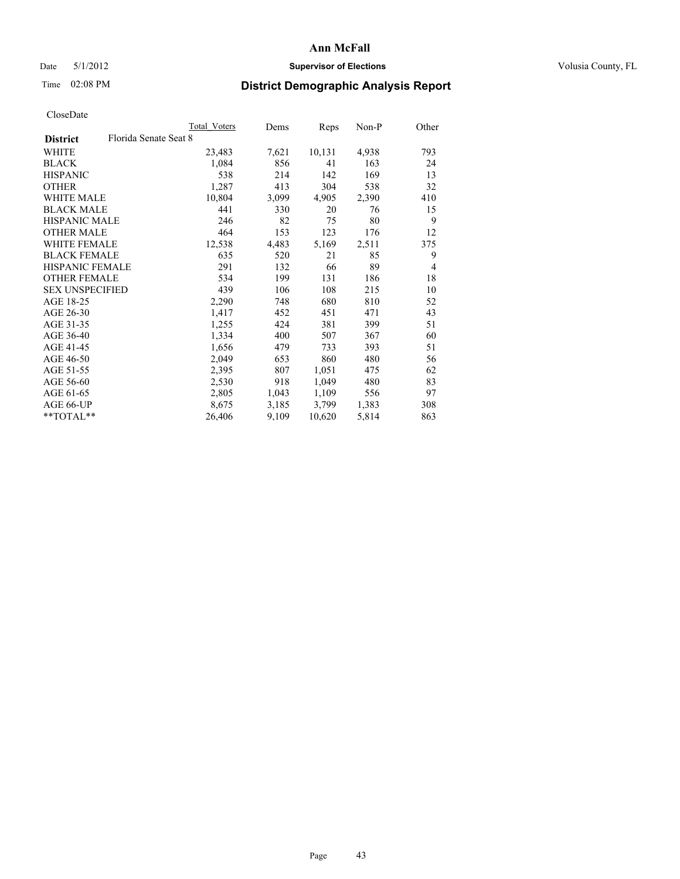### Date 5/1/2012 **Supervisor of Elections Supervisor of Elections** Volusia County, FL

# Time 02:08 PM **District Demographic Analysis Report**

|                                          | <b>Total Voters</b> | Dems  | <b>Reps</b> | Non-P | Other          |
|------------------------------------------|---------------------|-------|-------------|-------|----------------|
| Florida Senate Seat 8<br><b>District</b> |                     |       |             |       |                |
| WHITE                                    | 23,483              | 7,621 | 10,131      | 4,938 | 793            |
| <b>BLACK</b>                             | 1,084               | 856   | 41          | 163   | 24             |
| <b>HISPANIC</b>                          | 538                 | 214   | 142         | 169   | 13             |
| <b>OTHER</b>                             | 1,287               | 413   | 304         | 538   | 32             |
| <b>WHITE MALE</b>                        | 10,804              | 3,099 | 4,905       | 2,390 | 410            |
| <b>BLACK MALE</b>                        | 441                 | 330   | 20          | 76    | 15             |
| <b>HISPANIC MALE</b>                     | 246                 | 82    | 75          | 80    | 9              |
| <b>OTHER MALE</b>                        | 464                 | 153   | 123         | 176   | 12             |
| <b>WHITE FEMALE</b>                      | 12,538              | 4,483 | 5,169       | 2,511 | 375            |
| <b>BLACK FEMALE</b>                      | 635                 | 520   | 21          | 85    | 9              |
| <b>HISPANIC FEMALE</b>                   | 291                 | 132   | 66          | 89    | $\overline{4}$ |
| <b>OTHER FEMALE</b>                      | 534                 | 199   | 131         | 186   | 18             |
| <b>SEX UNSPECIFIED</b>                   | 439                 | 106   | 108         | 215   | 10             |
| AGE 18-25                                | 2,290               | 748   | 680         | 810   | 52             |
| AGE 26-30                                | 1,417               | 452   | 451         | 471   | 43             |
| AGE 31-35                                | 1,255               | 424   | 381         | 399   | 51             |
| AGE 36-40                                | 1,334               | 400   | 507         | 367   | 60             |
| AGE 41-45                                | 1,656               | 479   | 733         | 393   | 51             |
| AGE 46-50                                | 2,049               | 653   | 860         | 480   | 56             |
| AGE 51-55                                | 2,395               | 807   | 1,051       | 475   | 62             |
| AGE 56-60                                | 2,530               | 918   | 1,049       | 480   | 83             |
| AGE 61-65                                | 2,805               | 1,043 | 1,109       | 556   | 97             |
| AGE 66-UP                                | 8,675               | 3,185 | 3,799       | 1,383 | 308            |
| $*$ TOTAL $*$                            | 26,406              | 9,109 | 10,620      | 5,814 | 863            |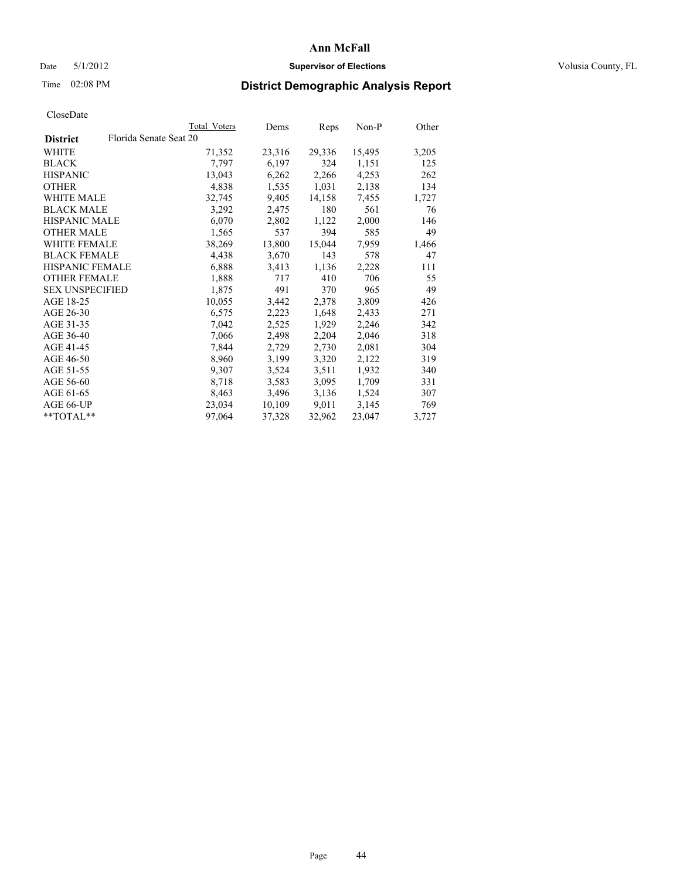### Date 5/1/2012 **Supervisor of Elections Supervisor of Elections** Volusia County, FL

# Time 02:08 PM **District Demographic Analysis Report**

|                        |                        | Total Voters | Dems   | <b>Reps</b> | Non-P  | Other |
|------------------------|------------------------|--------------|--------|-------------|--------|-------|
| <b>District</b>        | Florida Senate Seat 20 |              |        |             |        |       |
| WHITE                  |                        | 71,352       | 23,316 | 29,336      | 15,495 | 3,205 |
| <b>BLACK</b>           |                        | 7,797        | 6,197  | 324         | 1,151  | 125   |
| <b>HISPANIC</b>        |                        | 13,043       | 6,262  | 2,266       | 4,253  | 262   |
| <b>OTHER</b>           |                        | 4,838        | 1,535  | 1,031       | 2,138  | 134   |
| WHITE MALE             |                        | 32,745       | 9,405  | 14,158      | 7,455  | 1,727 |
| <b>BLACK MALE</b>      |                        | 3,292        | 2,475  | 180         | 561    | 76    |
| <b>HISPANIC MALE</b>   |                        | 6,070        | 2,802  | 1,122       | 2,000  | 146   |
| <b>OTHER MALE</b>      |                        | 1,565        | 537    | 394         | 585    | 49    |
| <b>WHITE FEMALE</b>    |                        | 38,269       | 13,800 | 15,044      | 7,959  | 1,466 |
| <b>BLACK FEMALE</b>    |                        | 4,438        | 3,670  | 143         | 578    | 47    |
| <b>HISPANIC FEMALE</b> |                        | 6,888        | 3,413  | 1,136       | 2,228  | 111   |
| <b>OTHER FEMALE</b>    |                        | 1,888        | 717    | 410         | 706    | 55    |
| <b>SEX UNSPECIFIED</b> |                        | 1,875        | 491    | 370         | 965    | 49    |
| AGE 18-25              |                        | 10,055       | 3,442  | 2,378       | 3,809  | 426   |
| AGE 26-30              |                        | 6,575        | 2,223  | 1,648       | 2,433  | 271   |
| AGE 31-35              |                        | 7,042        | 2,525  | 1,929       | 2,246  | 342   |
| AGE 36-40              |                        | 7,066        | 2,498  | 2,204       | 2,046  | 318   |
| AGE 41-45              |                        | 7,844        | 2,729  | 2,730       | 2,081  | 304   |
| AGE 46-50              |                        | 8,960        | 3,199  | 3,320       | 2,122  | 319   |
| AGE 51-55              |                        | 9,307        | 3,524  | 3,511       | 1,932  | 340   |
| AGE 56-60              |                        | 8,718        | 3,583  | 3,095       | 1,709  | 331   |
| AGE 61-65              |                        | 8,463        | 3,496  | 3,136       | 1,524  | 307   |
| AGE 66-UP              |                        | 23,034       | 10,109 | 9,011       | 3,145  | 769   |
| $*$ $TOTAL**$          |                        | 97,064       | 37,328 | 32,962      | 23,047 | 3,727 |
|                        |                        |              |        |             |        |       |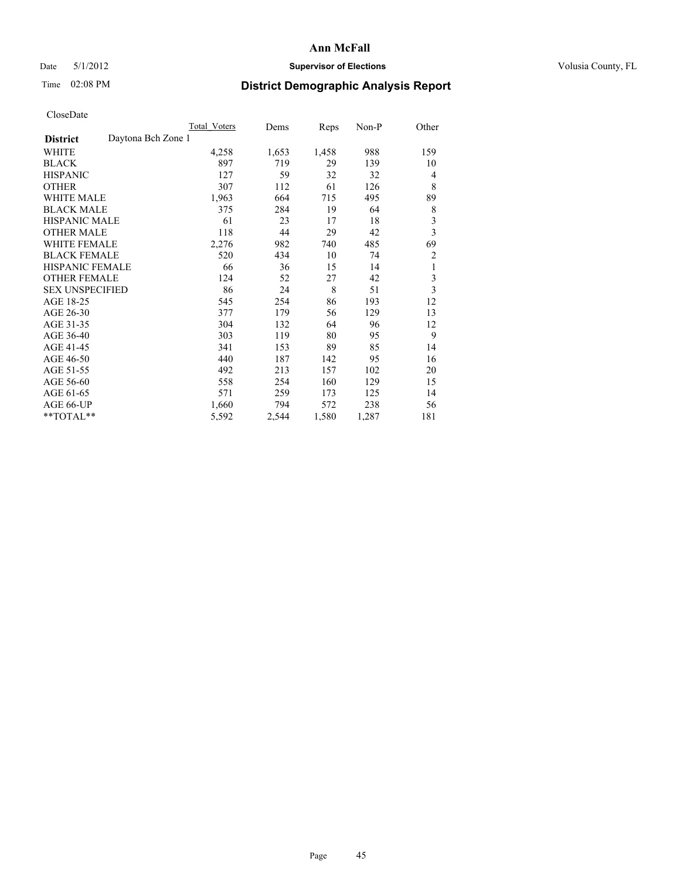### Date 5/1/2012 **Supervisor of Elections Supervisor of Elections** Volusia County, FL

# Time 02:08 PM **District Demographic Analysis Report**

|                                       | <b>Total Voters</b> | Dems  | Reps  | Non-P | Other          |
|---------------------------------------|---------------------|-------|-------|-------|----------------|
| Daytona Bch Zone 1<br><b>District</b> |                     |       |       |       |                |
| <b>WHITE</b>                          | 4,258               | 1,653 | 1,458 | 988   | 159            |
| <b>BLACK</b>                          | 897                 | 719   | 29    | 139   | 10             |
| <b>HISPANIC</b>                       | 127                 | 59    | 32    | 32    | 4              |
| <b>OTHER</b>                          | 307                 | 112   | 61    | 126   | 8              |
| <b>WHITE MALE</b>                     | 1,963               | 664   | 715   | 495   | 89             |
| <b>BLACK MALE</b>                     | 375                 | 284   | 19    | 64    | $\,$ 8 $\,$    |
| <b>HISPANIC MALE</b>                  | 61                  | 23    | 17    | 18    | 3              |
| <b>OTHER MALE</b>                     | 118                 | 44    | 29    | 42    | 3              |
| <b>WHITE FEMALE</b>                   | 2,276               | 982   | 740   | 485   | 69             |
| <b>BLACK FEMALE</b>                   | 520                 | 434   | 10    | 74    | $\overline{c}$ |
| HISPANIC FEMALE                       | 66                  | 36    | 15    | 14    | 1              |
| <b>OTHER FEMALE</b>                   | 124                 | 52    | 27    | 42    | 3              |
| <b>SEX UNSPECIFIED</b>                | 86                  | 24    | 8     | 51    | $\overline{3}$ |
| AGE 18-25                             | 545                 | 254   | 86    | 193   | 12             |
| AGE 26-30                             | 377                 | 179   | 56    | 129   | 13             |
| AGE 31-35                             | 304                 | 132   | 64    | 96    | 12             |
| AGE 36-40                             | 303                 | 119   | 80    | 95    | 9              |
| AGE 41-45                             | 341                 | 153   | 89    | 85    | 14             |
| AGE 46-50                             | 440                 | 187   | 142   | 95    | 16             |
| AGE 51-55                             | 492                 | 213   | 157   | 102   | 20             |
| AGE 56-60                             | 558                 | 254   | 160   | 129   | 15             |
| AGE 61-65                             | 571                 | 259   | 173   | 125   | 14             |
| AGE 66-UP                             | 1,660               | 794   | 572   | 238   | 56             |
| **TOTAL**                             | 5,592               | 2,544 | 1,580 | 1,287 | 181            |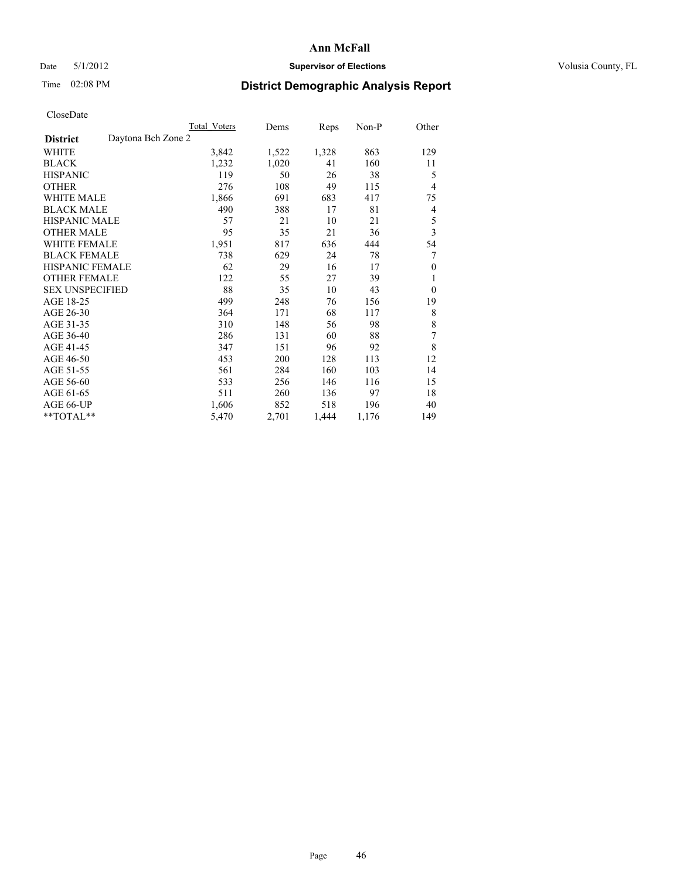### Date 5/1/2012 **Supervisor of Elections Supervisor of Elections** Volusia County, FL

# Time 02:08 PM **District Demographic Analysis Report**

|                                       | <b>Total Voters</b> | Dems  | Reps  | Non-P | Other            |
|---------------------------------------|---------------------|-------|-------|-------|------------------|
| Daytona Bch Zone 2<br><b>District</b> |                     |       |       |       |                  |
| WHITE                                 | 3,842               | 1,522 | 1,328 | 863   | 129              |
| <b>BLACK</b>                          | 1,232               | 1,020 | 41    | 160   | 11               |
| <b>HISPANIC</b>                       | 119                 | 50    | 26    | 38    | 5                |
| <b>OTHER</b>                          | 276                 | 108   | 49    | 115   | 4                |
| <b>WHITE MALE</b>                     | 1,866               | 691   | 683   | 417   | 75               |
| <b>BLACK MALE</b>                     | 490                 | 388   | 17    | 81    | 4                |
| HISPANIC MALE                         | 57                  | 21    | 10    | 21    | 5                |
| <b>OTHER MALE</b>                     | 95                  | 35    | 21    | 36    | 3                |
| <b>WHITE FEMALE</b>                   | 1,951               | 817   | 636   | 444   | 54               |
| <b>BLACK FEMALE</b>                   | 738                 | 629   | 24    | 78    | 7                |
| <b>HISPANIC FEMALE</b>                | 62                  | 29    | 16    | 17    | $\boldsymbol{0}$ |
| <b>OTHER FEMALE</b>                   | 122                 | 55    | 27    | 39    | 1                |
| <b>SEX UNSPECIFIED</b>                | 88                  | 35    | 10    | 43    | $\theta$         |
| AGE 18-25                             | 499                 | 248   | 76    | 156   | 19               |
| AGE 26-30                             | 364                 | 171   | 68    | 117   | 8                |
| AGE 31-35                             | 310                 | 148   | 56    | 98    | 8                |
| AGE 36-40                             | 286                 | 131   | 60    | 88    | 7                |
| AGE 41-45                             | 347                 | 151   | 96    | 92    | 8                |
| AGE 46-50                             | 453                 | 200   | 128   | 113   | 12               |
| AGE 51-55                             | 561                 | 284   | 160   | 103   | 14               |
| AGE 56-60                             | 533                 | 256   | 146   | 116   | 15               |
| AGE 61-65                             | 511                 | 260   | 136   | 97    | 18               |
| AGE 66-UP                             | 1,606               | 852   | 518   | 196   | 40               |
| **TOTAL**                             | 5,470               | 2,701 | 1,444 | 1,176 | 149              |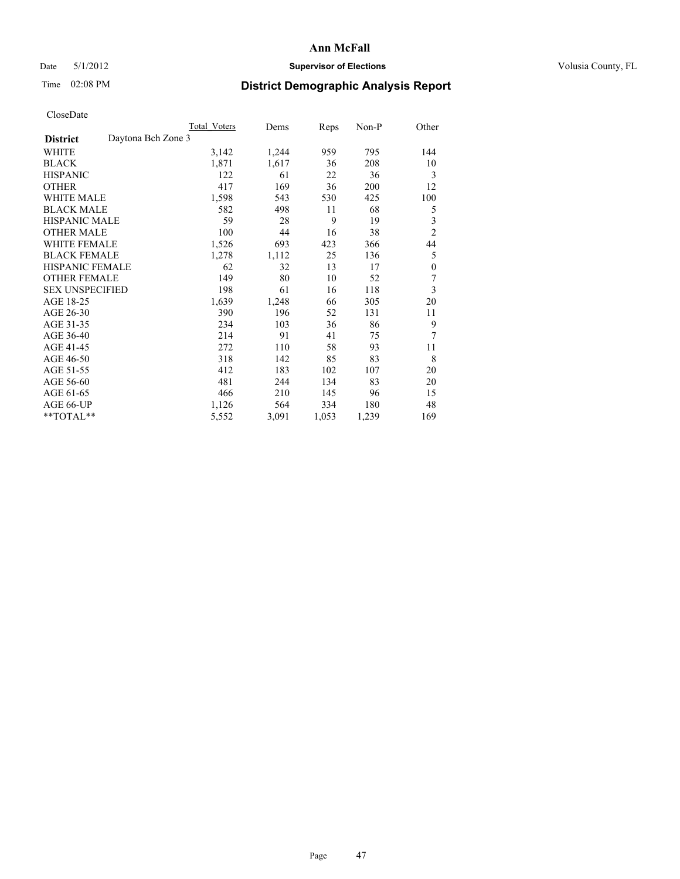### Date 5/1/2012 **Supervisor of Elections Supervisor of Elections** Volusia County, FL

# Time 02:08 PM **District Demographic Analysis Report**

|                                       | <b>Total Voters</b> | Dems  | Reps  | Non-P | Other            |
|---------------------------------------|---------------------|-------|-------|-------|------------------|
| Daytona Bch Zone 3<br><b>District</b> |                     |       |       |       |                  |
| WHITE                                 | 3,142               | 1,244 | 959   | 795   | 144              |
| <b>BLACK</b>                          | 1,871               | 1,617 | 36    | 208   | 10               |
| <b>HISPANIC</b>                       | 122                 | 61    | 22    | 36    | 3                |
| <b>OTHER</b>                          | 417                 | 169   | 36    | 200   | 12               |
| <b>WHITE MALE</b>                     | 1,598               | 543   | 530   | 425   | 100              |
| <b>BLACK MALE</b>                     | 582                 | 498   | 11    | 68    | 5                |
| HISPANIC MALE                         | 59                  | 28    | 9     | 19    | 3                |
| <b>OTHER MALE</b>                     | 100                 | 44    | 16    | 38    | $\overline{2}$   |
| <b>WHITE FEMALE</b>                   | 1,526               | 693   | 423   | 366   | 44               |
| <b>BLACK FEMALE</b>                   | 1,278               | 1,112 | 25    | 136   | 5                |
| <b>HISPANIC FEMALE</b>                | 62                  | 32    | 13    | 17    | $\boldsymbol{0}$ |
| <b>OTHER FEMALE</b>                   | 149                 | 80    | 10    | 52    | 7                |
| <b>SEX UNSPECIFIED</b>                | 198                 | 61    | 16    | 118   | 3                |
| AGE 18-25                             | 1,639               | 1,248 | 66    | 305   | 20               |
| AGE 26-30                             | 390                 | 196   | 52    | 131   | 11               |
| AGE 31-35                             | 234                 | 103   | 36    | 86    | 9                |
| AGE 36-40                             | 214                 | 91    | 41    | 75    | 7                |
| AGE 41-45                             | 272                 | 110   | 58    | 93    | 11               |
| AGE 46-50                             | 318                 | 142   | 85    | 83    | 8                |
| AGE 51-55                             | 412                 | 183   | 102   | 107   | 20               |
| AGE 56-60                             | 481                 | 244   | 134   | 83    | 20               |
| AGE 61-65                             | 466                 | 210   | 145   | 96    | 15               |
| AGE 66-UP                             | 1,126               | 564   | 334   | 180   | 48               |
| **TOTAL**                             | 5,552               | 3,091 | 1,053 | 1,239 | 169              |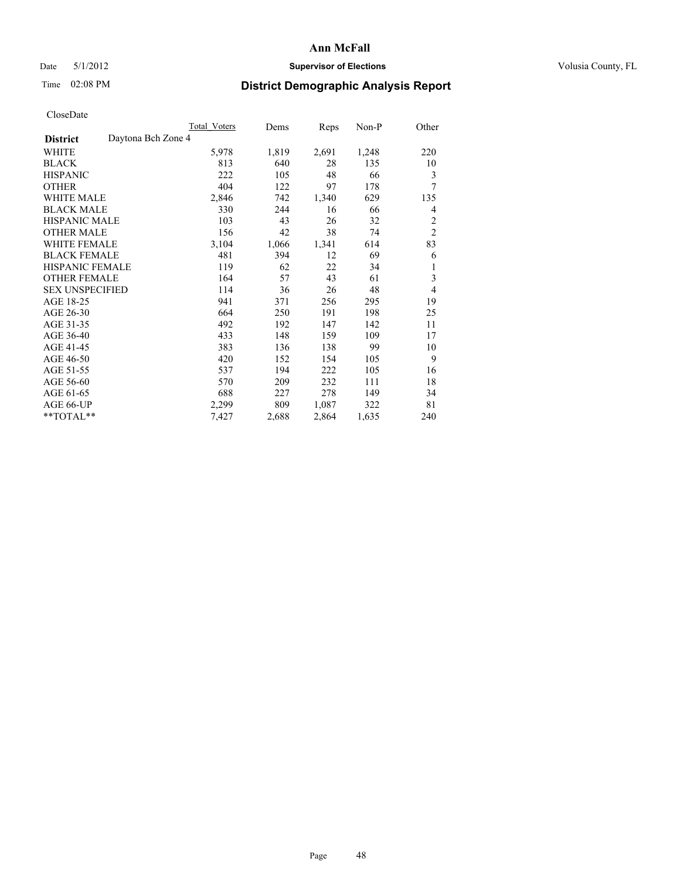### Date 5/1/2012 **Supervisor of Elections Supervisor of Elections** Volusia County, FL

# Time 02:08 PM **District Demographic Analysis Report**

|                                       | Total Voters | Dems  | Reps  | Non-P | Other          |
|---------------------------------------|--------------|-------|-------|-------|----------------|
| Daytona Bch Zone 4<br><b>District</b> |              |       |       |       |                |
| WHITE                                 | 5,978        | 1,819 | 2,691 | 1,248 | 220            |
| <b>BLACK</b>                          | 813          | 640   | 28    | 135   | 10             |
| <b>HISPANIC</b>                       | 222          | 105   | 48    | 66    | 3              |
| <b>OTHER</b>                          | 404          | 122   | 97    | 178   | 7              |
| <b>WHITE MALE</b>                     | 2,846        | 742   | 1,340 | 629   | 135            |
| <b>BLACK MALE</b>                     | 330          | 244   | 16    | 66    | 4              |
| HISPANIC MALE                         | 103          | 43    | 26    | 32    | $\overline{c}$ |
| <b>OTHER MALE</b>                     | 156          | 42    | 38    | 74    | $\overline{2}$ |
| <b>WHITE FEMALE</b>                   | 3,104        | 1,066 | 1,341 | 614   | 83             |
| <b>BLACK FEMALE</b>                   | 481          | 394   | 12    | 69    | 6              |
| <b>HISPANIC FEMALE</b>                | 119          | 62    | 22    | 34    | 1              |
| <b>OTHER FEMALE</b>                   | 164          | 57    | 43    | 61    | 3              |
| <b>SEX UNSPECIFIED</b>                | 114          | 36    | 26    | 48    | $\overline{4}$ |
| AGE 18-25                             | 941          | 371   | 256   | 295   | 19             |
| AGE 26-30                             | 664          | 250   | 191   | 198   | 25             |
| AGE 31-35                             | 492          | 192   | 147   | 142   | 11             |
| AGE 36-40                             | 433          | 148   | 159   | 109   | 17             |
| AGE 41-45                             | 383          | 136   | 138   | 99    | 10             |
| AGE 46-50                             | 420          | 152   | 154   | 105   | 9              |
| AGE 51-55                             | 537          | 194   | 222   | 105   | 16             |
| AGE 56-60                             | 570          | 209   | 232   | 111   | 18             |
| AGE 61-65                             | 688          | 227   | 278   | 149   | 34             |
| AGE 66-UP                             | 2,299        | 809   | 1,087 | 322   | 81             |
| **TOTAL**                             | 7,427        | 2,688 | 2,864 | 1,635 | 240            |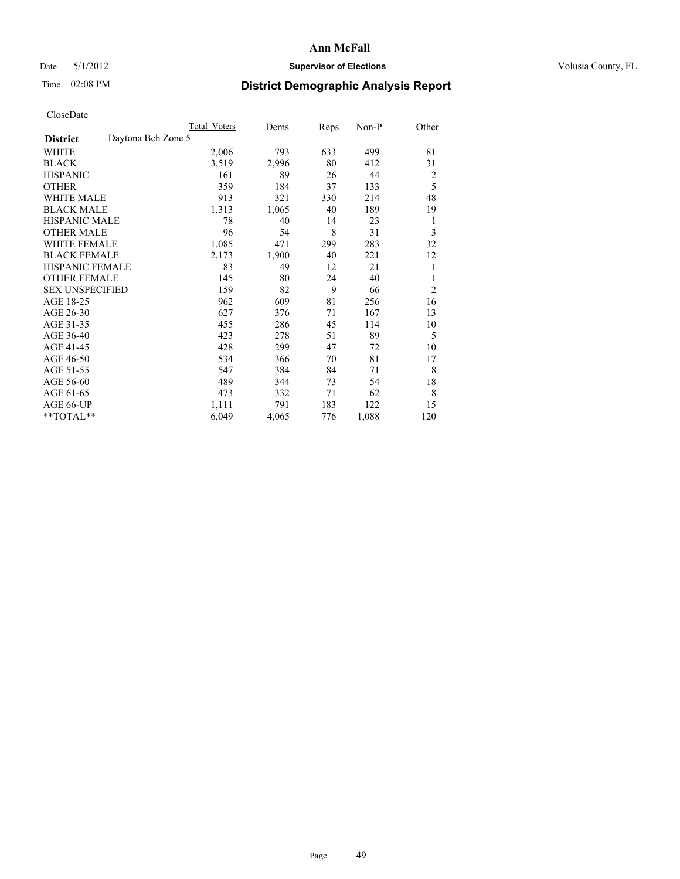### Date 5/1/2012 **Supervisor of Elections Supervisor of Elections** Volusia County, FL

## Time 02:08 PM **District Demographic Analysis Report**

|                        |                    | <b>Total Voters</b> | Dems  | Reps | Non-P | Other          |
|------------------------|--------------------|---------------------|-------|------|-------|----------------|
| <b>District</b>        | Daytona Bch Zone 5 |                     |       |      |       |                |
| WHITE                  |                    | 2,006               | 793   | 633  | 499   | 81             |
| <b>BLACK</b>           |                    | 3,519               | 2,996 | 80   | 412   | 31             |
| <b>HISPANIC</b>        |                    | 161                 | 89    | 26   | 44    | 2              |
| <b>OTHER</b>           |                    | 359                 | 184   | 37   | 133   | 5              |
| WHITE MALE             |                    | 913                 | 321   | 330  | 214   | 48             |
| <b>BLACK MALE</b>      |                    | 1,313               | 1,065 | 40   | 189   | 19             |
| <b>HISPANIC MALE</b>   |                    | 78                  | 40    | 14   | 23    | 1              |
| <b>OTHER MALE</b>      |                    | 96                  | 54    | 8    | 31    | 3              |
| WHITE FEMALE           |                    | 1,085               | 471   | 299  | 283   | 32             |
| <b>BLACK FEMALE</b>    |                    | 2,173               | 1,900 | 40   | 221   | 12             |
| <b>HISPANIC FEMALE</b> |                    | 83                  | 49    | 12   | 21    | 1              |
| <b>OTHER FEMALE</b>    |                    | 145                 | 80    | 24   | 40    | 1              |
| <b>SEX UNSPECIFIED</b> |                    | 159                 | 82    | 9    | 66    | $\overline{c}$ |
| AGE 18-25              |                    | 962                 | 609   | 81   | 256   | 16             |
| AGE 26-30              |                    | 627                 | 376   | 71   | 167   | 13             |
| AGE 31-35              |                    | 455                 | 286   | 45   | 114   | 10             |
| AGE 36-40              |                    | 423                 | 278   | 51   | 89    | 5              |
| AGE 41-45              |                    | 428                 | 299   | 47   | 72    | 10             |
| AGE 46-50              |                    | 534                 | 366   | 70   | 81    | 17             |
| AGE 51-55              |                    | 547                 | 384   | 84   | 71    | 8              |
| AGE 56-60              |                    | 489                 | 344   | 73   | 54    | 18             |
| AGE 61-65              |                    | 473                 | 332   | 71   | 62    | 8              |
| AGE 66-UP              |                    | 1,111               | 791   | 183  | 122   | 15             |
| **TOTAL**              |                    | 6,049               | 4,065 | 776  | 1,088 | 120            |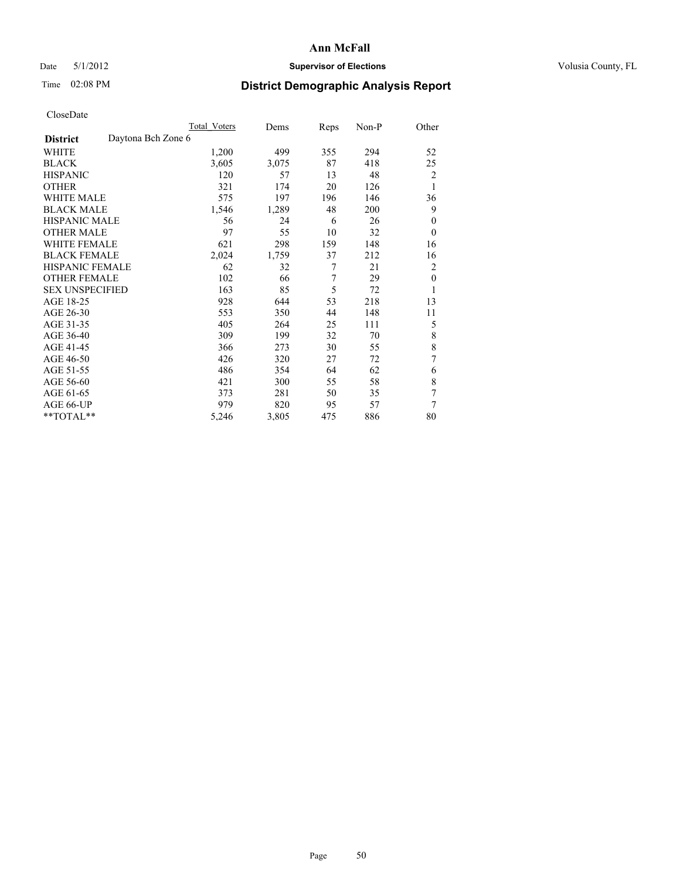### Date 5/1/2012 **Supervisor of Elections Supervisor of Elections** Volusia County, FL

# Time 02:08 PM **District Demographic Analysis Report**

|                        |                    | Total Voters | Dems  | Reps | Non-P | Other        |
|------------------------|--------------------|--------------|-------|------|-------|--------------|
| <b>District</b>        | Daytona Bch Zone 6 |              |       |      |       |              |
| WHITE                  |                    | 1,200        | 499   | 355  | 294   | 52           |
| <b>BLACK</b>           |                    | 3,605        | 3,075 | 87   | 418   | 25           |
| <b>HISPANIC</b>        |                    | 120          | 57    | 13   | 48    | 2            |
| <b>OTHER</b>           |                    | 321          | 174   | 20   | 126   | 1            |
| WHITE MALE             |                    | 575          | 197   | 196  | 146   | 36           |
| <b>BLACK MALE</b>      |                    | 1,546        | 1,289 | 48   | 200   | 9            |
| <b>HISPANIC MALE</b>   |                    | 56           | 24    | 6    | 26    | $\mathbf{0}$ |
| <b>OTHER MALE</b>      |                    | 97           | 55    | 10   | 32    | $\theta$     |
| WHITE FEMALE           |                    | 621          | 298   | 159  | 148   | 16           |
| <b>BLACK FEMALE</b>    |                    | 2,024        | 1,759 | 37   | 212   | 16           |
| <b>HISPANIC FEMALE</b> |                    | 62           | 32    | 7    | 21    | 2            |
| <b>OTHER FEMALE</b>    |                    | 102          | 66    | 7    | 29    | $\theta$     |
| <b>SEX UNSPECIFIED</b> |                    | 163          | 85    | 5    | 72    | 1            |
| AGE 18-25              |                    | 928          | 644   | 53   | 218   | 13           |
| AGE 26-30              |                    | 553          | 350   | 44   | 148   | 11           |
| AGE 31-35              |                    | 405          | 264   | 25   | 111   | 5            |
| AGE 36-40              |                    | 309          | 199   | 32   | 70    | 8            |
| AGE 41-45              |                    | 366          | 273   | 30   | 55    | 8            |
| AGE 46-50              |                    | 426          | 320   | 27   | 72    | 7            |
| AGE 51-55              |                    | 486          | 354   | 64   | 62    | 6            |
| AGE 56-60              |                    | 421          | 300   | 55   | 58    | 8            |
| AGE 61-65              |                    | 373          | 281   | 50   | 35    | 7            |
| AGE 66-UP              |                    | 979          | 820   | 95   | 57    | 7            |
| **TOTAL**              |                    | 5,246        | 3,805 | 475  | 886   | 80           |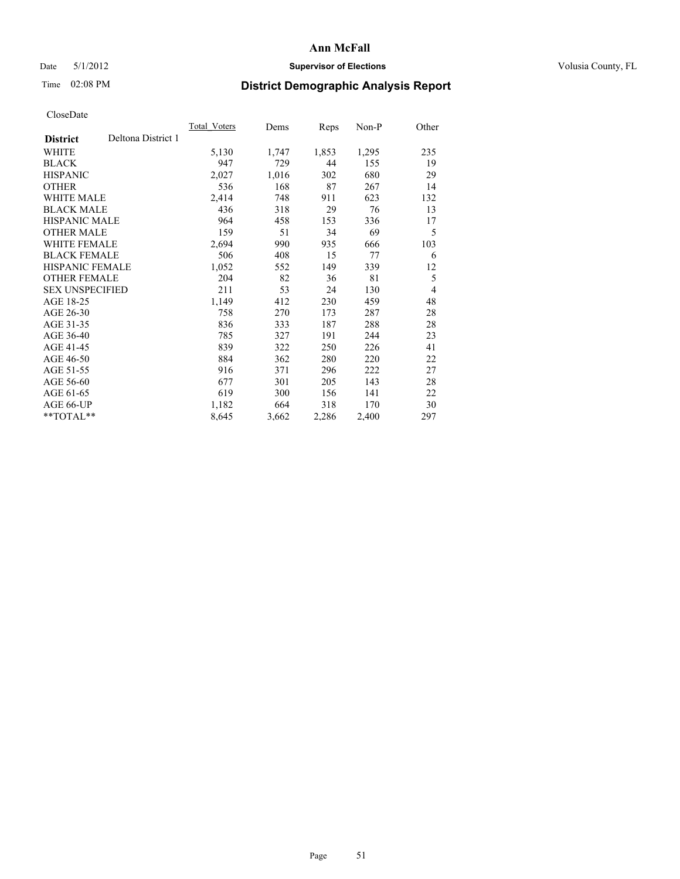### Date 5/1/2012 **Supervisor of Elections Supervisor of Elections** Volusia County, FL

# Time 02:08 PM **District Demographic Analysis Report**

| Total Voters | Dems  | <b>Reps</b> | Non-P | Other          |
|--------------|-------|-------------|-------|----------------|
|              |       |             |       |                |
| 5,130        | 1,747 | 1,853       | 1,295 | 235            |
| 947          | 729   | 44          | 155   | 19             |
| 2,027        | 1,016 | 302         | 680   | 29             |
| 536          | 168   | 87          | 267   | 14             |
| 2,414        | 748   | 911         | 623   | 132            |
| 436          | 318   | 29          | 76    | 13             |
| 964          | 458   | 153         | 336   | 17             |
| 159          | 51    | 34          | 69    | 5              |
| 2,694        | 990   | 935         | 666   | 103            |
| 506          | 408   | 15          | 77    | 6              |
| 1,052        | 552   | 149         | 339   | 12             |
| 204          | 82    | 36          | 81    | 5              |
| 211          | 53    | 24          | 130   | $\overline{4}$ |
| 1,149        | 412   | 230         | 459   | 48             |
| 758          | 270   | 173         | 287   | 28             |
| 836          | 333   | 187         | 288   | 28             |
| 785          | 327   | 191         | 244   | 23             |
| 839          | 322   | 250         | 226   | 41             |
| 884          | 362   | 280         | 220   | 22             |
| 916          | 371   | 296         | 222   | 27             |
| 677          | 301   | 205         | 143   | 28             |
| 619          | 300   | 156         | 141   | 22             |
| 1,182        | 664   | 318         | 170   | 30             |
| 8,645        | 3,662 | 2,286       | 2,400 | 297            |
|              |       |             |       |                |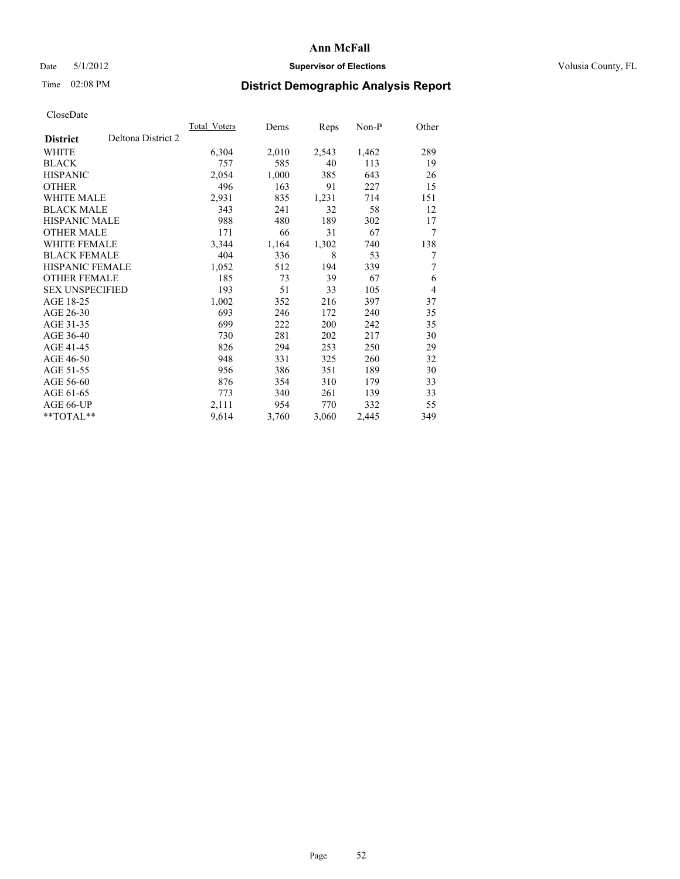### Date 5/1/2012 **Supervisor of Elections Supervisor of Elections** Volusia County, FL

## Time 02:08 PM **District Demographic Analysis Report**

|                                       | <b>Total Voters</b> | Dems  | Reps  | $Non-P$ | Other          |
|---------------------------------------|---------------------|-------|-------|---------|----------------|
| Deltona District 2<br><b>District</b> |                     |       |       |         |                |
| WHITE                                 | 6,304               | 2,010 | 2,543 | 1,462   | 289            |
| <b>BLACK</b>                          | 757                 | 585   | 40    | 113     | 19             |
| <b>HISPANIC</b>                       | 2,054               | 1,000 | 385   | 643     | 26             |
| <b>OTHER</b>                          | 496                 | 163   | 91    | 227     | 15             |
| <b>WHITE MALE</b>                     | 2,931               | 835   | 1,231 | 714     | 151            |
| <b>BLACK MALE</b>                     | 343                 | 241   | 32    | 58      | 12             |
| <b>HISPANIC MALE</b>                  | 988                 | 480   | 189   | 302     | 17             |
| <b>OTHER MALE</b>                     | 171                 | 66    | 31    | 67      | 7              |
| WHITE FEMALE                          | 3,344               | 1,164 | 1,302 | 740     | 138            |
| <b>BLACK FEMALE</b>                   | 404                 | 336   | 8     | 53      | 7              |
| HISPANIC FEMALE                       | 1,052               | 512   | 194   | 339     | 7              |
| <b>OTHER FEMALE</b>                   | 185                 | 73    | 39    | 67      | 6              |
| <b>SEX UNSPECIFIED</b>                | 193                 | 51    | 33    | 105     | $\overline{4}$ |
| AGE 18-25                             | 1,002               | 352   | 216   | 397     | 37             |
| AGE 26-30                             | 693                 | 246   | 172   | 240     | 35             |
| AGE 31-35                             | 699                 | 222   | 200   | 242     | 35             |
| AGE 36-40                             | 730                 | 281   | 202   | 217     | 30             |
| AGE 41-45                             | 826                 | 294   | 253   | 250     | 29             |
| AGE 46-50                             | 948                 | 331   | 325   | 260     | 32             |
| AGE 51-55                             | 956                 | 386   | 351   | 189     | 30             |
| AGE 56-60                             | 876                 | 354   | 310   | 179     | 33             |
| AGE 61-65                             | 773                 | 340   | 261   | 139     | 33             |
| AGE 66-UP                             | 2,111               | 954   | 770   | 332     | 55             |
| **TOTAL**                             | 9,614               | 3,760 | 3,060 | 2,445   | 349            |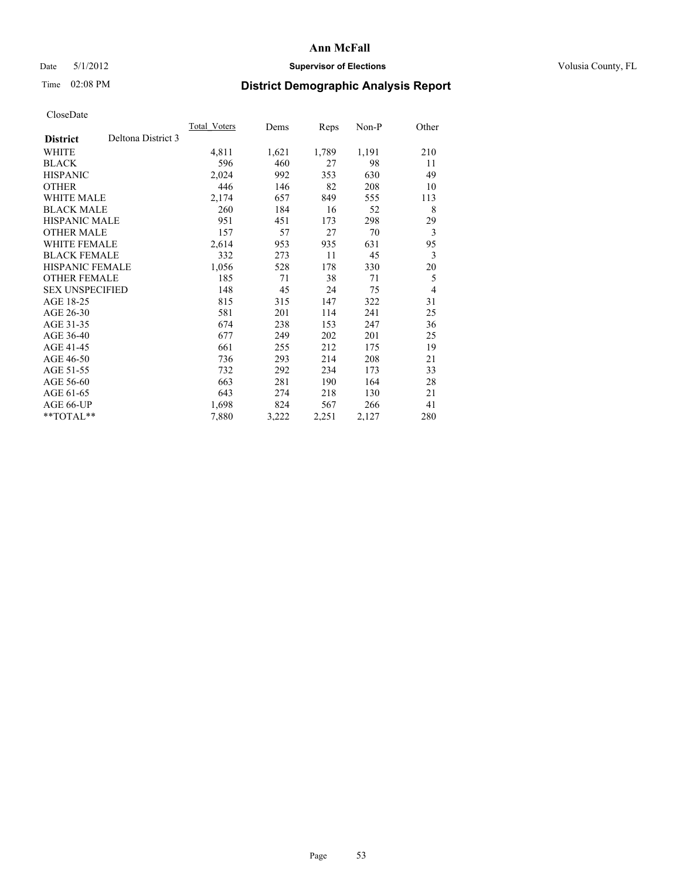### Date 5/1/2012 **Supervisor of Elections Supervisor of Elections** Volusia County, FL

# Time 02:08 PM **District Demographic Analysis Report**

|                        |                    | Total Voters | Dems  | <b>Reps</b> | Non-P | Other          |
|------------------------|--------------------|--------------|-------|-------------|-------|----------------|
| <b>District</b>        | Deltona District 3 |              |       |             |       |                |
| WHITE                  |                    | 4,811        | 1,621 | 1,789       | 1,191 | 210            |
| <b>BLACK</b>           |                    | 596          | 460   | 27          | 98    | 11             |
| <b>HISPANIC</b>        |                    | 2,024        | 992   | 353         | 630   | 49             |
| <b>OTHER</b>           |                    | 446          | 146   | 82          | 208   | 10             |
| <b>WHITE MALE</b>      |                    | 2,174        | 657   | 849         | 555   | 113            |
| <b>BLACK MALE</b>      |                    | 260          | 184   | 16          | 52    | 8              |
| HISPANIC MALE          |                    | 951          | 451   | 173         | 298   | 29             |
| <b>OTHER MALE</b>      |                    | 157          | 57    | 27          | 70    | 3              |
| <b>WHITE FEMALE</b>    |                    | 2,614        | 953   | 935         | 631   | 95             |
| <b>BLACK FEMALE</b>    |                    | 332          | 273   | 11          | 45    | 3              |
| <b>HISPANIC FEMALE</b> |                    | 1,056        | 528   | 178         | 330   | 20             |
| <b>OTHER FEMALE</b>    |                    | 185          | 71    | 38          | 71    | 5              |
| <b>SEX UNSPECIFIED</b> |                    | 148          | 45    | 24          | 75    | $\overline{4}$ |
| AGE 18-25              |                    | 815          | 315   | 147         | 322   | 31             |
| AGE 26-30              |                    | 581          | 201   | 114         | 241   | 25             |
| AGE 31-35              |                    | 674          | 238   | 153         | 247   | 36             |
| AGE 36-40              |                    | 677          | 249   | 202         | 201   | 25             |
| AGE 41-45              |                    | 661          | 255   | 212         | 175   | 19             |
| AGE 46-50              |                    | 736          | 293   | 214         | 208   | 21             |
| AGE 51-55              |                    | 732          | 292   | 234         | 173   | 33             |
| AGE 56-60              |                    | 663          | 281   | 190         | 164   | 28             |
| AGE 61-65              |                    | 643          | 274   | 218         | 130   | 21             |
| AGE 66-UP              |                    | 1,698        | 824   | 567         | 266   | 41             |
| **TOTAL**              |                    | 7,880        | 3,222 | 2,251       | 2,127 | 280            |
|                        |                    |              |       |             |       |                |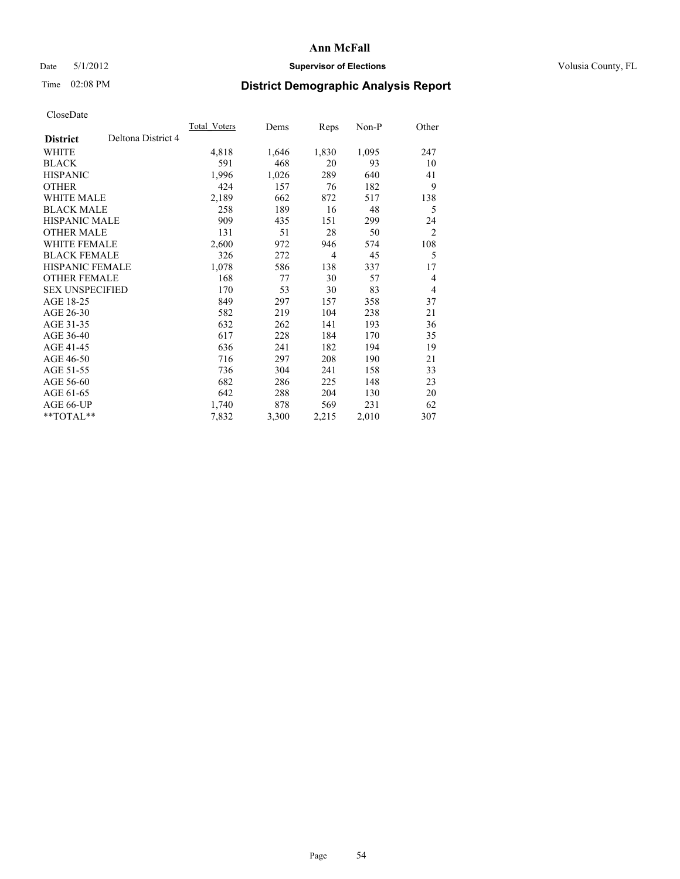### Date 5/1/2012 **Supervisor of Elections Supervisor of Elections** Volusia County, FL

# Time 02:08 PM **District Demographic Analysis Report**

| Total Voters | Dems  | Reps  | $Non-P$ | Other          |
|--------------|-------|-------|---------|----------------|
|              |       |       |         |                |
| 4,818        | 1,646 | 1,830 | 1,095   | 247            |
| 591          | 468   | 20    | 93      | 10             |
| 1,996        | 1,026 | 289   | 640     | 41             |
| 424          | 157   | 76    | 182     | 9              |
| 2,189        | 662   | 872   | 517     | 138            |
| 258          | 189   | 16    | 48      | 5              |
| 909          | 435   | 151   | 299     | 24             |
| 131          | 51    | 28    | 50      | $\overline{2}$ |
| 2,600        | 972   | 946   | 574     | 108            |
| 326          | 272   | 4     | 45      | 5              |
| 1,078        | 586   | 138   | 337     | 17             |
| 168          | 77    | 30    | 57      | 4              |
| 170          | 53    | 30    | 83      | 4              |
| 849          | 297   | 157   | 358     | 37             |
| 582          | 219   | 104   | 238     | 21             |
| 632          | 262   | 141   | 193     | 36             |
| 617          | 228   | 184   | 170     | 35             |
| 636          | 241   | 182   | 194     | 19             |
| 716          | 297   | 208   | 190     | 21             |
| 736          | 304   | 241   | 158     | 33             |
| 682          | 286   | 225   | 148     | 23             |
| 642          | 288   | 204   | 130     | 20             |
| 1,740        | 878   | 569   | 231     | 62             |
| 7,832        | 3,300 | 2,215 | 2,010   | 307            |
|              |       |       |         |                |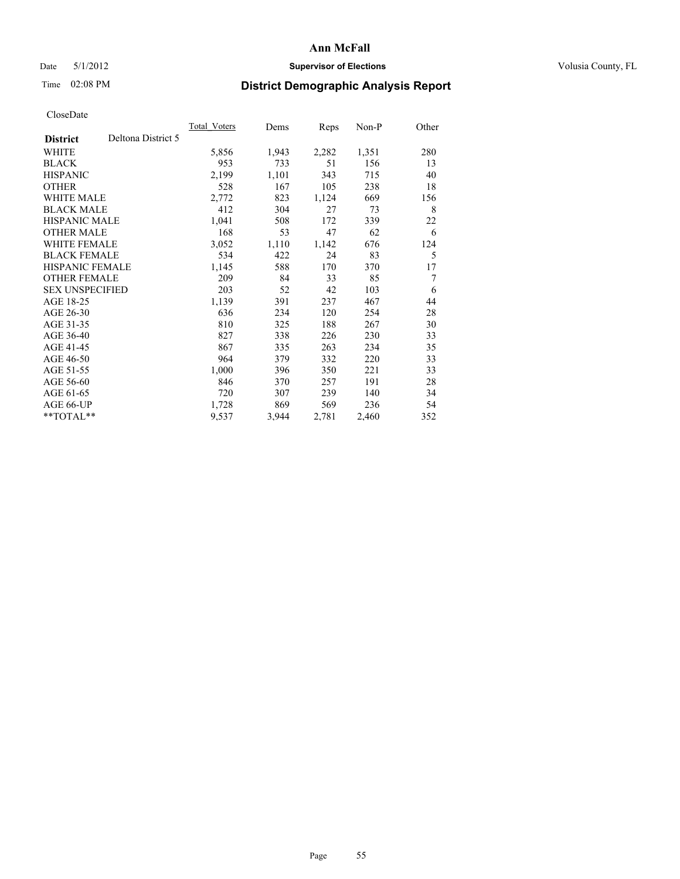### Date 5/1/2012 **Supervisor of Elections Supervisor of Elections** Volusia County, FL

## Time 02:08 PM **District Demographic Analysis Report**

|                                       | <b>Total Voters</b> | Dems  | <b>Reps</b> | Non-P | Other |
|---------------------------------------|---------------------|-------|-------------|-------|-------|
| Deltona District 5<br><b>District</b> |                     |       |             |       |       |
| <b>WHITE</b>                          | 5,856               | 1,943 | 2,282       | 1,351 | 280   |
| <b>BLACK</b>                          | 953                 | 733   | 51          | 156   | 13    |
| <b>HISPANIC</b>                       | 2,199               | 1,101 | 343         | 715   | 40    |
| <b>OTHER</b>                          | 528                 | 167   | 105         | 238   | 18    |
| <b>WHITE MALE</b>                     | 2,772               | 823   | 1,124       | 669   | 156   |
| <b>BLACK MALE</b>                     | 412                 | 304   | 27          | 73    | 8     |
| HISPANIC MALE                         | 1,041               | 508   | 172         | 339   | 22    |
| <b>OTHER MALE</b>                     | 168                 | 53    | 47          | 62    | 6     |
| <b>WHITE FEMALE</b>                   | 3,052               | 1,110 | 1,142       | 676   | 124   |
| <b>BLACK FEMALE</b>                   | 534                 | 422   | 24          | 83    | 5     |
| <b>HISPANIC FEMALE</b>                | 1,145               | 588   | 170         | 370   | 17    |
| <b>OTHER FEMALE</b>                   | 209                 | 84    | 33          | 85    | 7     |
| <b>SEX UNSPECIFIED</b>                | 203                 | 52    | 42          | 103   | 6     |
| AGE 18-25                             | 1,139               | 391   | 237         | 467   | 44    |
| AGE 26-30                             | 636                 | 234   | 120         | 254   | 28    |
| AGE 31-35                             | 810                 | 325   | 188         | 267   | 30    |
| AGE 36-40                             | 827                 | 338   | 226         | 230   | 33    |
| AGE 41-45                             | 867                 | 335   | 263         | 234   | 35    |
| AGE 46-50                             | 964                 | 379   | 332         | 220   | 33    |
| AGE 51-55                             | 1,000               | 396   | 350         | 221   | 33    |
| AGE 56-60                             | 846                 | 370   | 257         | 191   | 28    |
| AGE 61-65                             | 720                 | 307   | 239         | 140   | 34    |
| AGE 66-UP                             | 1,728               | 869   | 569         | 236   | 54    |
| **TOTAL**                             | 9,537               | 3,944 | 2,781       | 2,460 | 352   |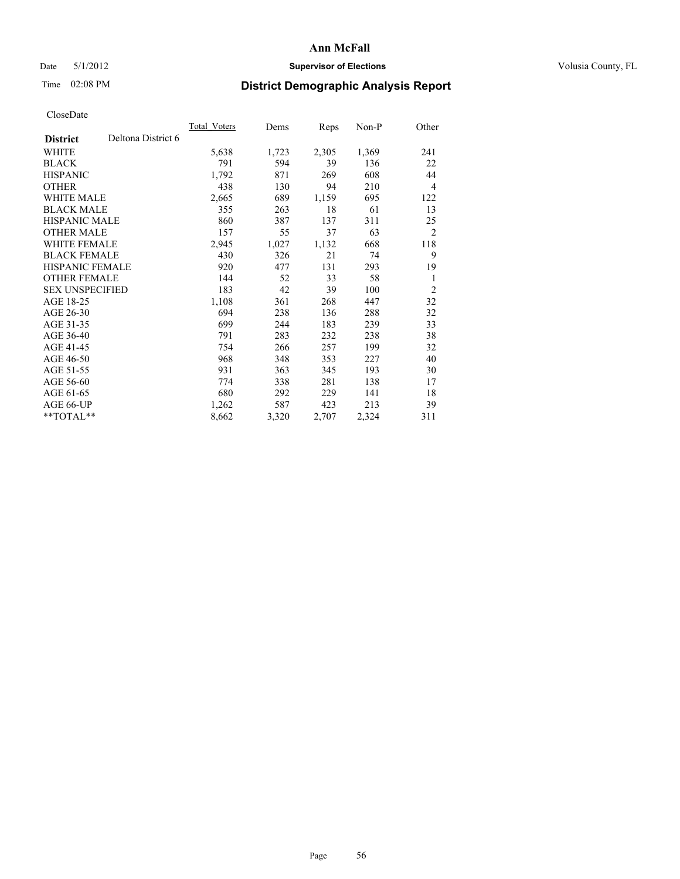### Date 5/1/2012 **Supervisor of Elections Supervisor of Elections** Volusia County, FL

# Time 02:08 PM **District Demographic Analysis Report**

|                        |                    | Total Voters | Dems  | <b>Reps</b> | Non-P | Other          |
|------------------------|--------------------|--------------|-------|-------------|-------|----------------|
| <b>District</b>        | Deltona District 6 |              |       |             |       |                |
| WHITE                  |                    | 5,638        | 1,723 | 2,305       | 1,369 | 241            |
| <b>BLACK</b>           |                    | 791          | 594   | 39          | 136   | 22             |
| <b>HISPANIC</b>        |                    | 1,792        | 871   | 269         | 608   | 44             |
| <b>OTHER</b>           |                    | 438          | 130   | 94          | 210   | 4              |
| WHITE MALE             |                    | 2,665        | 689   | 1,159       | 695   | 122            |
| <b>BLACK MALE</b>      |                    | 355          | 263   | 18          | 61    | 13             |
| <b>HISPANIC MALE</b>   |                    | 860          | 387   | 137         | 311   | 25             |
| <b>OTHER MALE</b>      |                    | 157          | 55    | 37          | 63    | $\overline{2}$ |
| <b>WHITE FEMALE</b>    |                    | 2,945        | 1,027 | 1,132       | 668   | 118            |
| <b>BLACK FEMALE</b>    |                    | 430          | 326   | 21          | 74    | 9              |
| <b>HISPANIC FEMALE</b> |                    | 920          | 477   | 131         | 293   | 19             |
| <b>OTHER FEMALE</b>    |                    | 144          | 52    | 33          | 58    | 1              |
| <b>SEX UNSPECIFIED</b> |                    | 183          | 42    | 39          | 100   | $\overline{2}$ |
| AGE 18-25              |                    | 1,108        | 361   | 268         | 447   | 32             |
| AGE 26-30              |                    | 694          | 238   | 136         | 288   | 32             |
| AGE 31-35              |                    | 699          | 244   | 183         | 239   | 33             |
| AGE 36-40              |                    | 791          | 283   | 232         | 238   | 38             |
| AGE 41-45              |                    | 754          | 266   | 257         | 199   | 32             |
| AGE 46-50              |                    | 968          | 348   | 353         | 227   | 40             |
| AGE 51-55              |                    | 931          | 363   | 345         | 193   | 30             |
| AGE 56-60              |                    | 774          | 338   | 281         | 138   | 17             |
| AGE 61-65              |                    | 680          | 292   | 229         | 141   | 18             |
| AGE 66-UP              |                    | 1,262        | 587   | 423         | 213   | 39             |
| **TOTAL**              |                    | 8,662        | 3,320 | 2,707       | 2,324 | 311            |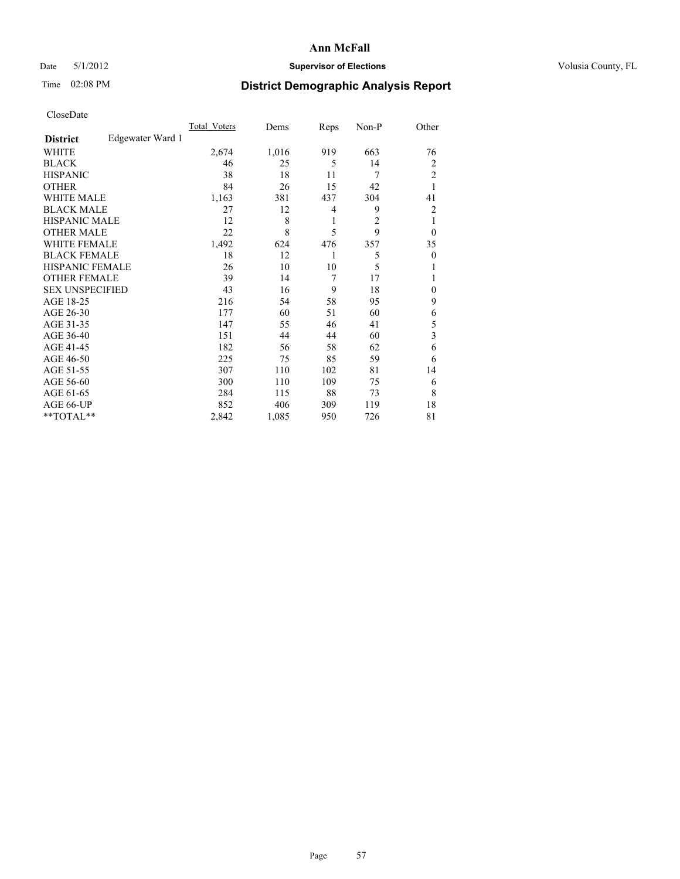### Date 5/1/2012 **Supervisor of Elections Supervisor of Elections** Volusia County, FL

# Time 02:08 PM **District Demographic Analysis Report**

|                        |                  | <b>Total Voters</b> | Dems  | Reps | Non-P          | Other          |
|------------------------|------------------|---------------------|-------|------|----------------|----------------|
| <b>District</b>        | Edgewater Ward 1 |                     |       |      |                |                |
| WHITE                  |                  | 2,674               | 1,016 | 919  | 663            | 76             |
| <b>BLACK</b>           |                  | 46                  | 25    | 5    | 14             | 2              |
| <b>HISPANIC</b>        |                  | 38                  | 18    | 11   | 7              | $\overline{c}$ |
| <b>OTHER</b>           |                  | 84                  | 26    | 15   | 42             | 1              |
| WHITE MALE             |                  | 1,163               | 381   | 437  | 304            | 41             |
| <b>BLACK MALE</b>      |                  | 27                  | 12    | 4    | 9              | 2              |
| <b>HISPANIC MALE</b>   |                  | 12                  | 8     | 1    | $\overline{c}$ | 1              |
| <b>OTHER MALE</b>      |                  | 22                  | 8     | 5    | 9              | $\theta$       |
| <b>WHITE FEMALE</b>    |                  | 1,492               | 624   | 476  | 357            | 35             |
| <b>BLACK FEMALE</b>    |                  | 18                  | 12    | 1    | 5              | $\theta$       |
| <b>HISPANIC FEMALE</b> |                  | 26                  | 10    | 10   | 5              | 1              |
| <b>OTHER FEMALE</b>    |                  | 39                  | 14    | 7    | 17             |                |
| <b>SEX UNSPECIFIED</b> |                  | 43                  | 16    | 9    | 18             | $\mathbf{0}$   |
| AGE 18-25              |                  | 216                 | 54    | 58   | 95             | 9              |
| AGE 26-30              |                  | 177                 | 60    | 51   | 60             | 6              |
| AGE 31-35              |                  | 147                 | 55    | 46   | 41             | 5              |
| AGE 36-40              |                  | 151                 | 44    | 44   | 60             | 3              |
| AGE 41-45              |                  | 182                 | 56    | 58   | 62             | 6              |
| AGE 46-50              |                  | 225                 | 75    | 85   | 59             | 6              |
| AGE 51-55              |                  | 307                 | 110   | 102  | 81             | 14             |
| AGE 56-60              |                  | 300                 | 110   | 109  | 75             | 6              |
| AGE 61-65              |                  | 284                 | 115   | 88   | 73             | 8              |
| AGE 66-UP              |                  | 852                 | 406   | 309  | 119            | 18             |
| **TOTAL**              |                  | 2,842               | 1,085 | 950  | 726            | 81             |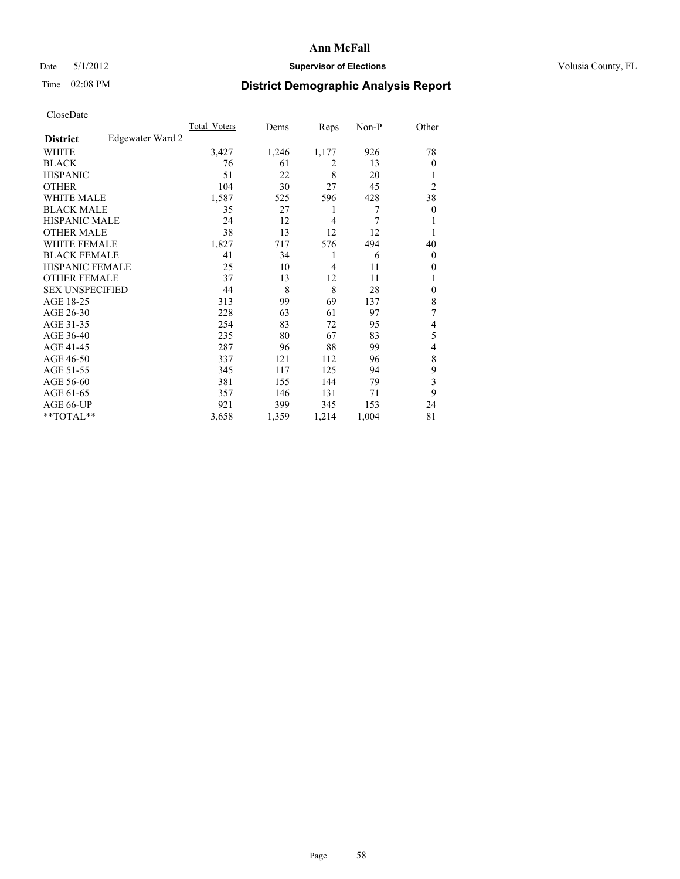### Date 5/1/2012 **Supervisor of Elections Supervisor of Elections** Volusia County, FL

# Time 02:08 PM **District Demographic Analysis Report**

|                        |                  | <b>Total Voters</b> | Dems  | Reps           | Non-P | Other            |
|------------------------|------------------|---------------------|-------|----------------|-------|------------------|
| <b>District</b>        | Edgewater Ward 2 |                     |       |                |       |                  |
| WHITE                  |                  | 3,427               | 1,246 | 1,177          | 926   | 78               |
| <b>BLACK</b>           |                  | 76                  | 61    | 2              | 13    | $\theta$         |
| <b>HISPANIC</b>        |                  | 51                  | 22    | 8              | 20    | 1                |
| <b>OTHER</b>           |                  | 104                 | 30    | 27             | 45    | $\overline{c}$   |
| WHITE MALE             |                  | 1,587               | 525   | 596            | 428   | 38               |
| <b>BLACK MALE</b>      |                  | 35                  | 27    | 1              | 7     | $\boldsymbol{0}$ |
| <b>HISPANIC MALE</b>   |                  | 24                  | 12    | 4              | 7     | 1                |
| <b>OTHER MALE</b>      |                  | 38                  | 13    | 12             | 12    | 1                |
| <b>WHITE FEMALE</b>    |                  | 1,827               | 717   | 576            | 494   | 40               |
| <b>BLACK FEMALE</b>    |                  | 41                  | 34    | 1              | 6     | $\overline{0}$   |
| <b>HISPANIC FEMALE</b> |                  | 25                  | 10    | $\overline{4}$ | 11    | $\theta$         |
| <b>OTHER FEMALE</b>    |                  | 37                  | 13    | 12             | 11    | 1                |
| <b>SEX UNSPECIFIED</b> |                  | 44                  | 8     | 8              | 28    | $\mathbf{0}$     |
| AGE 18-25              |                  | 313                 | 99    | 69             | 137   | 8                |
| AGE 26-30              |                  | 228                 | 63    | 61             | 97    | 7                |
| AGE 31-35              |                  | 254                 | 83    | 72             | 95    | 4                |
| AGE 36-40              |                  | 235                 | 80    | 67             | 83    | 5                |
| AGE 41-45              |                  | 287                 | 96    | 88             | 99    | 4                |
| AGE 46-50              |                  | 337                 | 121   | 112            | 96    | 8                |
| AGE 51-55              |                  | 345                 | 117   | 125            | 94    | 9                |
| AGE 56-60              |                  | 381                 | 155   | 144            | 79    | 3                |
| AGE 61-65              |                  | 357                 | 146   | 131            | 71    | 9                |
| AGE 66-UP              |                  | 921                 | 399   | 345            | 153   | 24               |
| **TOTAL**              |                  | 3,658               | 1,359 | 1,214          | 1,004 | 81               |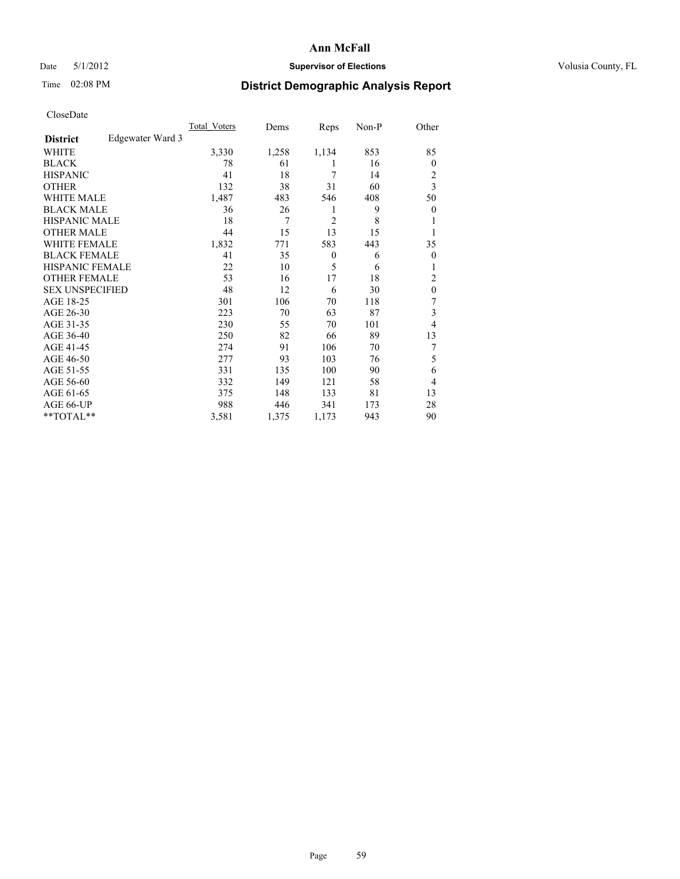### Date 5/1/2012 **Supervisor of Elections Supervisor of Elections** Volusia County, FL

# Time 02:08 PM **District Demographic Analysis Report**

|                        |                  | <b>Total Voters</b> | Dems  | Reps           | Non-P | Other          |
|------------------------|------------------|---------------------|-------|----------------|-------|----------------|
| <b>District</b>        | Edgewater Ward 3 |                     |       |                |       |                |
| WHITE                  |                  | 3,330               | 1,258 | 1,134          | 853   | 85             |
| <b>BLACK</b>           |                  | 78                  | 61    | 1              | 16    | $\Omega$       |
| <b>HISPANIC</b>        |                  | 41                  | 18    | 7              | 14    | 2              |
| <b>OTHER</b>           |                  | 132                 | 38    | 31             | 60    | 3              |
| WHITE MALE             |                  | 1,487               | 483   | 546            | 408   | 50             |
| <b>BLACK MALE</b>      |                  | 36                  | 26    | 1              | 9     | $\overline{0}$ |
| <b>HISPANIC MALE</b>   |                  | 18                  | 7     | $\overline{2}$ | 8     |                |
| <b>OTHER MALE</b>      |                  | 44                  | 15    | 13             | 15    | 1              |
| <b>WHITE FEMALE</b>    |                  | 1,832               | 771   | 583            | 443   | 35             |
| <b>BLACK FEMALE</b>    |                  | 41                  | 35    | $\theta$       | 6     | $\overline{0}$ |
| <b>HISPANIC FEMALE</b> |                  | 22                  | 10    | 5              | 6     |                |
| <b>OTHER FEMALE</b>    |                  | 53                  | 16    | 17             | 18    | 2              |
| <b>SEX UNSPECIFIED</b> |                  | 48                  | 12    | 6              | 30    | $\mathbf{0}$   |
| AGE 18-25              |                  | 301                 | 106   | 70             | 118   | 7              |
| AGE 26-30              |                  | 223                 | 70    | 63             | 87    | 3              |
| AGE 31-35              |                  | 230                 | 55    | 70             | 101   | 4              |
| AGE 36-40              |                  | 250                 | 82    | 66             | 89    | 13             |
| AGE 41-45              |                  | 274                 | 91    | 106            | 70    | 7              |
| AGE 46-50              |                  | 277                 | 93    | 103            | 76    | 5              |
| AGE 51-55              |                  | 331                 | 135   | 100            | 90    | 6              |
| AGE 56-60              |                  | 332                 | 149   | 121            | 58    | 4              |
| AGE 61-65              |                  | 375                 | 148   | 133            | 81    | 13             |
| AGE 66-UP              |                  | 988                 | 446   | 341            | 173   | 28             |
| **TOTAL**              |                  | 3,581               | 1,375 | 1,173          | 943   | 90             |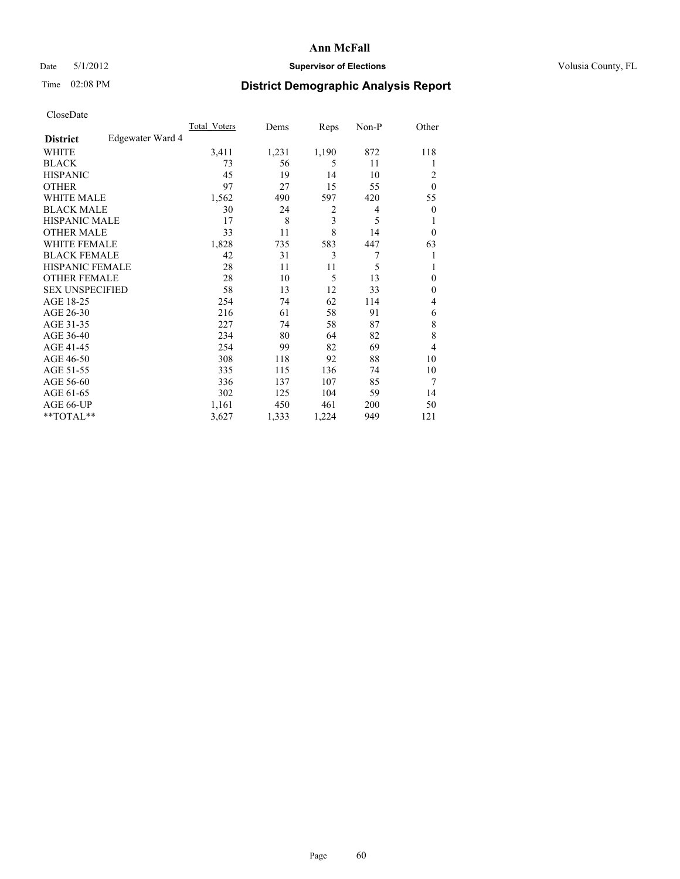### Date 5/1/2012 **Supervisor of Elections Supervisor of Elections** Volusia County, FL

# Time 02:08 PM **District Demographic Analysis Report**

| Cioscivate             |                  |                     |       |                |       |                |
|------------------------|------------------|---------------------|-------|----------------|-------|----------------|
|                        |                  | <b>Total Voters</b> | Dems  | Reps           | Non-P | Other          |
| <b>District</b>        | Edgewater Ward 4 |                     |       |                |       |                |
| <b>WHITE</b>           |                  | 3,411               | 1,231 | 1,190          | 872   | 118            |
| <b>BLACK</b>           |                  | 73                  | 56    | 5              | 11    | 1              |
| <b>HISPANIC</b>        |                  | 45                  | 19    | 14             | 10    | $\overline{2}$ |
| <b>OTHER</b>           |                  | 97                  | 27    | 15             | 55    | $\theta$       |
| WHITE MALE             |                  | 1,562               | 490   | 597            | 420   | 55             |
| <b>BLACK MALE</b>      |                  | 30                  | 24    | $\overline{2}$ | 4     | $\theta$       |
| <b>HISPANIC MALE</b>   |                  | 17                  | 8     | 3              | 5     | 1              |
| <b>OTHER MALE</b>      |                  | 33                  | 11    | 8              | 14    | $\theta$       |
| WHITE FEMALE           |                  | 1,828               | 735   | 583            | 447   | 63             |
| <b>BLACK FEMALE</b>    |                  | 42                  | 31    | 3              | 7     | 1              |
| <b>HISPANIC FEMALE</b> |                  | 28                  | 11    | 11             | 5     |                |
| <b>OTHER FEMALE</b>    |                  | 28                  | 10    | 5              | 13    | $\mathbf{0}$   |
| <b>SEX UNSPECIFIED</b> |                  | 58                  | 13    | 12             | 33    | $\mathbf{0}$   |
| AGE 18-25              |                  | 254                 | 74    | 62             | 114   | 4              |
| AGE 26-30              |                  | 216                 | 61    | 58             | 91    | 6              |
| AGE 31-35              |                  | 227                 | 74    | 58             | 87    | 8              |
| AGE 36-40              |                  | 234                 | 80    | 64             | 82    | 8              |
| AGE 41-45              |                  | 254                 | 99    | 82             | 69    | 4              |
| AGE 46-50              |                  | 308                 | 118   | 92             | 88    | 10             |
| AGE 51-55              |                  | 335                 | 115   | 136            | 74    | 10             |
| AGE 56-60              |                  | 336                 | 137   | 107            | 85    | 7              |
| AGE 61-65              |                  | 302                 | 125   | 104            | 59    | 14             |
| AGE 66-UP              |                  | 1,161               | 450   | 461            | 200   | 50             |
| **TOTAL**              |                  | 3,627               | 1,333 | 1,224          | 949   | 121            |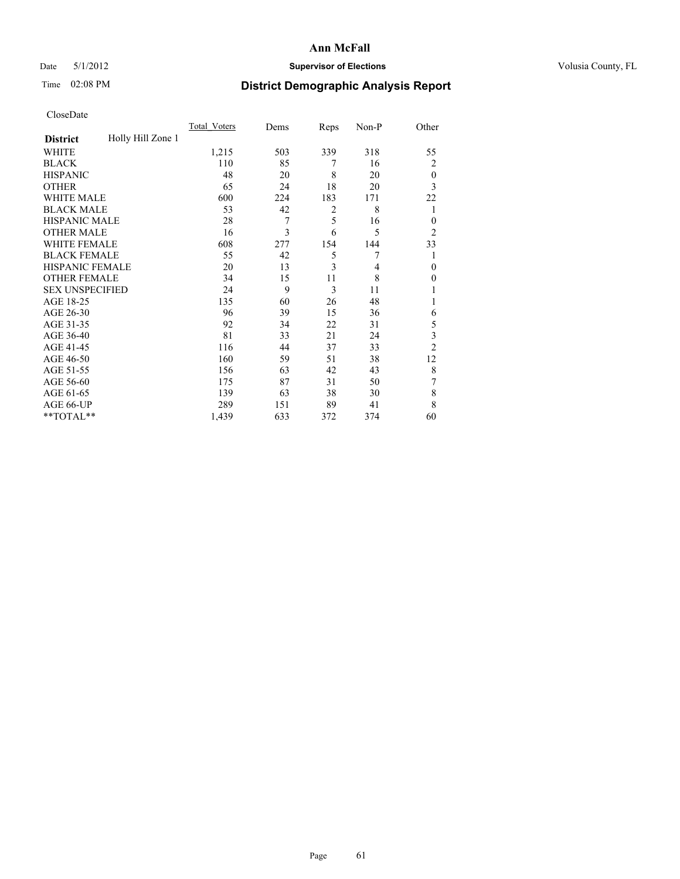### Date 5/1/2012 **Supervisor of Elections Supervisor of Elections** Volusia County, FL

# Time 02:08 PM **District Demographic Analysis Report**

|                        |                   | <b>Total Voters</b> | Dems | Reps | Non-P | Other          |
|------------------------|-------------------|---------------------|------|------|-------|----------------|
| <b>District</b>        | Holly Hill Zone 1 |                     |      |      |       |                |
| WHITE                  |                   | 1,215               | 503  | 339  | 318   | 55             |
| <b>BLACK</b>           |                   | 110                 | 85   | 7    | 16    | $\overline{2}$ |
| <b>HISPANIC</b>        |                   | 48                  | 20   | 8    | 20    | $\theta$       |
| <b>OTHER</b>           |                   | 65                  | 24   | 18   | 20    | 3              |
| WHITE MALE             |                   | 600                 | 224  | 183  | 171   | 22             |
| <b>BLACK MALE</b>      |                   | 53                  | 42   | 2    | 8     | 1              |
| <b>HISPANIC MALE</b>   |                   | 28                  | 7    | 5    | 16    | $\overline{0}$ |
| <b>OTHER MALE</b>      |                   | 16                  | 3    | 6    | 5     | $\overline{2}$ |
| WHITE FEMALE           |                   | 608                 | 277  | 154  | 144   | 33             |
| <b>BLACK FEMALE</b>    |                   | 55                  | 42   | 5    | 7     | 1              |
| <b>HISPANIC FEMALE</b> |                   | 20                  | 13   | 3    | 4     | $\theta$       |
| <b>OTHER FEMALE</b>    |                   | 34                  | 15   | 11   | 8     | $\Omega$       |
| <b>SEX UNSPECIFIED</b> |                   | 24                  | 9    | 3    | 11    |                |
| AGE 18-25              |                   | 135                 | 60   | 26   | 48    |                |
| AGE 26-30              |                   | 96                  | 39   | 15   | 36    | 6              |
| AGE 31-35              |                   | 92                  | 34   | 22   | 31    | 5              |
| AGE 36-40              |                   | 81                  | 33   | 21   | 24    | 3              |
| AGE 41-45              |                   | 116                 | 44   | 37   | 33    | $\overline{2}$ |
| AGE 46-50              |                   | 160                 | 59   | 51   | 38    | 12             |
| AGE 51-55              |                   | 156                 | 63   | 42   | 43    | 8              |
| AGE 56-60              |                   | 175                 | 87   | 31   | 50    | 7              |
| AGE 61-65              |                   | 139                 | 63   | 38   | 30    | 8              |
| AGE 66-UP              |                   | 289                 | 151  | 89   | 41    | 8              |
| **TOTAL**              |                   | 1,439               | 633  | 372  | 374   | 60             |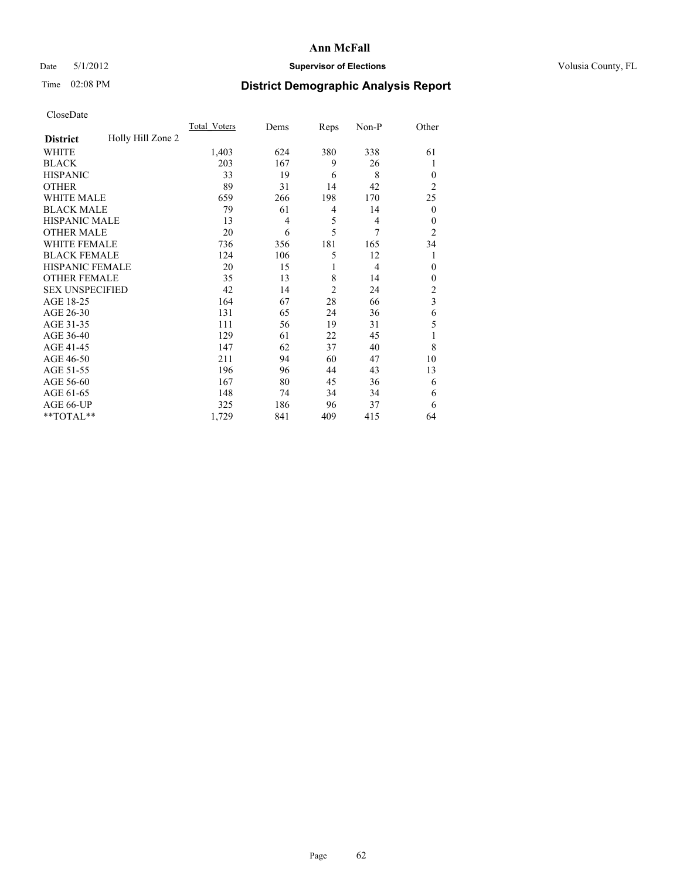### Date 5/1/2012 **Supervisor of Elections Supervisor of Elections** Volusia County, FL

# Time 02:08 PM **District Demographic Analysis Report**

|                        |                   | <b>Total Voters</b> | Dems           | Reps           | Non-P          | Other                   |
|------------------------|-------------------|---------------------|----------------|----------------|----------------|-------------------------|
| <b>District</b>        | Holly Hill Zone 2 |                     |                |                |                |                         |
| WHITE                  |                   | 1,403               | 624            | 380            | 338            | 61                      |
| <b>BLACK</b>           |                   | 203                 | 167            | 9              | 26             | 1                       |
| <b>HISPANIC</b>        |                   | 33                  | 19             | 6              | 8              | $\Omega$                |
| <b>OTHER</b>           |                   | 89                  | 31             | 14             | 42             | $\overline{2}$          |
| WHITE MALE             |                   | 659                 | 266            | 198            | 170            | 25                      |
| <b>BLACK MALE</b>      |                   | 79                  | 61             | 4              | 14             | $\overline{0}$          |
| <b>HISPANIC MALE</b>   |                   | 13                  | $\overline{4}$ | 5              | $\overline{4}$ | $\overline{0}$          |
| <b>OTHER MALE</b>      |                   | 20                  | 6              | 5              | 7              | $\overline{2}$          |
| WHITE FEMALE           |                   | 736                 | 356            | 181            | 165            | 34                      |
| <b>BLACK FEMALE</b>    |                   | 124                 | 106            | 5              | 12             | 1                       |
| <b>HISPANIC FEMALE</b> |                   | 20                  | 15             | 1              | $\overline{4}$ | $\theta$                |
| <b>OTHER FEMALE</b>    |                   | 35                  | 13             | 8              | 14             | $\Omega$                |
| <b>SEX UNSPECIFIED</b> |                   | 42                  | 14             | $\overline{2}$ | 24             | $\overline{2}$          |
| AGE 18-25              |                   | 164                 | 67             | 28             | 66             | $\overline{\mathbf{3}}$ |
| AGE 26-30              |                   | 131                 | 65             | 24             | 36             | 6                       |
| AGE 31-35              |                   | 111                 | 56             | 19             | 31             | 5                       |
| AGE 36-40              |                   | 129                 | 61             | 22             | 45             |                         |
| AGE 41-45              |                   | 147                 | 62             | 37             | 40             | 8                       |
| AGE 46-50              |                   | 211                 | 94             | 60             | 47             | 10                      |
| AGE 51-55              |                   | 196                 | 96             | 44             | 43             | 13                      |
| AGE 56-60              |                   | 167                 | 80             | 45             | 36             | 6                       |
| AGE 61-65              |                   | 148                 | 74             | 34             | 34             | 6                       |
| AGE 66-UP              |                   | 325                 | 186            | 96             | 37             | 6                       |
| **TOTAL**              |                   | 1,729               | 841            | 409            | 415            | 64                      |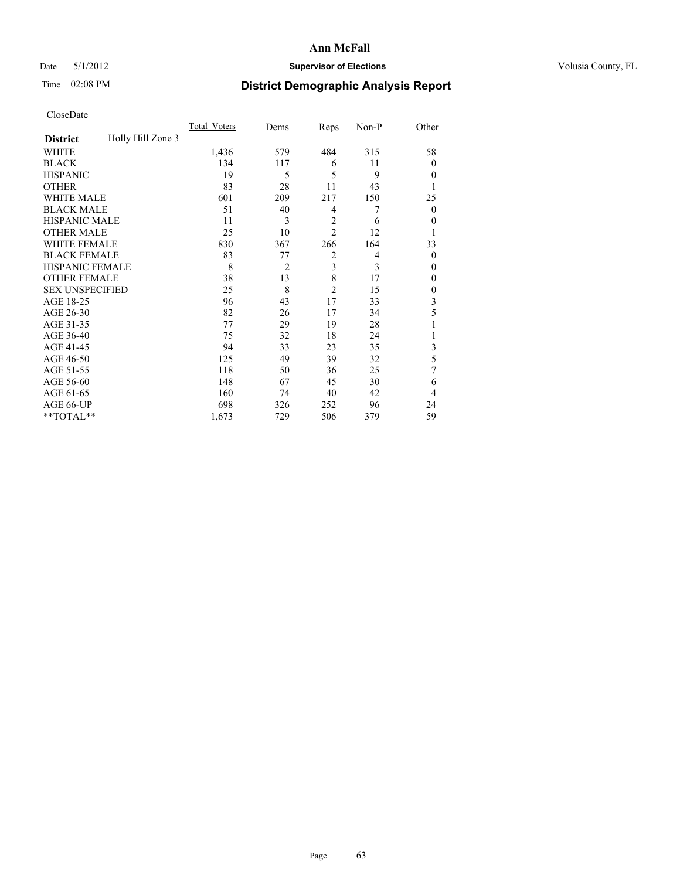### Date 5/1/2012 **Supervisor of Elections Supervisor of Elections** Volusia County, FL

# Time 02:08 PM **District Demographic Analysis Report**

|                        |                   | <b>Total Voters</b> | Dems           | Reps           | Non-P          | Other          |
|------------------------|-------------------|---------------------|----------------|----------------|----------------|----------------|
| <b>District</b>        | Holly Hill Zone 3 |                     |                |                |                |                |
| WHITE                  |                   | 1,436               | 579            | 484            | 315            | 58             |
| <b>BLACK</b>           |                   | 134                 | 117            | 6              | 11             | $\Omega$       |
| <b>HISPANIC</b>        |                   | 19                  | 5              | 5              | 9              | $\Omega$       |
| <b>OTHER</b>           |                   | 83                  | 28             | 11             | 43             |                |
| WHITE MALE             |                   | 601                 | 209            | 217            | 150            | 25             |
| <b>BLACK MALE</b>      |                   | 51                  | 40             | 4              | 7              | $\overline{0}$ |
| <b>HISPANIC MALE</b>   |                   | 11                  | 3              | $\overline{2}$ | 6              | 0              |
| <b>OTHER MALE</b>      |                   | 25                  | 10             | $\overline{2}$ | 12             |                |
| <b>WHITE FEMALE</b>    |                   | 830                 | 367            | 266            | 164            | 33             |
| <b>BLACK FEMALE</b>    |                   | 83                  | 77             | $\overline{2}$ | $\overline{4}$ | $\overline{0}$ |
| <b>HISPANIC FEMALE</b> |                   | 8                   | $\overline{2}$ | 3              | 3              | $\Omega$       |
| <b>OTHER FEMALE</b>    |                   | 38                  | 13             | 8              | 17             | $\Omega$       |
| <b>SEX UNSPECIFIED</b> |                   | 25                  | 8              | $\overline{c}$ | 15             | $\overline{0}$ |
| AGE 18-25              |                   | 96                  | 43             | 17             | 33             | 3              |
| AGE 26-30              |                   | 82                  | 26             | 17             | 34             | 5              |
| AGE 31-35              |                   | 77                  | 29             | 19             | 28             |                |
| AGE 36-40              |                   | 75                  | 32             | 18             | 24             |                |
| AGE 41-45              |                   | 94                  | 33             | 23             | 35             | 3              |
| AGE 46-50              |                   | 125                 | 49             | 39             | 32             | 5              |
| AGE 51-55              |                   | 118                 | 50             | 36             | 25             | 7              |
| AGE 56-60              |                   | 148                 | 67             | 45             | 30             | 6              |
| AGE 61-65              |                   | 160                 | 74             | 40             | 42             | $\overline{4}$ |
| AGE 66-UP              |                   | 698                 | 326            | 252            | 96             | 24             |
| **TOTAL**              |                   | 1,673               | 729            | 506            | 379            | 59             |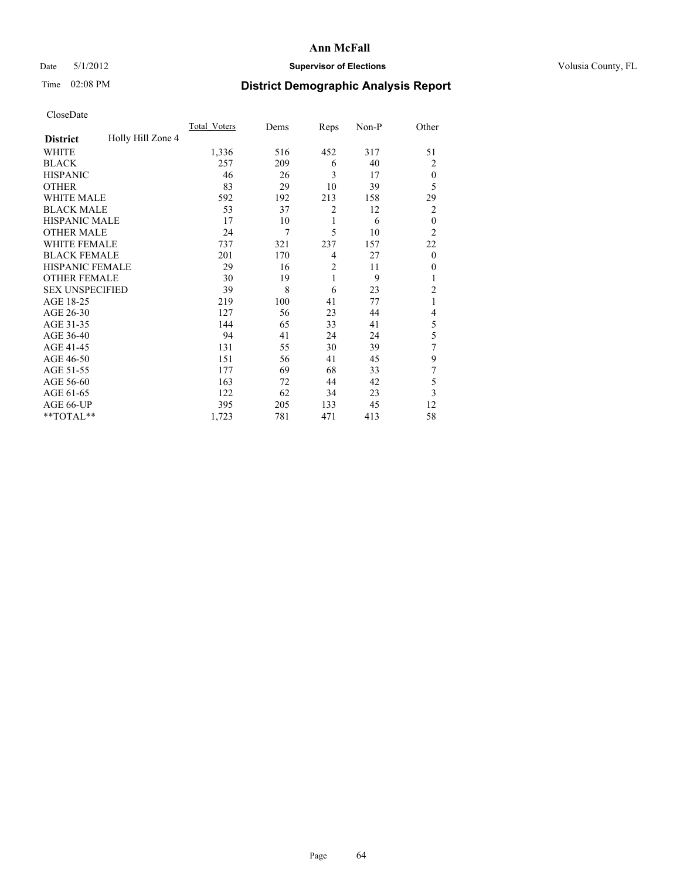### Date 5/1/2012 **Supervisor of Elections Supervisor of Elections** Volusia County, FL

# Time 02:08 PM **District Demographic Analysis Report**

|                        |                   | <b>Total Voters</b> | Dems | Reps           | Non-P | Other          |
|------------------------|-------------------|---------------------|------|----------------|-------|----------------|
| <b>District</b>        | Holly Hill Zone 4 |                     |      |                |       |                |
| WHITE                  |                   | 1,336               | 516  | 452            | 317   | 51             |
| <b>BLACK</b>           |                   | 257                 | 209  | 6              | 40    | 2              |
| <b>HISPANIC</b>        |                   | 46                  | 26   | 3              | 17    | $\theta$       |
| <b>OTHER</b>           |                   | 83                  | 29   | 10             | 39    | 5              |
| WHITE MALE             |                   | 592                 | 192  | 213            | 158   | 29             |
| <b>BLACK MALE</b>      |                   | 53                  | 37   | $\overline{2}$ | 12    | 2              |
| <b>HISPANIC MALE</b>   |                   | 17                  | 10   | 1              | 6     | $\mathbf{0}$   |
| <b>OTHER MALE</b>      |                   | 24                  | 7    | 5              | 10    | $\overline{2}$ |
| WHITE FEMALE           |                   | 737                 | 321  | 237            | 157   | 22             |
| <b>BLACK FEMALE</b>    |                   | 201                 | 170  | 4              | 27    | $\theta$       |
| <b>HISPANIC FEMALE</b> |                   | 29                  | 16   | $\overline{2}$ | 11    | $\theta$       |
| <b>OTHER FEMALE</b>    |                   | 30                  | 19   | 1              | 9     | 1              |
| <b>SEX UNSPECIFIED</b> |                   | 39                  | 8    | 6              | 23    | $\overline{c}$ |
| AGE 18-25              |                   | 219                 | 100  | 41             | 77    | 1              |
| AGE 26-30              |                   | 127                 | 56   | 23             | 44    | 4              |
| AGE 31-35              |                   | 144                 | 65   | 33             | 41    | 5              |
| AGE 36-40              |                   | 94                  | 41   | 24             | 24    | 5              |
| AGE 41-45              |                   | 131                 | 55   | 30             | 39    | 7              |
| AGE 46-50              |                   | 151                 | 56   | 41             | 45    | 9              |
| AGE 51-55              |                   | 177                 | 69   | 68             | 33    | 7              |
| AGE 56-60              |                   | 163                 | 72   | 44             | 42    | 5              |
| AGE 61-65              |                   | 122                 | 62   | 34             | 23    | 3              |
| AGE 66-UP              |                   | 395                 | 205  | 133            | 45    | 12             |
| **TOTAL**              |                   | 1,723               | 781  | 471            | 413   | 58             |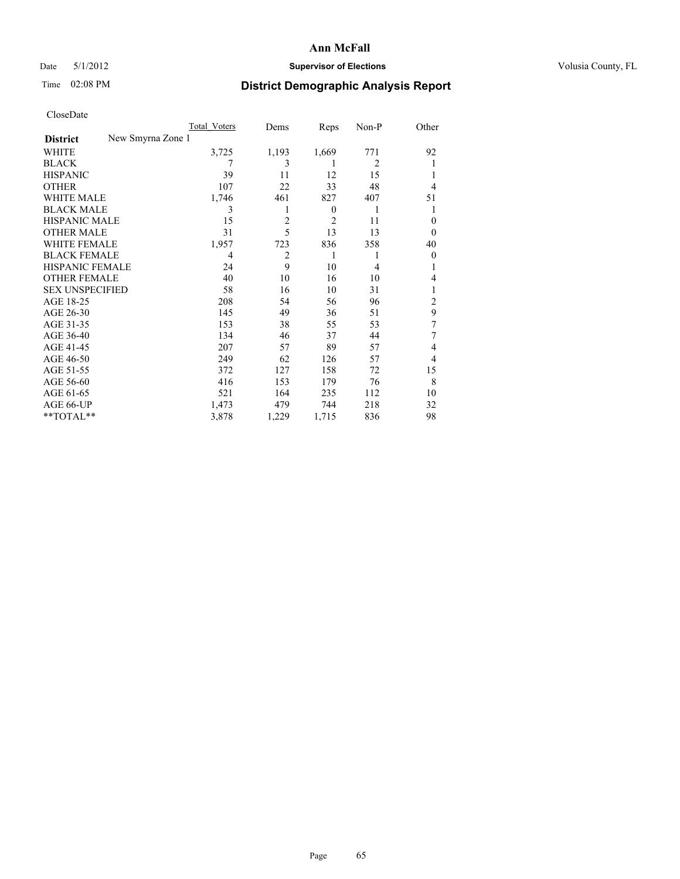### Date 5/1/2012 **Supervisor of Elections Supervisor of Elections** Volusia County, FL

## Time 02:08 PM **District Demographic Analysis Report**

|                        |                   | Total Voters | Dems  | Reps     | Non-P          | Other          |
|------------------------|-------------------|--------------|-------|----------|----------------|----------------|
| <b>District</b>        | New Smyrna Zone 1 |              |       |          |                |                |
| WHITE                  |                   | 3,725        | 1,193 | 1,669    | 771            | 92             |
| <b>BLACK</b>           |                   | 7            | 3     | 1        | $\overline{2}$ |                |
| <b>HISPANIC</b>        |                   | 39           | 11    | 12       | 15             |                |
| <b>OTHER</b>           |                   | 107          | 22    | 33       | 48             | $\overline{4}$ |
| WHITE MALE             |                   | 1,746        | 461   | 827      | 407            | 51             |
| <b>BLACK MALE</b>      |                   | 3            |       | $\theta$ | 1              | 1              |
| <b>HISPANIC MALE</b>   |                   | 15           | 2     | 2        | 11             | $\theta$       |
| <b>OTHER MALE</b>      |                   | 31           | 5     | 13       | 13             | $\Omega$       |
| <b>WHITE FEMALE</b>    |                   | 1,957        | 723   | 836      | 358            | 40             |
| <b>BLACK FEMALE</b>    |                   | 4            | 2     | 1        | 1              | $\overline{0}$ |
| <b>HISPANIC FEMALE</b> |                   | 24           | 9     | 10       | 4              |                |
| <b>OTHER FEMALE</b>    |                   | 40           | 10    | 16       | 10             | 4              |
| <b>SEX UNSPECIFIED</b> |                   | 58           | 16    | 10       | 31             |                |
| AGE 18-25              |                   | 208          | 54    | 56       | 96             | $\overline{2}$ |
| AGE 26-30              |                   | 145          | 49    | 36       | 51             | 9              |
| AGE 31-35              |                   | 153          | 38    | 55       | 53             | 7              |
| AGE 36-40              |                   | 134          | 46    | 37       | 44             | 7              |
| AGE 41-45              |                   | 207          | 57    | 89       | 57             | 4              |
| AGE 46-50              |                   | 249          | 62    | 126      | 57             | $\overline{4}$ |
| AGE 51-55              |                   | 372          | 127   | 158      | 72             | 15             |
| AGE 56-60              |                   | 416          | 153   | 179      | 76             | 8              |
| AGE 61-65              |                   | 521          | 164   | 235      | 112            | 10             |
| AGE 66-UP              |                   | 1,473        | 479   | 744      | 218            | 32             |
| **TOTAL**              |                   | 3,878        | 1,229 | 1,715    | 836            | 98             |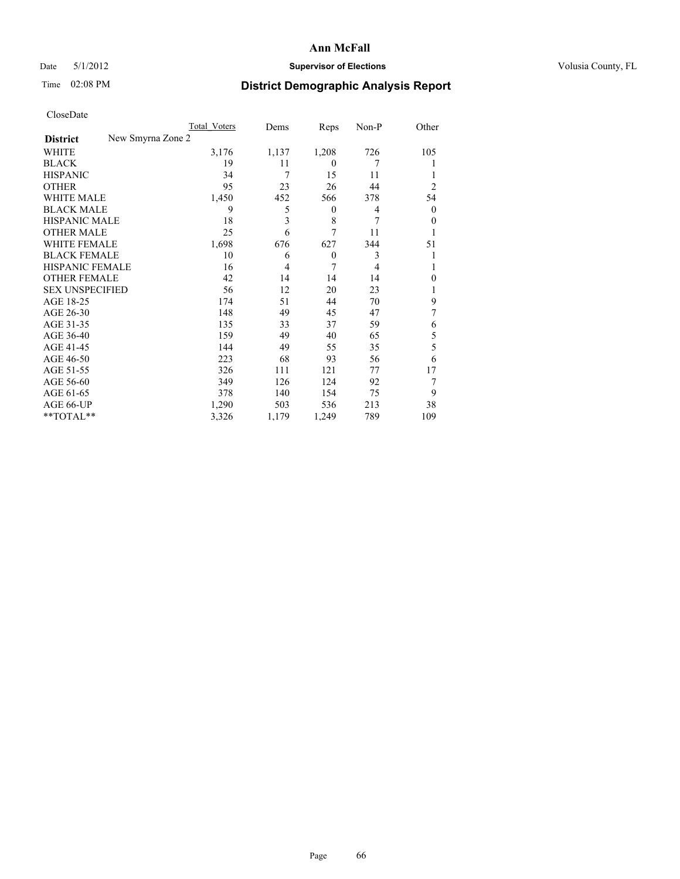### Date 5/1/2012 **Supervisor of Elections Supervisor of Elections** Volusia County, FL

# Time 02:08 PM **District Demographic Analysis Report**

|                        | Total Voters      | Dems  | Reps     | Non-P | Other          |
|------------------------|-------------------|-------|----------|-------|----------------|
| <b>District</b>        | New Smyrna Zone 2 |       |          |       |                |
| <b>WHITE</b>           | 3,176             | 1,137 | 1,208    | 726   | 105            |
| <b>BLACK</b>           | 19                | 11    | $\theta$ | 7     |                |
| <b>HISPANIC</b>        | 34                | 7     | 15       | 11    |                |
| <b>OTHER</b>           | 95                | 23    | 26       | 44    | $\overline{c}$ |
| WHITE MALE             | 1,450             | 452   | 566      | 378   | 54             |
| <b>BLACK MALE</b>      | 9                 | 5     | 0        | 4     | $\mathbf{0}$   |
| <b>HISPANIC MALE</b>   | 18                | 3     | 8        | 7     | $\overline{0}$ |
| <b>OTHER MALE</b>      | 25                | 6     | 7        | 11    | 1              |
| <b>WHITE FEMALE</b>    | 1,698             | 676   | 627      | 344   | 51             |
| <b>BLACK FEMALE</b>    | 10                | 6     | $\theta$ | 3     |                |
| <b>HISPANIC FEMALE</b> | 16                | 4     | 7        | 4     |                |
| <b>OTHER FEMALE</b>    | 42                | 14    | 14       | 14    | $\theta$       |
| <b>SEX UNSPECIFIED</b> | 56                | 12    | 20       | 23    |                |
| AGE 18-25              | 174               | 51    | 44       | 70    | 9              |
| AGE 26-30              | 148               | 49    | 45       | 47    | 7              |
| AGE 31-35              | 135               | 33    | 37       | 59    | 6              |
| AGE 36-40              | 159               | 49    | 40       | 65    | 5              |
| AGE 41-45              | 144               | 49    | 55       | 35    | 5              |
| AGE 46-50              | 223               | 68    | 93       | 56    | 6              |
| AGE 51-55              | 326               | 111   | 121      | 77    | 17             |
| AGE 56-60              | 349               | 126   | 124      | 92    | 7              |
| AGE 61-65              | 378               | 140   | 154      | 75    | 9              |
| AGE 66-UP              | 1,290             | 503   | 536      | 213   | 38             |
| **TOTAL**              | 3,326             | 1,179 | 1,249    | 789   | 109            |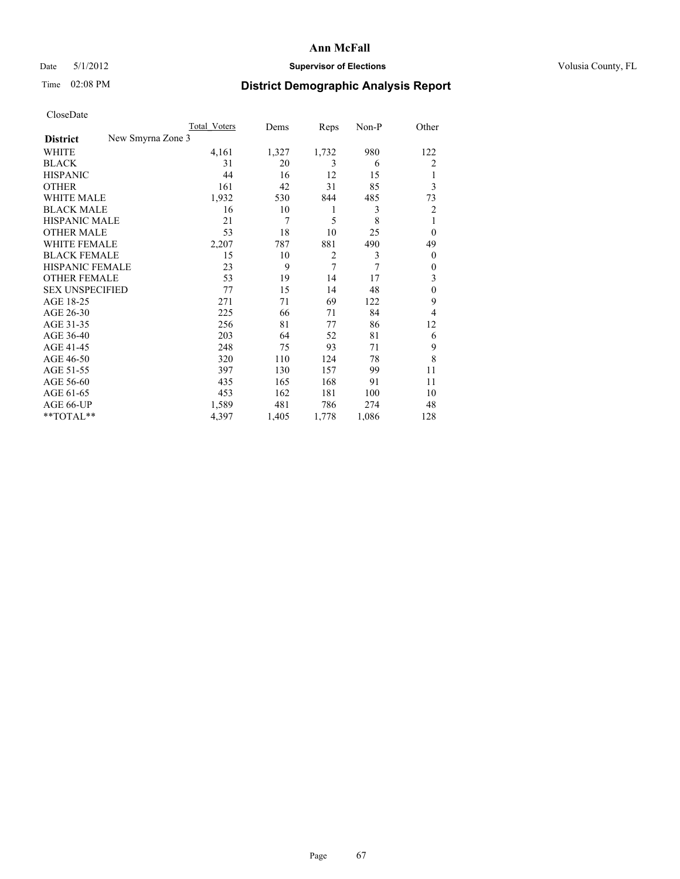### Date 5/1/2012 **Supervisor of Elections Supervisor of Elections** Volusia County, FL

# Time 02:08 PM **District Demographic Analysis Report**

|                        |                   | Total Voters | Dems  | Reps           | Non-P | Other          |
|------------------------|-------------------|--------------|-------|----------------|-------|----------------|
| <b>District</b>        | New Smyrna Zone 3 |              |       |                |       |                |
| WHITE                  |                   | 4,161        | 1,327 | 1,732          | 980   | 122            |
| <b>BLACK</b>           |                   | 31           | 20    | 3              | 6     | $\overline{2}$ |
| <b>HISPANIC</b>        |                   | 44           | 16    | 12             | 15    | 1              |
| <b>OTHER</b>           |                   | 161          | 42    | 31             | 85    | 3              |
| <b>WHITE MALE</b>      |                   | 1,932        | 530   | 844            | 485   | 73             |
| <b>BLACK MALE</b>      |                   | 16           | 10    | 1              | 3     | $\overline{2}$ |
| <b>HISPANIC MALE</b>   |                   | 21           | 7     | 5              | 8     | 1              |
| <b>OTHER MALE</b>      |                   | 53           | 18    | 10             | 25    | $\overline{0}$ |
| <b>WHITE FEMALE</b>    |                   | 2,207        | 787   | 881            | 490   | 49             |
| <b>BLACK FEMALE</b>    |                   | 15           | 10    | $\overline{2}$ | 3     | $\overline{0}$ |
| <b>HISPANIC FEMALE</b> |                   | 23           | 9     | $\overline{7}$ | 7     | $\Omega$       |
| <b>OTHER FEMALE</b>    |                   | 53           | 19    | 14             | 17    | 3              |
| <b>SEX UNSPECIFIED</b> |                   | 77           | 15    | 14             | 48    | $\theta$       |
| AGE 18-25              |                   | 271          | 71    | 69             | 122   | 9              |
| AGE 26-30              |                   | 225          | 66    | 71             | 84    | $\overline{4}$ |
| AGE 31-35              |                   | 256          | 81    | 77             | 86    | 12             |
| AGE 36-40              |                   | 203          | 64    | 52             | 81    | 6              |
| AGE 41-45              |                   | 248          | 75    | 93             | 71    | 9              |
| AGE 46-50              |                   | 320          | 110   | 124            | 78    | 8              |
| AGE 51-55              |                   | 397          | 130   | 157            | 99    | 11             |
| AGE 56-60              |                   | 435          | 165   | 168            | 91    | 11             |
| AGE 61-65              |                   | 453          | 162   | 181            | 100   | 10             |
| AGE 66-UP              |                   | 1,589        | 481   | 786            | 274   | 48             |
| **TOTAL**              |                   | 4,397        | 1,405 | 1,778          | 1,086 | 128            |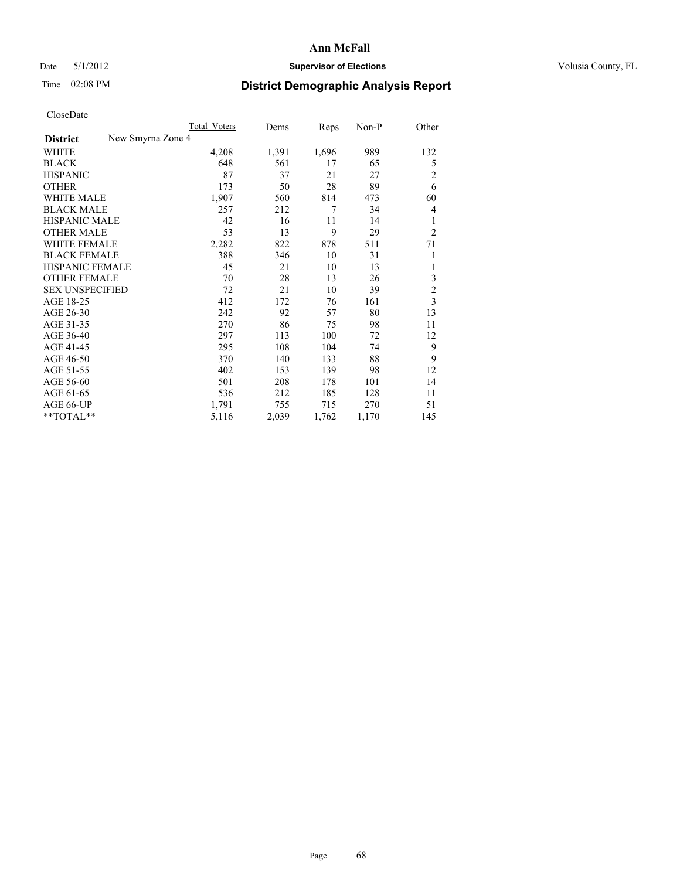### Date 5/1/2012 **Supervisor of Elections Supervisor of Elections** Volusia County, FL

# Time 02:08 PM **District Demographic Analysis Report**

|                                      | Total Voters | Dems  | Reps  | Non-P | Other          |
|--------------------------------------|--------------|-------|-------|-------|----------------|
| New Smyrna Zone 4<br><b>District</b> |              |       |       |       |                |
| WHITE                                | 4,208        | 1,391 | 1,696 | 989   | 132            |
| <b>BLACK</b>                         | 648          | 561   | 17    | 65    | 5              |
| <b>HISPANIC</b>                      | 87           | 37    | 21    | 27    | 2              |
| <b>OTHER</b>                         | 173          | 50    | 28    | 89    | 6              |
| <b>WHITE MALE</b>                    | 1,907        | 560   | 814   | 473   | 60             |
| <b>BLACK MALE</b>                    | 257          | 212   | 7     | 34    | 4              |
| <b>HISPANIC MALE</b>                 | 42           | 16    | 11    | 14    | 1              |
| <b>OTHER MALE</b>                    | 53           | 13    | 9     | 29    | $\overline{2}$ |
| <b>WHITE FEMALE</b>                  | 2,282        | 822   | 878   | 511   | 71             |
| <b>BLACK FEMALE</b>                  | 388          | 346   | 10    | 31    | 1              |
| <b>HISPANIC FEMALE</b>               | 45           | 21    | 10    | 13    | 1              |
| <b>OTHER FEMALE</b>                  | 70           | 28    | 13    | 26    | 3              |
| <b>SEX UNSPECIFIED</b>               | 72           | 21    | 10    | 39    | $\sqrt{2}$     |
| AGE 18-25                            | 412          | 172   | 76    | 161   | $\overline{3}$ |
| AGE 26-30                            | 242          | 92    | 57    | 80    | 13             |
| AGE 31-35                            | 270          | 86    | 75    | 98    | 11             |
| AGE 36-40                            | 297          | 113   | 100   | 72    | 12             |
| AGE 41-45                            | 295          | 108   | 104   | 74    | 9              |
| AGE 46-50                            | 370          | 140   | 133   | 88    | 9              |
| AGE 51-55                            | 402          | 153   | 139   | 98    | 12             |
| AGE 56-60                            | 501          | 208   | 178   | 101   | 14             |
| AGE 61-65                            | 536          | 212   | 185   | 128   | 11             |
| AGE 66-UP                            | 1,791        | 755   | 715   | 270   | 51             |
| **TOTAL**                            | 5,116        | 2,039 | 1,762 | 1,170 | 145            |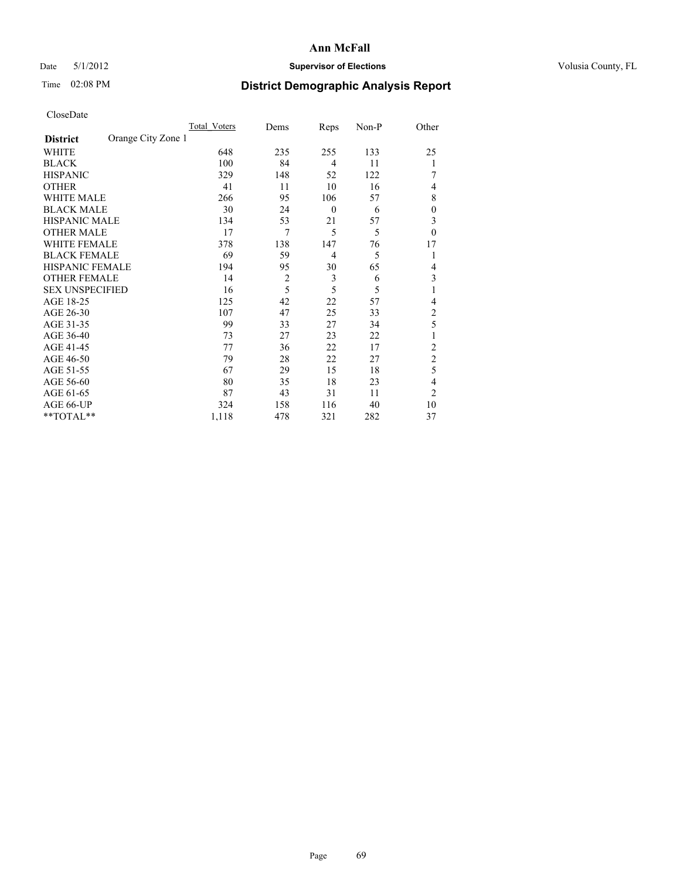### Date 5/1/2012 **Supervisor of Elections Supervisor of Elections** Volusia County, FL

# Time 02:08 PM **District Demographic Analysis Report**

|                        |                    | <b>Total Voters</b> | Dems           | Reps             | Non-P | Other          |
|------------------------|--------------------|---------------------|----------------|------------------|-------|----------------|
| <b>District</b>        | Orange City Zone 1 |                     |                |                  |       |                |
| WHITE                  |                    | 648                 | 235            | 255              | 133   | 25             |
| <b>BLACK</b>           |                    | 100                 | 84             | $\overline{4}$   | 11    | 1              |
| <b>HISPANIC</b>        |                    | 329                 | 148            | 52               | 122   |                |
| <b>OTHER</b>           |                    | 41                  | 11             | 10               | 16    | 4              |
| WHITE MALE             |                    | 266                 | 95             | 106              | 57    | 8              |
| <b>BLACK MALE</b>      |                    | 30                  | 24             | $\boldsymbol{0}$ | 6     | $\overline{0}$ |
| <b>HISPANIC MALE</b>   |                    | 134                 | 53             | 21               | 57    | 3              |
| <b>OTHER MALE</b>      |                    | 17                  | 7              | 5                | 5     | $\theta$       |
| <b>WHITE FEMALE</b>    |                    | 378                 | 138            | 147              | 76    | 17             |
| <b>BLACK FEMALE</b>    |                    | 69                  | 59             | $\overline{4}$   | 5     | 1              |
| <b>HISPANIC FEMALE</b> |                    | 194                 | 95             | 30               | 65    | $\overline{4}$ |
| <b>OTHER FEMALE</b>    |                    | 14                  | $\overline{c}$ | 3                | 6     | 3              |
| <b>SEX UNSPECIFIED</b> |                    | 16                  | 5              | 5                | 5     | 1              |
| AGE 18-25              |                    | 125                 | 42             | 22               | 57    | 4              |
| AGE 26-30              |                    | 107                 | 47             | 25               | 33    | $\overline{c}$ |
| AGE 31-35              |                    | 99                  | 33             | 27               | 34    | 5              |
| AGE 36-40              |                    | 73                  | 27             | 23               | 22    | 1              |
| AGE 41-45              |                    | 77                  | 36             | 22               | 17    | $\overline{c}$ |
| AGE 46-50              |                    | 79                  | 28             | 22               | 27    | $\overline{2}$ |
| AGE 51-55              |                    | 67                  | 29             | 15               | 18    | 5              |
| AGE 56-60              |                    | 80                  | 35             | 18               | 23    | 4              |
| AGE 61-65              |                    | 87                  | 43             | 31               | 11    | $\overline{2}$ |
| AGE 66-UP              |                    | 324                 | 158            | 116              | 40    | 10             |
| **TOTAL**              |                    | 1,118               | 478            | 321              | 282   | 37             |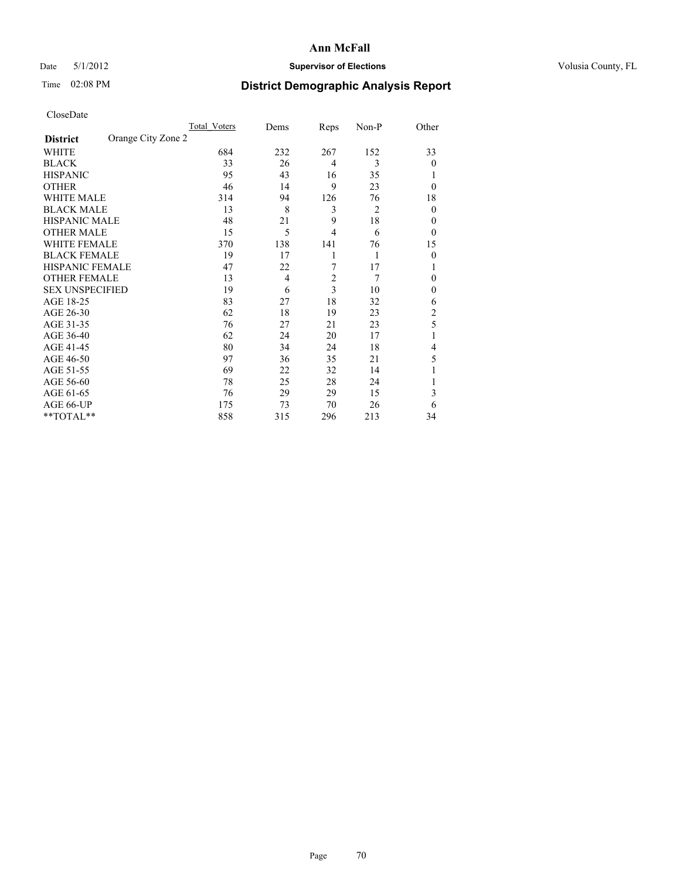### Date 5/1/2012 **Supervisor of Elections Supervisor of Elections** Volusia County, FL

# Time 02:08 PM **District Demographic Analysis Report**

|                        |                    | <b>Total Voters</b> | Dems | Reps           | Non-P          | Other          |
|------------------------|--------------------|---------------------|------|----------------|----------------|----------------|
| <b>District</b>        | Orange City Zone 2 |                     |      |                |                |                |
| WHITE                  |                    | 684                 | 232  | 267            | 152            | 33             |
| <b>BLACK</b>           |                    | 33                  | 26   | $\overline{4}$ | 3              | $\theta$       |
| <b>HISPANIC</b>        |                    | 95                  | 43   | 16             | 35             |                |
| <b>OTHER</b>           |                    | 46                  | 14   | 9              | 23             | $\theta$       |
| WHITE MALE             |                    | 314                 | 94   | 126            | 76             | 18             |
| <b>BLACK MALE</b>      |                    | 13                  | 8    | 3              | $\overline{2}$ | $\theta$       |
| <b>HISPANIC MALE</b>   |                    | 48                  | 21   | 9              | 18             | 0              |
| <b>OTHER MALE</b>      |                    | 15                  | 5    | $\overline{4}$ | 6              | $\theta$       |
| <b>WHITE FEMALE</b>    |                    | 370                 | 138  | 141            | 76             | 15             |
| <b>BLACK FEMALE</b>    |                    | 19                  | 17   | 1              | 1              | $\theta$       |
| <b>HISPANIC FEMALE</b> |                    | 47                  | 22   | 7              | 17             |                |
| <b>OTHER FEMALE</b>    |                    | 13                  | 4    | $\overline{c}$ | 7              | $\theta$       |
| <b>SEX UNSPECIFIED</b> |                    | 19                  | 6    | 3              | 10             | $\mathbf{0}$   |
| AGE 18-25              |                    | 83                  | 27   | 18             | 32             | 6              |
| AGE 26-30              |                    | 62                  | 18   | 19             | 23             | $\overline{c}$ |
| AGE 31-35              |                    | 76                  | 27   | 21             | 23             | 5              |
| AGE 36-40              |                    | 62                  | 24   | 20             | 17             |                |
| AGE 41-45              |                    | 80                  | 34   | 24             | 18             | 4              |
| AGE 46-50              |                    | 97                  | 36   | 35             | 21             | 5              |
| AGE 51-55              |                    | 69                  | 22   | 32             | 14             |                |
| AGE 56-60              |                    | 78                  | 25   | 28             | 24             |                |
| AGE 61-65              |                    | 76                  | 29   | 29             | 15             | 3              |
| AGE 66-UP              |                    | 175                 | 73   | 70             | 26             | 6              |
| **TOTAL**              |                    | 858                 | 315  | 296            | 213            | 34             |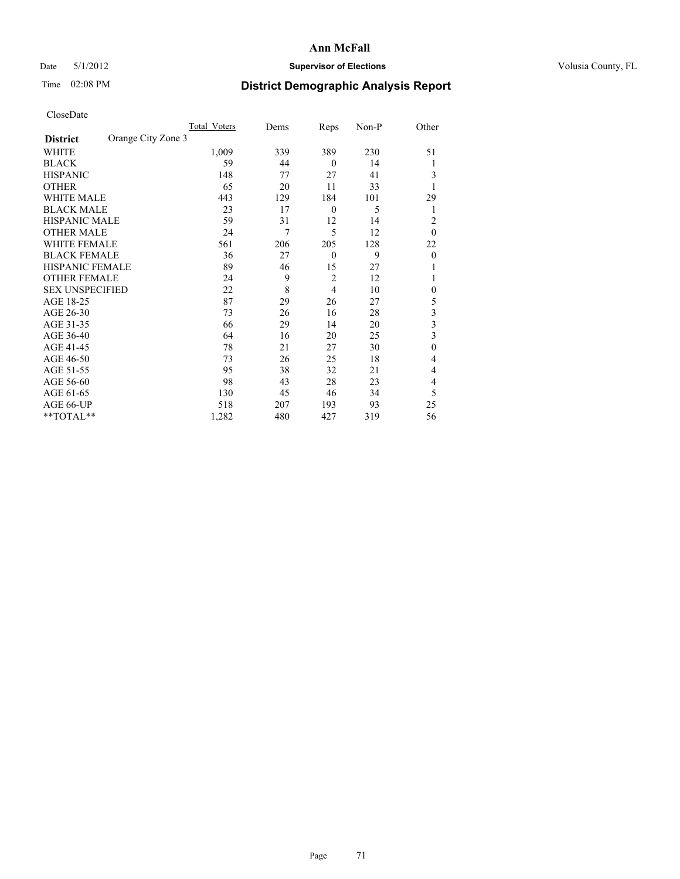### Date 5/1/2012 **Supervisor of Elections Supervisor of Elections** Volusia County, FL

## Time 02:08 PM **District Demographic Analysis Report**

|                        |                    | Total Voters | Dems | Reps             | Non-P | Other        |
|------------------------|--------------------|--------------|------|------------------|-------|--------------|
| <b>District</b>        | Orange City Zone 3 |              |      |                  |       |              |
| WHITE                  |                    | 1,009        | 339  | 389              | 230   | 51           |
| <b>BLACK</b>           |                    | 59           | 44   | $\theta$         | 14    |              |
| <b>HISPANIC</b>        |                    | 148          | 77   | 27               | 41    | 3            |
| <b>OTHER</b>           |                    | 65           | 20   | 11               | 33    |              |
| WHITE MALE             |                    | 443          | 129  | 184              | 101   | 29           |
| <b>BLACK MALE</b>      |                    | 23           | 17   | $\boldsymbol{0}$ | 5     | 1            |
| <b>HISPANIC MALE</b>   |                    | 59           | 31   | 12               | 14    | 2            |
| <b>OTHER MALE</b>      |                    | 24           | 7    | 5                | 12    | $\theta$     |
| WHITE FEMALE           |                    | 561          | 206  | 205              | 128   | 22           |
| <b>BLACK FEMALE</b>    |                    | 36           | 27   | $\mathbf{0}$     | 9     | $\theta$     |
| <b>HISPANIC FEMALE</b> |                    | 89           | 46   | 15               | 27    |              |
| <b>OTHER FEMALE</b>    |                    | 24           | 9    | $\overline{c}$   | 12    |              |
| <b>SEX UNSPECIFIED</b> |                    | 22           | 8    | 4                | 10    | $\mathbf{0}$ |
| AGE 18-25              |                    | 87           | 29   | 26               | 27    | 5            |
| AGE 26-30              |                    | 73           | 26   | 16               | 28    | 3            |
| AGE 31-35              |                    | 66           | 29   | 14               | 20    | 3            |
| AGE 36-40              |                    | 64           | 16   | 20               | 25    | 3            |
| AGE 41-45              |                    | 78           | 21   | 27               | 30    | $\mathbf{0}$ |
| AGE 46-50              |                    | 73           | 26   | 25               | 18    | 4            |
| AGE 51-55              |                    | 95           | 38   | 32               | 21    | 4            |
| AGE 56-60              |                    | 98           | 43   | 28               | 23    | 4            |
| AGE 61-65              |                    | 130          | 45   | 46               | 34    | 5            |
| AGE 66-UP              |                    | 518          | 207  | 193              | 93    | 25           |
| $*$ TOTAL $**$         |                    | 1,282        | 480  | 427              | 319   | 56           |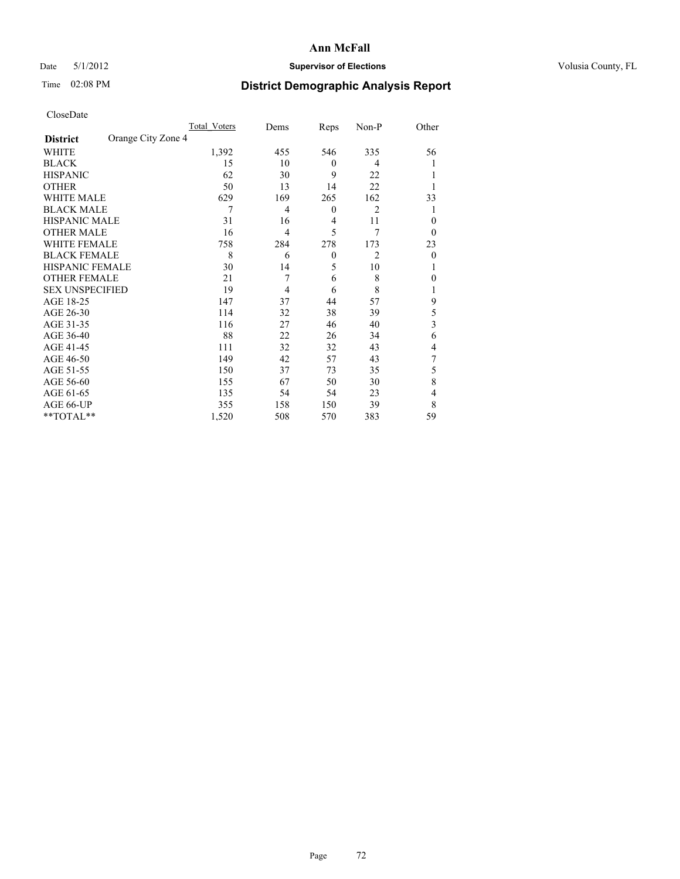### Date 5/1/2012 **Supervisor of Elections Supervisor of Elections** Volusia County, FL

## Time 02:08 PM **District Demographic Analysis Report**

|                        |                    | Total Voters | Dems           | Reps             | Non-P          | Other          |
|------------------------|--------------------|--------------|----------------|------------------|----------------|----------------|
| <b>District</b>        | Orange City Zone 4 |              |                |                  |                |                |
| <b>WHITE</b>           |                    | 1,392        | 455            | 546              | 335            | 56             |
| <b>BLACK</b>           |                    | 15           | 10             | $\theta$         | 4              |                |
| <b>HISPANIC</b>        |                    | 62           | 30             | 9                | 22             |                |
| <b>OTHER</b>           |                    | 50           | 13             | 14               | 22             |                |
| WHITE MALE             |                    | 629          | 169            | 265              | 162            | 33             |
| <b>BLACK MALE</b>      |                    | 7            | 4              | $\boldsymbol{0}$ | $\overline{2}$ |                |
| <b>HISPANIC MALE</b>   |                    | 31           | 16             | 4                | 11             | $\theta$       |
| <b>OTHER MALE</b>      |                    | 16           | 4              | 5                | 7              | $\overline{0}$ |
| WHITE FEMALE           |                    | 758          | 284            | 278              | 173            | 23             |
| <b>BLACK FEMALE</b>    |                    | 8            | 6              | $\mathbf{0}$     | $\overline{2}$ | $\theta$       |
| <b>HISPANIC FEMALE</b> |                    | 30           | 14             | 5                | 10             |                |
| <b>OTHER FEMALE</b>    |                    | 21           | 7              | 6                | 8              | 0              |
| <b>SEX UNSPECIFIED</b> |                    | 19           | $\overline{4}$ | 6                | 8              |                |
| AGE 18-25              |                    | 147          | 37             | 44               | 57             | 9              |
| AGE 26-30              |                    | 114          | 32             | 38               | 39             | 5              |
| AGE 31-35              |                    | 116          | 27             | 46               | 40             | 3              |
| AGE 36-40              |                    | 88           | 22             | 26               | 34             | 6              |
| AGE 41-45              |                    | 111          | 32             | 32               | 43             | 4              |
| AGE 46-50              |                    | 149          | 42             | 57               | 43             | 7              |
| AGE 51-55              |                    | 150          | 37             | 73               | 35             | 5              |
| AGE 56-60              |                    | 155          | 67             | 50               | 30             | 8              |
| AGE 61-65              |                    | 135          | 54             | 54               | 23             | 4              |
| AGE 66-UP              |                    | 355          | 158            | 150              | 39             | 8              |
| **TOTAL**              |                    | 1,520        | 508            | 570              | 383            | 59             |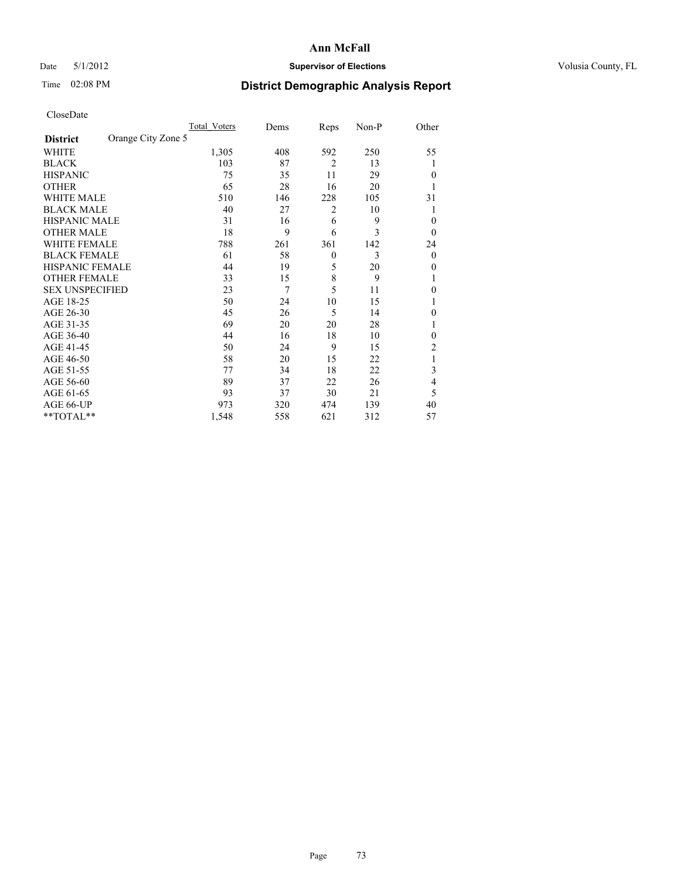# Date 5/1/2012 **Supervisor of Elections Supervisor of Elections** Volusia County, FL

# Time 02:08 PM **District Demographic Analysis Report**

|                        |                    | <b>Total Voters</b> | Dems | Reps           | Non-P | Other          |
|------------------------|--------------------|---------------------|------|----------------|-------|----------------|
| <b>District</b>        | Orange City Zone 5 |                     |      |                |       |                |
| WHITE                  |                    | 1,305               | 408  | 592            | 250   | 55             |
| <b>BLACK</b>           |                    | 103                 | 87   | $\overline{2}$ | 13    | 1              |
| <b>HISPANIC</b>        |                    | 75                  | 35   | 11             | 29    | $\Omega$       |
| <b>OTHER</b>           |                    | 65                  | 28   | 16             | 20    |                |
| WHITE MALE             |                    | 510                 | 146  | 228            | 105   | 31             |
| <b>BLACK MALE</b>      |                    | 40                  | 27   | 2              | 10    | 1              |
| <b>HISPANIC MALE</b>   |                    | 31                  | 16   | 6              | 9     | 0              |
| <b>OTHER MALE</b>      |                    | 18                  | 9    | 6              | 3     | $\Omega$       |
| WHITE FEMALE           |                    | 788                 | 261  | 361            | 142   | 24             |
| <b>BLACK FEMALE</b>    |                    | 61                  | 58   | $\mathbf{0}$   | 3     | $\overline{0}$ |
| <b>HISPANIC FEMALE</b> |                    | 44                  | 19   | 5              | 20    | $\Omega$       |
| <b>OTHER FEMALE</b>    |                    | 33                  | 15   | 8              | 9     |                |
| <b>SEX UNSPECIFIED</b> |                    | 23                  | 7    | 5              | 11    | $\theta$       |
| AGE 18-25              |                    | 50                  | 24   | 10             | 15    |                |
| AGE 26-30              |                    | 45                  | 26   | 5              | 14    | $\overline{0}$ |
| AGE 31-35              |                    | 69                  | 20   | 20             | 28    |                |
| AGE 36-40              |                    | 44                  | 16   | 18             | 10    | $\Omega$       |
| AGE 41-45              |                    | 50                  | 24   | 9              | 15    | 2              |
| AGE 46-50              |                    | 58                  | 20   | 15             | 22    | 1              |
| AGE 51-55              |                    | 77                  | 34   | 18             | 22    | 3              |
| AGE 56-60              |                    | 89                  | 37   | 22             | 26    | 4              |
| AGE 61-65              |                    | 93                  | 37   | 30             | 21    | 5              |
| AGE 66-UP              |                    | 973                 | 320  | 474            | 139   | 40             |
| **TOTAL**              |                    | 1,548               | 558  | 621            | 312   | 57             |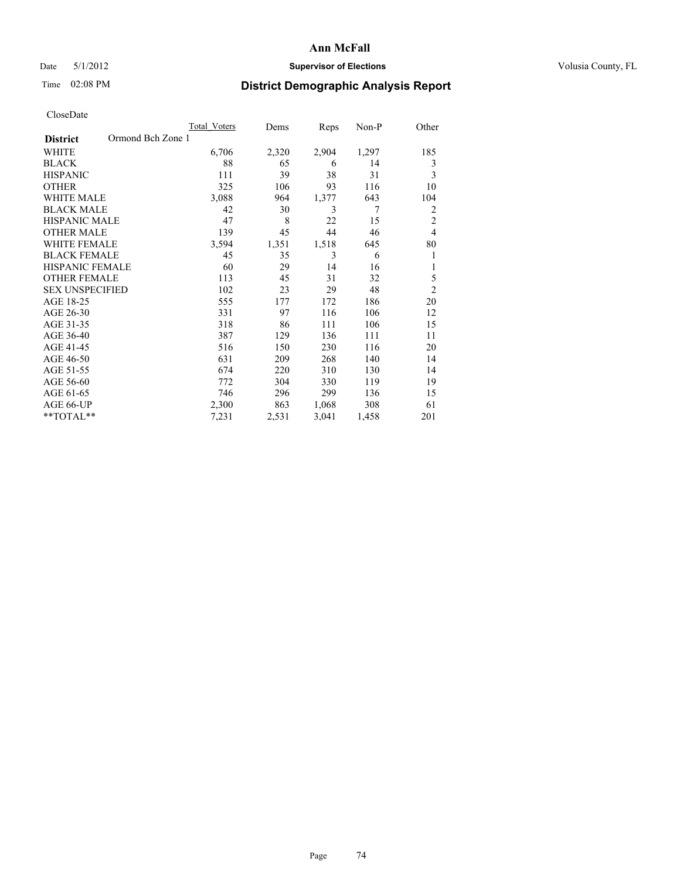# Date 5/1/2012 **Supervisor of Elections Supervisor of Elections** Volusia County, FL

# Time 02:08 PM **District Demographic Analysis Report**

|                                      | <b>Total Voters</b> | Dems  | Reps  | Non-P | Other          |
|--------------------------------------|---------------------|-------|-------|-------|----------------|
| Ormond Bch Zone 1<br><b>District</b> |                     |       |       |       |                |
| WHITE                                | 6,706               | 2,320 | 2,904 | 1,297 | 185            |
| <b>BLACK</b>                         | 88                  | 65    | 6     | 14    | 3              |
| <b>HISPANIC</b>                      | 111                 | 39    | 38    | 31    | 3              |
| <b>OTHER</b>                         | 325                 | 106   | 93    | 116   | 10             |
| WHITE MALE                           | 3,088               | 964   | 1,377 | 643   | 104            |
| <b>BLACK MALE</b>                    | 42                  | 30    | 3     | 7     | $\overline{2}$ |
| <b>HISPANIC MALE</b>                 | 47                  | 8     | 22    | 15    | $\overline{2}$ |
| <b>OTHER MALE</b>                    | 139                 | 45    | 44    | 46    | $\overline{4}$ |
| <b>WHITE FEMALE</b>                  | 3,594               | 1,351 | 1,518 | 645   | 80             |
| <b>BLACK FEMALE</b>                  | 45                  | 35    | 3     | 6     | 1              |
| <b>HISPANIC FEMALE</b>               | 60                  | 29    | 14    | 16    | 1              |
| <b>OTHER FEMALE</b>                  | 113                 | 45    | 31    | 32    | 5              |
| <b>SEX UNSPECIFIED</b>               | 102                 | 23    | 29    | 48    | $\overline{2}$ |
| AGE 18-25                            | 555                 | 177   | 172   | 186   | 20             |
| AGE 26-30                            | 331                 | 97    | 116   | 106   | 12             |
| AGE 31-35                            | 318                 | 86    | 111   | 106   | 15             |
| AGE 36-40                            | 387                 | 129   | 136   | 111   | 11             |
| AGE 41-45                            | 516                 | 150   | 230   | 116   | 20             |
| AGE 46-50                            | 631                 | 209   | 268   | 140   | 14             |
| AGE 51-55                            | 674                 | 220   | 310   | 130   | 14             |
| AGE 56-60                            | 772                 | 304   | 330   | 119   | 19             |
| AGE 61-65                            | 746                 | 296   | 299   | 136   | 15             |
| AGE 66-UP                            | 2,300               | 863   | 1,068 | 308   | 61             |
| **TOTAL**                            | 7,231               | 2,531 | 3,041 | 1,458 | 201            |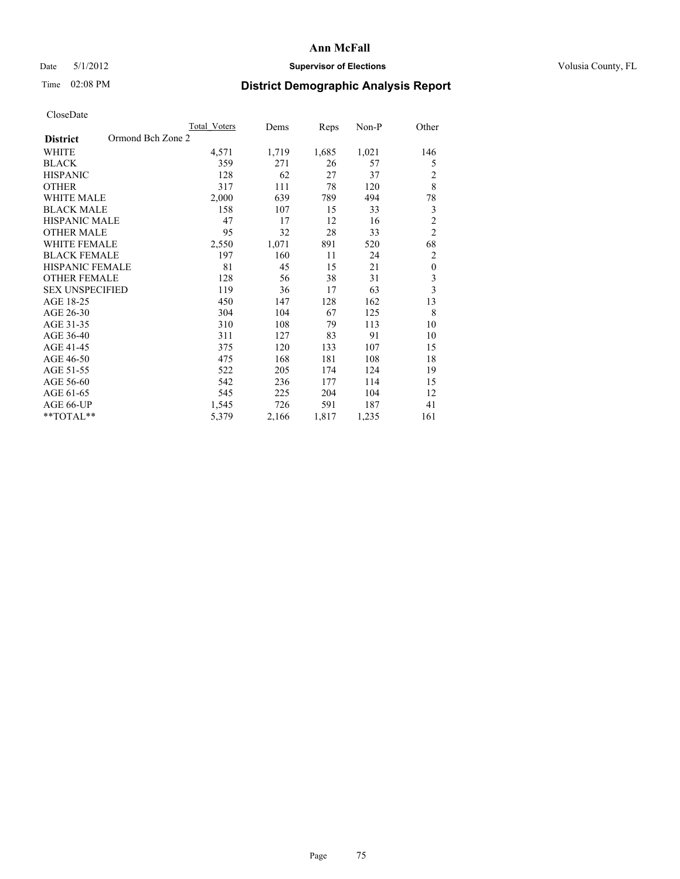# Date 5/1/2012 **Supervisor of Elections Supervisor of Elections** Volusia County, FL

# Time 02:08 PM **District Demographic Analysis Report**

|                        | Total Voters      | Dems  | Reps  | Non-P | Other                   |
|------------------------|-------------------|-------|-------|-------|-------------------------|
| <b>District</b>        | Ormond Bch Zone 2 |       |       |       |                         |
| WHITE                  | 4,571             | 1,719 | 1,685 | 1,021 | 146                     |
| <b>BLACK</b>           | 359               | 271   | 26    | 57    | 5                       |
| <b>HISPANIC</b>        | 128               | 62    | 27    | 37    | 2                       |
| <b>OTHER</b>           | 317               | 111   | 78    | 120   | 8                       |
| WHITE MALE             | 2,000             | 639   | 789   | 494   | 78                      |
| <b>BLACK MALE</b>      | 158               | 107   | 15    | 33    | 3                       |
| <b>HISPANIC MALE</b>   | 47                | 17    | 12    | 16    | $\overline{c}$          |
| <b>OTHER MALE</b>      | 95                | 32    | 28    | 33    | $\overline{2}$          |
| <b>WHITE FEMALE</b>    | 2,550             | 1,071 | 891   | 520   | 68                      |
| <b>BLACK FEMALE</b>    | 197               | 160   | 11    | 24    | $\overline{2}$          |
| <b>HISPANIC FEMALE</b> | 81                | 45    | 15    | 21    | $\mathbf{0}$            |
| <b>OTHER FEMALE</b>    | 128               | 56    | 38    | 31    | 3                       |
| <b>SEX UNSPECIFIED</b> | 119               | 36    | 17    | 63    | $\overline{\mathbf{3}}$ |
| AGE 18-25              | 450               | 147   | 128   | 162   | 13                      |
| AGE 26-30              | 304               | 104   | 67    | 125   | 8                       |
| AGE 31-35              | 310               | 108   | 79    | 113   | 10                      |
| AGE 36-40              | 311               | 127   | 83    | 91    | 10                      |
| AGE 41-45              | 375               | 120   | 133   | 107   | 15                      |
| AGE 46-50              | 475               | 168   | 181   | 108   | 18                      |
| AGE 51-55              | 522               | 205   | 174   | 124   | 19                      |
| AGE 56-60              | 542               | 236   | 177   | 114   | 15                      |
| AGE 61-65              | 545               | 225   | 204   | 104   | 12                      |
| AGE 66-UP              | 1,545             | 726   | 591   | 187   | 41                      |
| **TOTAL**              | 5,379             | 2,166 | 1,817 | 1,235 | 161                     |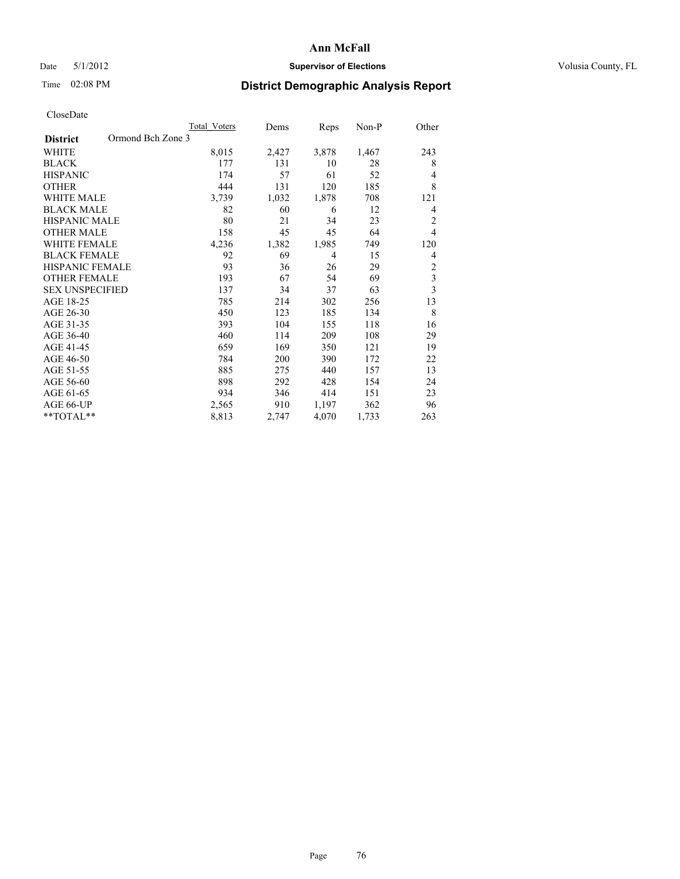# Date 5/1/2012 **Supervisor of Elections Supervisor of Elections** Volusia County, FL

# Time 02:08 PM **District Demographic Analysis Report**

|                                      | <b>Total Voters</b> | Dems  | Reps  | Non-P | Other          |
|--------------------------------------|---------------------|-------|-------|-------|----------------|
| Ormond Bch Zone 3<br><b>District</b> |                     |       |       |       |                |
| WHITE                                | 8,015               | 2,427 | 3,878 | 1,467 | 243            |
| <b>BLACK</b>                         | 177                 | 131   | 10    | 28    | 8              |
| <b>HISPANIC</b>                      | 174                 | 57    | 61    | 52    | $\overline{4}$ |
| <b>OTHER</b>                         | 444                 | 131   | 120   | 185   | 8              |
| WHITE MALE                           | 3,739               | 1,032 | 1,878 | 708   | 121            |
| <b>BLACK MALE</b>                    | 82                  | 60    | 6     | 12    | 4              |
| <b>HISPANIC MALE</b>                 | 80                  | 21    | 34    | 23    | $\overline{2}$ |
| <b>OTHER MALE</b>                    | 158                 | 45    | 45    | 64    | $\overline{4}$ |
| <b>WHITE FEMALE</b>                  | 4,236               | 1,382 | 1,985 | 749   | 120            |
| <b>BLACK FEMALE</b>                  | 92                  | 69    | 4     | 15    | $\overline{4}$ |
| <b>HISPANIC FEMALE</b>               | 93                  | 36    | 26    | 29    | $\overline{2}$ |
| <b>OTHER FEMALE</b>                  | 193                 | 67    | 54    | 69    | $\overline{3}$ |
| <b>SEX UNSPECIFIED</b>               | 137                 | 34    | 37    | 63    | $\mathfrak{Z}$ |
| AGE 18-25                            | 785                 | 214   | 302   | 256   | 13             |
| AGE 26-30                            | 450                 | 123   | 185   | 134   | 8              |
| AGE 31-35                            | 393                 | 104   | 155   | 118   | 16             |
| AGE 36-40                            | 460                 | 114   | 209   | 108   | 29             |
| AGE 41-45                            | 659                 | 169   | 350   | 121   | 19             |
| AGE 46-50                            | 784                 | 200   | 390   | 172   | 22             |
| AGE 51-55                            | 885                 | 275   | 440   | 157   | 13             |
| AGE 56-60                            | 898                 | 292   | 428   | 154   | 24             |
| AGE 61-65                            | 934                 | 346   | 414   | 151   | 23             |
| AGE 66-UP                            | 2,565               | 910   | 1,197 | 362   | 96             |
| **TOTAL**                            | 8,813               | 2,747 | 4,070 | 1,733 | 263            |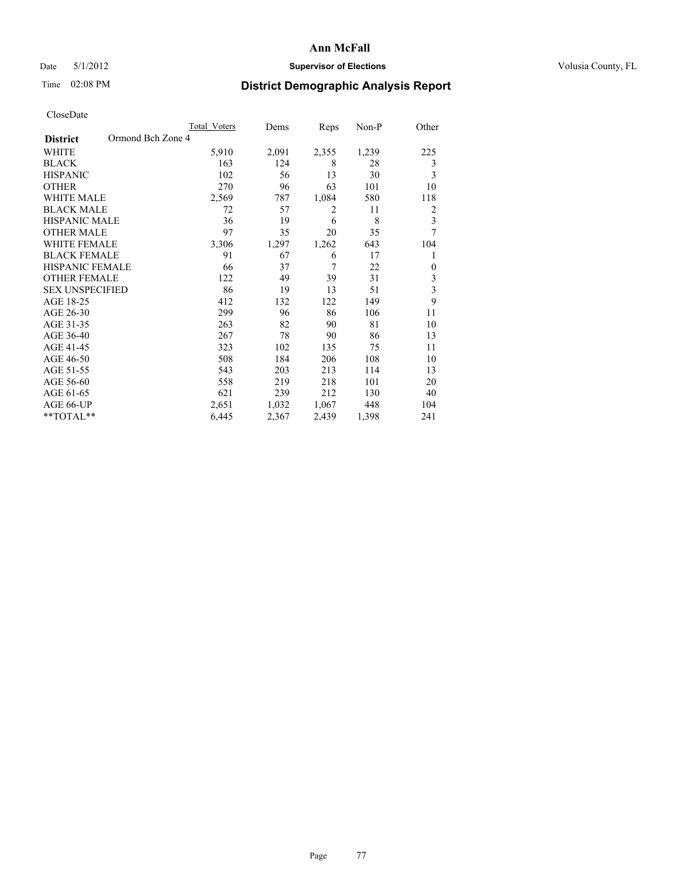## Date 5/1/2012 **Supervisor of Elections Supervisor of Elections** Volusia County, FL

# Time 02:08 PM **District Demographic Analysis Report**

|                                      | <b>Total Voters</b> | Dems  | Reps  | Non-P | Other                   |
|--------------------------------------|---------------------|-------|-------|-------|-------------------------|
| Ormond Bch Zone 4<br><b>District</b> |                     |       |       |       |                         |
| WHITE                                | 5,910               | 2,091 | 2,355 | 1,239 | 225                     |
| <b>BLACK</b>                         | 163                 | 124   | 8     | 28    | 3                       |
| <b>HISPANIC</b>                      | 102                 | 56    | 13    | 30    | 3                       |
| <b>OTHER</b>                         | 270                 | 96    | 63    | 101   | 10                      |
| <b>WHITE MALE</b>                    | 2,569               | 787   | 1,084 | 580   | 118                     |
| <b>BLACK MALE</b>                    | 72                  | 57    | 2     | 11    | $\overline{2}$          |
| HISPANIC MALE                        | 36                  | 19    | 6     | 8     | $\overline{\mathbf{3}}$ |
| <b>OTHER MALE</b>                    | 97                  | 35    | 20    | 35    | 7                       |
| <b>WHITE FEMALE</b>                  | 3,306               | 1,297 | 1,262 | 643   | 104                     |
| <b>BLACK FEMALE</b>                  | 91                  | 67    | 6     | 17    | 1                       |
| <b>HISPANIC FEMALE</b>               | 66                  | 37    | 7     | 22    | $\theta$                |
| <b>OTHER FEMALE</b>                  | 122                 | 49    | 39    | 31    | 3                       |
| <b>SEX UNSPECIFIED</b>               | 86                  | 19    | 13    | 51    | $\overline{\mathbf{3}}$ |
| AGE 18-25                            | 412                 | 132   | 122   | 149   | 9                       |
| AGE 26-30                            | 299                 | 96    | 86    | 106   | 11                      |
| AGE 31-35                            | 263                 | 82    | 90    | 81    | 10                      |
| AGE 36-40                            | 267                 | 78    | 90    | 86    | 13                      |
| AGE 41-45                            | 323                 | 102   | 135   | 75    | 11                      |
| AGE 46-50                            | 508                 | 184   | 206   | 108   | 10                      |
| AGE 51-55                            | 543                 | 203   | 213   | 114   | 13                      |
| AGE 56-60                            | 558                 | 219   | 218   | 101   | 20                      |
| AGE 61-65                            | 621                 | 239   | 212   | 130   | 40                      |
| AGE 66-UP                            | 2,651               | 1,032 | 1,067 | 448   | 104                     |
| **TOTAL**                            | 6,445               | 2,367 | 2,439 | 1,398 | 241                     |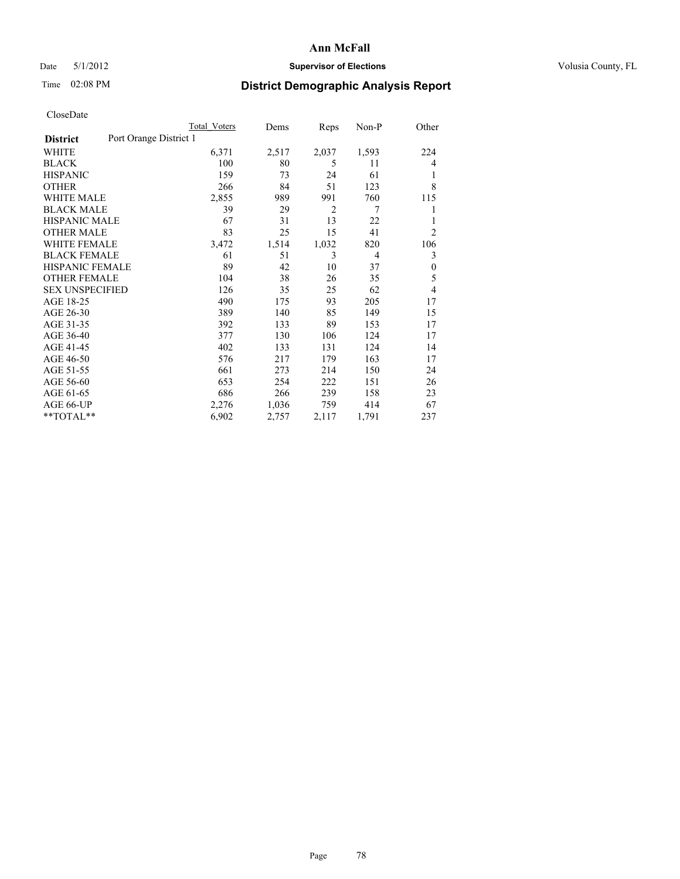## Date 5/1/2012 **Supervisor of Elections Supervisor of Elections** Volusia County, FL

# Time 02:08 PM **District Demographic Analysis Report**

|                        | <b>Total Voters</b>    | Dems  | Reps           | $Non-P$ | Other            |
|------------------------|------------------------|-------|----------------|---------|------------------|
| <b>District</b>        | Port Orange District 1 |       |                |         |                  |
| WHITE                  | 6,371                  | 2,517 | 2,037          | 1,593   | 224              |
| <b>BLACK</b>           | 100                    | 80    | 5              | 11      | 4                |
| <b>HISPANIC</b>        | 159                    | 73    | 24             | 61      | 1                |
| <b>OTHER</b>           | 266                    | 84    | 51             | 123     | 8                |
| <b>WHITE MALE</b>      | 2,855                  | 989   | 991            | 760     | 115              |
| <b>BLACK MALE</b>      | 39                     | 29    | $\overline{2}$ | 7       | 1                |
| HISPANIC MALE          | 67                     | 31    | 13             | 22      | 1                |
| <b>OTHER MALE</b>      | 83                     | 25    | 15             | 41      | $\overline{2}$   |
| <b>WHITE FEMALE</b>    | 3,472                  | 1,514 | 1,032          | 820     | 106              |
| <b>BLACK FEMALE</b>    | 61                     | 51    | 3              | 4       | 3                |
| <b>HISPANIC FEMALE</b> | 89                     | 42    | 10             | 37      | $\boldsymbol{0}$ |
| <b>OTHER FEMALE</b>    | 104                    | 38    | 26             | 35      | 5                |
| <b>SEX UNSPECIFIED</b> | 126                    | 35    | 25             | 62      | 4                |
| AGE 18-25              | 490                    | 175   | 93             | 205     | 17               |
| AGE 26-30              | 389                    | 140   | 85             | 149     | 15               |
| AGE 31-35              | 392                    | 133   | 89             | 153     | 17               |
| AGE 36-40              | 377                    | 130   | 106            | 124     | 17               |
| AGE 41-45              | 402                    | 133   | 131            | 124     | 14               |
| AGE 46-50              | 576                    | 217   | 179            | 163     | 17               |
| AGE 51-55              | 661                    | 273   | 214            | 150     | 24               |
| AGE 56-60              | 653                    | 254   | 222            | 151     | 26               |
| AGE 61-65              | 686                    | 266   | 239            | 158     | 23               |
| AGE 66-UP              | 2,276                  | 1,036 | 759            | 414     | 67               |
| **TOTAL**              | 6,902                  | 2,757 | 2,117          | 1,791   | 237              |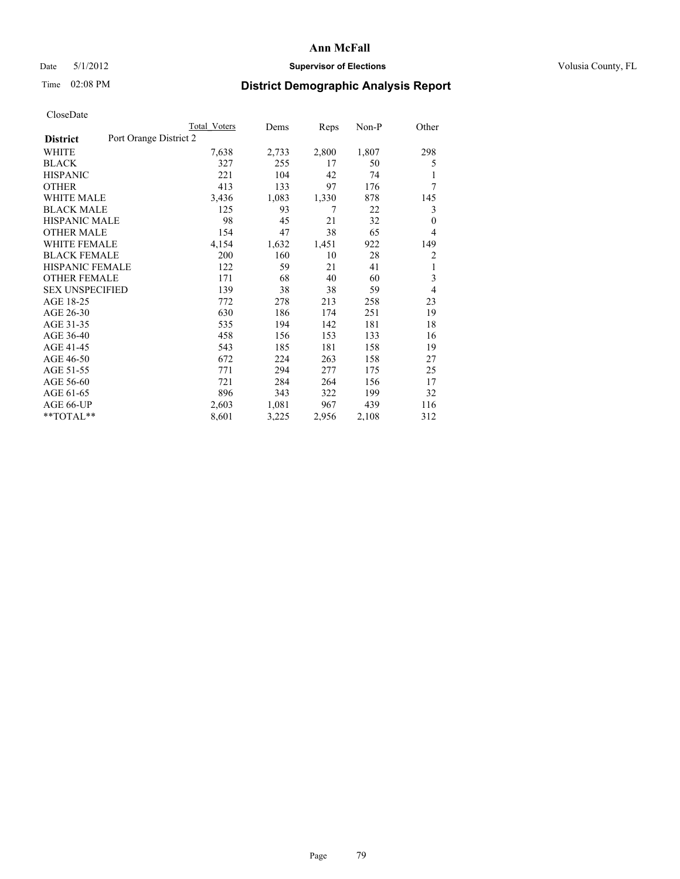# Date 5/1/2012 **Supervisor of Elections Supervisor of Elections** Volusia County, FL

# Time 02:08 PM **District Demographic Analysis Report**

|                        |                        | <b>Total Voters</b> | Dems  | Reps  | $Non-P$ | Other          |
|------------------------|------------------------|---------------------|-------|-------|---------|----------------|
| <b>District</b>        | Port Orange District 2 |                     |       |       |         |                |
| WHITE                  |                        | 7,638               | 2,733 | 2,800 | 1,807   | 298            |
| <b>BLACK</b>           |                        | 327                 | 255   | 17    | 50      | 5              |
| <b>HISPANIC</b>        |                        | 221                 | 104   | 42    | 74      | 1              |
| <b>OTHER</b>           |                        | 413                 | 133   | 97    | 176     | 7              |
| WHITE MALE             |                        | 3,436               | 1,083 | 1,330 | 878     | 145            |
| <b>BLACK MALE</b>      |                        | 125                 | 93    | 7     | 22      | 3              |
| <b>HISPANIC MALE</b>   |                        | 98                  | 45    | 21    | 32      | $\mathbf{0}$   |
| <b>OTHER MALE</b>      |                        | 154                 | 47    | 38    | 65      | $\overline{4}$ |
| <b>WHITE FEMALE</b>    |                        | 4,154               | 1,632 | 1,451 | 922     | 149            |
| <b>BLACK FEMALE</b>    |                        | 200                 | 160   | 10    | 28      | 2              |
| <b>HISPANIC FEMALE</b> |                        | 122                 | 59    | 21    | 41      | 1              |
| <b>OTHER FEMALE</b>    |                        | 171                 | 68    | 40    | 60      | 3              |
| <b>SEX UNSPECIFIED</b> |                        | 139                 | 38    | 38    | 59      | $\overline{4}$ |
| AGE 18-25              |                        | 772                 | 278   | 213   | 258     | 23             |
| AGE 26-30              |                        | 630                 | 186   | 174   | 251     | 19             |
| AGE 31-35              |                        | 535                 | 194   | 142   | 181     | 18             |
| AGE 36-40              |                        | 458                 | 156   | 153   | 133     | 16             |
| AGE 41-45              |                        | 543                 | 185   | 181   | 158     | 19             |
| AGE 46-50              |                        | 672                 | 224   | 263   | 158     | 27             |
| AGE 51-55              |                        | 771                 | 294   | 277   | 175     | 25             |
| AGE 56-60              |                        | 721                 | 284   | 264   | 156     | 17             |
| AGE 61-65              |                        | 896                 | 343   | 322   | 199     | 32             |
| AGE 66-UP              |                        | 2,603               | 1,081 | 967   | 439     | 116            |
| **TOTAL**              |                        | 8,601               | 3,225 | 2,956 | 2,108   | 312            |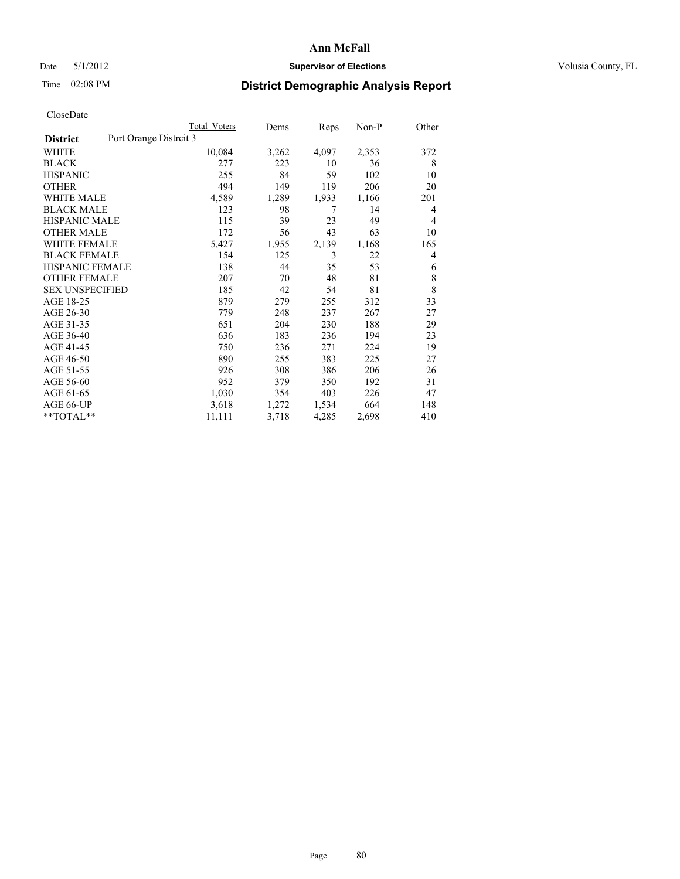## Date 5/1/2012 **Supervisor of Elections Supervisor of Elections** Volusia County, FL

# Time 02:08 PM **District Demographic Analysis Report**

|                                           | <b>Total Voters</b> | Dems  | Reps  | Non-P | Other |
|-------------------------------------------|---------------------|-------|-------|-------|-------|
| Port Orange Distrcit 3<br><b>District</b> |                     |       |       |       |       |
| WHITE                                     | 10,084              | 3,262 | 4,097 | 2,353 | 372   |
| <b>BLACK</b>                              | 277                 | 223   | 10    | 36    | 8     |
| <b>HISPANIC</b>                           | 255                 | 84    | 59    | 102   | 10    |
| <b>OTHER</b>                              | 494                 | 149   | 119   | 206   | 20    |
| <b>WHITE MALE</b>                         | 4,589               | 1,289 | 1,933 | 1,166 | 201   |
| <b>BLACK MALE</b>                         | 123                 | 98    | 7     | 14    | 4     |
| <b>HISPANIC MALE</b>                      | 115                 | 39    | 23    | 49    | 4     |
| <b>OTHER MALE</b>                         | 172                 | 56    | 43    | 63    | 10    |
| <b>WHITE FEMALE</b>                       | 5,427               | 1,955 | 2,139 | 1,168 | 165   |
| <b>BLACK FEMALE</b>                       | 154                 | 125   | 3     | 22    | 4     |
| <b>HISPANIC FEMALE</b>                    | 138                 | 44    | 35    | 53    | 6     |
| <b>OTHER FEMALE</b>                       | 207                 | 70    | 48    | 81    | 8     |
| <b>SEX UNSPECIFIED</b>                    | 185                 | 42    | 54    | 81    | 8     |
| AGE 18-25                                 | 879                 | 279   | 255   | 312   | 33    |
| AGE 26-30                                 | 779                 | 248   | 237   | 267   | 27    |
| AGE 31-35                                 | 651                 | 204   | 230   | 188   | 29    |
| AGE 36-40                                 | 636                 | 183   | 236   | 194   | 23    |
| AGE 41-45                                 | 750                 | 236   | 271   | 224   | 19    |
| AGE 46-50                                 | 890                 | 255   | 383   | 225   | 27    |
| AGE 51-55                                 | 926                 | 308   | 386   | 206   | 26    |
| AGE 56-60                                 | 952                 | 379   | 350   | 192   | 31    |
| AGE 61-65                                 | 1,030               | 354   | 403   | 226   | 47    |
| AGE 66-UP                                 | 3,618               | 1,272 | 1,534 | 664   | 148   |
| **TOTAL**                                 | 11,111              | 3,718 | 4,285 | 2,698 | 410   |